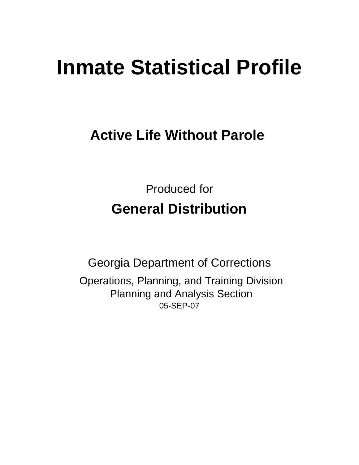# **Inmate Statistical Profile**

# **Active Life Without Parole**

Produced for **General Distribution**

05-SEP-07 Georgia Department of Corrections Operations, Planning, and Training Division Planning and Analysis Section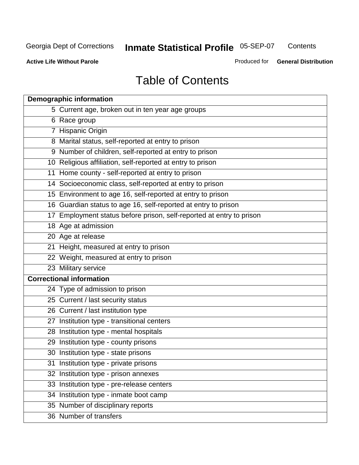**Contents** 

**Active Life Without Parole** 

Produced for **General Distribution**

# Table of Contents

| <b>Demographic information</b>                                       |
|----------------------------------------------------------------------|
| 5 Current age, broken out in ten year age groups                     |
| 6 Race group                                                         |
| 7 Hispanic Origin                                                    |
| 8 Marital status, self-reported at entry to prison                   |
| 9 Number of children, self-reported at entry to prison               |
| 10 Religious affiliation, self-reported at entry to prison           |
| 11 Home county - self-reported at entry to prison                    |
| 14 Socioeconomic class, self-reported at entry to prison             |
| 15 Environment to age 16, self-reported at entry to prison           |
| 16 Guardian status to age 16, self-reported at entry to prison       |
| 17 Employment status before prison, self-reported at entry to prison |
| 18 Age at admission                                                  |
| 20 Age at release                                                    |
| 21 Height, measured at entry to prison                               |
| 22 Weight, measured at entry to prison                               |
| 23 Military service                                                  |
| <b>Correctional information</b>                                      |
| 24 Type of admission to prison                                       |
| 25 Current / last security status                                    |
| 26 Current / last institution type                                   |
| 27 Institution type - transitional centers                           |
| 28 Institution type - mental hospitals                               |
| 29 Institution type - county prisons                                 |
| 30 Institution type - state prisons                                  |
| 31 Institution type - private prisons                                |
| 32 Institution type - prison annexes                                 |
| 33 Institution type - pre-release centers                            |
| 34 Institution type - inmate boot camp                               |
| 35 Number of disciplinary reports                                    |
| 36 Number of transfers                                               |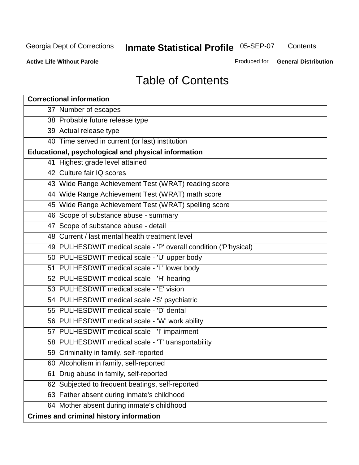**Contents** 

**Active Life Without Parole** 

Produced for **General Distribution**

# Table of Contents

| <b>Correctional information</b>                                  |
|------------------------------------------------------------------|
| 37 Number of escapes                                             |
| 38 Probable future release type                                  |
| 39 Actual release type                                           |
| 40 Time served in current (or last) institution                  |
| Educational, psychological and physical information              |
| 41 Highest grade level attained                                  |
| 42 Culture fair IQ scores                                        |
| 43 Wide Range Achievement Test (WRAT) reading score              |
| 44 Wide Range Achievement Test (WRAT) math score                 |
| 45 Wide Range Achievement Test (WRAT) spelling score             |
| 46 Scope of substance abuse - summary                            |
| 47 Scope of substance abuse - detail                             |
| 48 Current / last mental health treatment level                  |
| 49 PULHESDWIT medical scale - 'P' overall condition ('P'hysical) |
| 50 PULHESDWIT medical scale - 'U' upper body                     |
| 51 PULHESDWIT medical scale - 'L' lower body                     |
| 52 PULHESDWIT medical scale - 'H' hearing                        |
| 53 PULHESDWIT medical scale - 'E' vision                         |
| 54 PULHESDWIT medical scale -'S' psychiatric                     |
| 55 PULHESDWIT medical scale - 'D' dental                         |
| 56 PULHESDWIT medical scale - 'W' work ability                   |
| 57 PULHESDWIT medical scale - 'I' impairment                     |
| 58 PULHESDWIT medical scale - 'T' transportability               |
| 59 Criminality in family, self-reported                          |
| 60 Alcoholism in family, self-reported                           |
| Drug abuse in family, self-reported<br>61                        |
| 62 Subjected to frequent beatings, self-reported                 |
| 63 Father absent during inmate's childhood                       |
| 64 Mother absent during inmate's childhood                       |
| <b>Crimes and criminal history information</b>                   |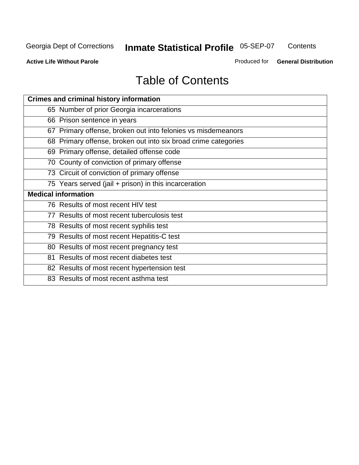**Contents** 

**Active Life Without Parole** 

Produced for **General Distribution**

# Table of Contents

| <b>Crimes and criminal history information</b>                 |
|----------------------------------------------------------------|
| 65 Number of prior Georgia incarcerations                      |
| 66 Prison sentence in years                                    |
| 67 Primary offense, broken out into felonies vs misdemeanors   |
| 68 Primary offense, broken out into six broad crime categories |
| 69 Primary offense, detailed offense code                      |
| 70 County of conviction of primary offense                     |
| 73 Circuit of conviction of primary offense                    |
| 75 Years served (jail + prison) in this incarceration          |
|                                                                |
| <b>Medical information</b>                                     |
| 76 Results of most recent HIV test                             |
| 77 Results of most recent tuberculosis test                    |
| 78 Results of most recent syphilis test                        |
| 79 Results of most recent Hepatitis-C test                     |
| 80 Results of most recent pregnancy test                       |
| 81 Results of most recent diabetes test                        |
| 82 Results of most recent hypertension test                    |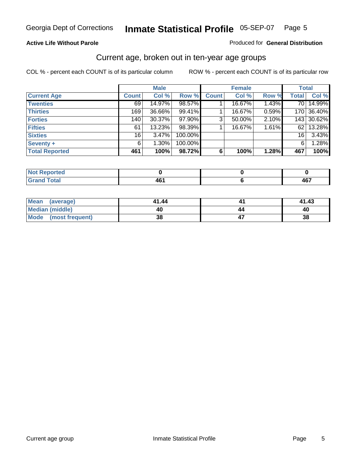#### **Active Life Without Parole**

#### Produced for **General Distribution**

### Current age, broken out in ten-year age groups

|                       |              | <b>Male</b> |         |              | <b>Female</b> |       |                 | <b>Total</b> |
|-----------------------|--------------|-------------|---------|--------------|---------------|-------|-----------------|--------------|
| <b>Current Age</b>    | <b>Count</b> | Col %       | Row %   | <b>Count</b> | Col %         | Row % | <b>Total</b>    | Col %        |
| <b>Twenties</b>       | 69           | 14.97%      | 98.57%  |              | 16.67%        | 1.43% | 70 l            | 14.99%       |
| <b>Thirties</b>       | 169          | 36.66%      | 99.41%  |              | 16.67%        | 0.59% |                 | 170 36.40%   |
| <b>Forties</b>        | 140          | $30.37\%$   | 97.90%  | 3            | 50.00%        | 2.10% |                 | 143 30.62%   |
| <b>Fifties</b>        | 61           | 13.23%      | 98.39%  |              | 16.67%        | 1.61% | 621             | 13.28%       |
| <b>Sixties</b>        | 16           | $3.47\%$    | 100.00% |              |               |       | 16 <sup>1</sup> | 3.43%        |
| Seventy +             | 6            | $1.30\%$    | 100.00% |              |               |       | 6               | 1.28%        |
| <b>Total Reported</b> | 461          | 100%        | 98.72%  | 6            | 100%          | 1.28% | 467             | 100%         |

| <b>Not Reported</b> |            |            |
|---------------------|------------|------------|
| <b>Grand Total</b>  | AR'<br>ּט+ | A67<br>40. |

| Mean (average)       | 41.44 |    | 41.43 |
|----------------------|-------|----|-------|
| Median (middle)      | 40    | 44 | 40    |
| Mode (most frequent) | 38    |    | 38    |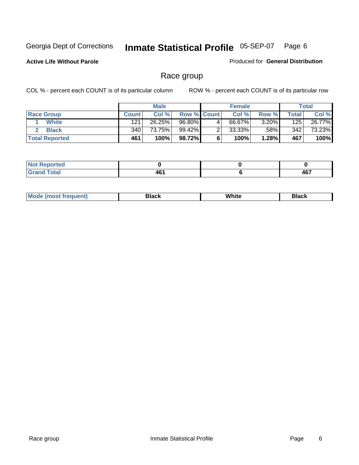**Active Life Without Parole** 

Produced for **General Distribution**

### Race group

|                       |                  | <b>Male</b> |                    |   | <b>Female</b> |          |       | <b>Total</b> |
|-----------------------|------------------|-------------|--------------------|---|---------------|----------|-------|--------------|
| <b>Race Group</b>     | <b>Count</b>     | Col %       | <b>Row % Count</b> |   | Col %         | Row %    | Total | Col %        |
| <b>White</b>          | 121              | 26.25%      | 96.80%             | 4 | 66.67%        | $3.20\%$ | 125   | 26.77%       |
| <b>Black</b>          | 340 <sub>1</sub> | 73.75%      | 99.42%             |   | $33.33\%$     | .58%     | 342   | 73.23%       |
| <b>Total Reported</b> | 461              | 100%        | 98.72%             |   | 100%          | 1.28%    | 467   | 100%         |

| <b>eported</b><br>$\sim$ . The set of $\sim$ |                          |              |
|----------------------------------------------|--------------------------|--------------|
| $f \wedge f \wedge f$<br>ι νιαι              | .<br>тч<br>$\sim$ $\sim$ | 167<br>$  -$ |

| $^1$ Mo. | Rlack | White | 3lack |
|----------|-------|-------|-------|
| .        |       |       |       |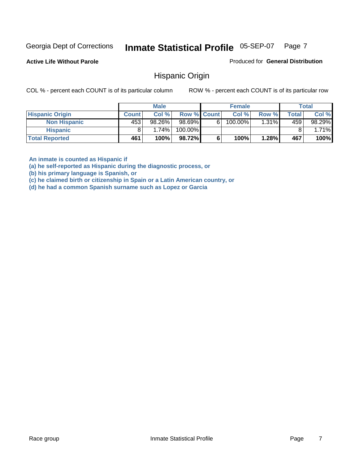**Active Life Without Parole** 

Produced for **General Distribution**

### Hispanic Origin

COL % - percent each COUNT is of its particular column ROW % - percent each COUNT is of its particular row

|                        |              | <b>Male</b> |                    |   | <b>Female</b> |          |              | <b>Total</b> |
|------------------------|--------------|-------------|--------------------|---|---------------|----------|--------------|--------------|
| <b>Hispanic Origin</b> | <b>Count</b> | Col %       | <b>Row % Count</b> |   | Col %         | Row %    | <b>Total</b> | Col %        |
| <b>Non Hispanic</b>    | 453          | 98.26%      | 98.69%             | 6 | 100.00%       | $1.31\%$ | 459          | $98.29\%$    |
| <b>Hispanic</b>        |              | 1.74%       | 100.00%            |   |               |          |              | 1.71%        |
| <b>Total Reported</b>  | 461          | 100%        | 98.72%             |   | 100%          | 1.28%    | 467          | 100%         |

**An inmate is counted as Hispanic if** 

**(a) he self-reported as Hispanic during the diagnostic process, or** 

**(b) his primary language is Spanish, or** 

**(c) he claimed birth or citizenship in Spain or a Latin American country, or** 

**(d) he had a common Spanish surname such as Lopez or Garcia**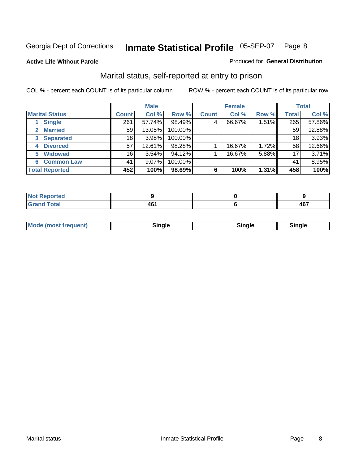**Active Life Without Parole** 

#### Produced for **General Distribution**

### Marital status, self-reported at entry to prison

|                                    | <b>Male</b>  |          |         | <b>Female</b> |        |       | <b>Total</b> |        |
|------------------------------------|--------------|----------|---------|---------------|--------|-------|--------------|--------|
| <b>Marital Status</b>              | <b>Count</b> | Col %    | Row %   | <b>Count</b>  | Col %  | Row % | <b>Total</b> | Col %  |
| <b>Single</b>                      | 261          | 57.74%   | 98.49%  | 4             | 66.67% | 1.51% | 265          | 57.86% |
| <b>Married</b>                     | 59           | 13.05%   | 100.00% |               |        |       | 59           | 12.88% |
| <b>Separated</b><br>3 <sup>1</sup> | 18           | 3.98%    | 100.00% |               |        |       | 18           | 3.93%  |
| <b>Divorced</b><br>4               | 57           | 12.61%   | 98.28%  |               | 16.67% | 1.72% | 58           | 12.66% |
| <b>Widowed</b><br>5                | 16           | $3.54\%$ | 94.12%  |               | 16.67% | 5.88% | 17           | 3.71%  |
| <b>Common Law</b><br>6             | 41           | 9.07%    | 100.00% |               |        |       | 41           | 8.95%  |
| <b>Total Reported</b>              | 452          | 100%     | 98.69%  | 6             | 100%   | 1.31% | 458          | 100%   |

| THE.                        |                   |                        |
|-----------------------------|-------------------|------------------------|
| $\sim$ $\sim$ $\sim$ $\sim$ | AB'<br>т.<br>$ -$ | 1 G 7<br>. .<br>$\sim$ |

| <b>Mode (most frequent)</b><br>Sinale<br>≒ınale |
|-------------------------------------------------|
|-------------------------------------------------|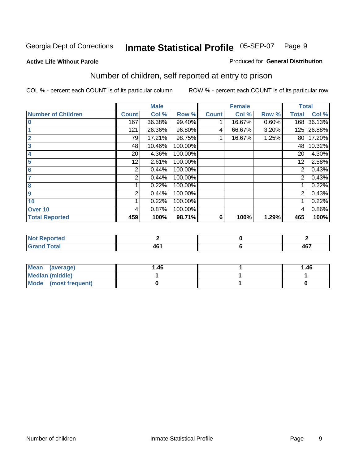#### **Active Life Without Parole**

#### Produced for **General Distribution**

### Number of children, self reported at entry to prison

|                           |              | <b>Male</b> |         |              | <b>Female</b> |       | <b>Total</b> |        |
|---------------------------|--------------|-------------|---------|--------------|---------------|-------|--------------|--------|
| <b>Number of Children</b> | <b>Count</b> | Col %       | Row %   | <b>Count</b> | Col %         | Row % | <b>Total</b> | Col %  |
| $\bf{0}$                  | 167          | 36.38%      | 99.40%  |              | 16.67%        | 0.60% | 168          | 36.13% |
|                           | 121          | 26.36%      | 96.80%  | 4            | 66.67%        | 3.20% | 125          | 26.88% |
| $\overline{2}$            | 79           | 17.21%      | 98.75%  |              | 16.67%        | 1.25% | 80           | 17.20% |
| 3                         | 48           | 10.46%      | 100.00% |              |               |       | 48           | 10.32% |
| 4                         | 20           | 4.36%       | 100.00% |              |               |       | 20           | 4.30%  |
| 5                         | 12           | 2.61%       | 100.00% |              |               |       | 12           | 2.58%  |
| $6\phantom{a}$            | 2            | 0.44%       | 100.00% |              |               |       | 2            | 0.43%  |
|                           | 2            | 0.44%       | 100.00% |              |               |       | 2            | 0.43%  |
| 8                         |              | 0.22%       | 100.00% |              |               |       |              | 0.22%  |
| 9                         | 2            | 0.44%       | 100.00% |              |               |       | 2            | 0.43%  |
| 10                        |              | 0.22%       | 100.00% |              |               |       |              | 0.22%  |
| Over 10                   | 4            | 0.87%       | 100.00% |              |               |       | 4            | 0.86%  |
| <b>Total Reported</b>     | 459          | 100%        | 98.71%  | 6            | 100%          | 1.29% | 465          | 100%   |

| prteu<br>$\sim$                         |        |                      |
|-----------------------------------------|--------|----------------------|
| <b>otal</b><br>$\sim$ . $\sim$ . $\sim$ | $\sim$ | $\sim$<br>л ь<br>TV. |

| <b>Mean</b><br>(average) | 1.46 | 1.46 |
|--------------------------|------|------|
| Median (middle)          |      |      |
| Mode (most frequent)     |      |      |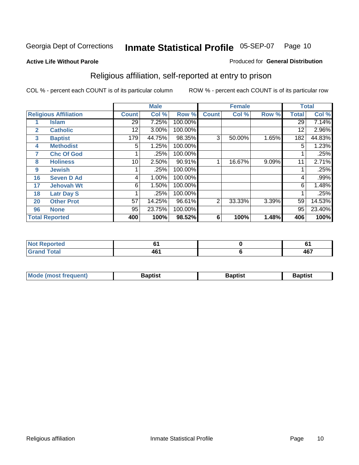#### **Active Life Without Parole**

#### Produced for **General Distribution**

### Religious affiliation, self-reported at entry to prison

|              |                              |              | <b>Male</b> |         |              | <b>Female</b> |       |              | <b>Total</b> |
|--------------|------------------------------|--------------|-------------|---------|--------------|---------------|-------|--------------|--------------|
|              | <b>Religious Affiliation</b> | <b>Count</b> | Col %       | Row %   | <b>Count</b> | Col %         | Row % | <b>Total</b> | Col %        |
|              | <b>Islam</b>                 | 29           | 7.25%       | 100.00% |              |               |       | 29           | 7.14%        |
| $\mathbf{2}$ | <b>Catholic</b>              | 12           | 3.00%       | 100.00% |              |               |       | 12           | 2.96%        |
| 3            | <b>Baptist</b>               | 179          | 44.75%      | 98.35%  | 3            | 50.00%        | 1.65% | 182          | 44.83%       |
| 4            | <b>Methodist</b>             | 5            | 1.25%       | 100.00% |              |               |       | 5            | 1.23%        |
| 7            | <b>Chc Of God</b>            |              | .25%        | 100.00% |              |               |       |              | .25%         |
| 8            | <b>Holiness</b>              | 10           | 2.50%       | 90.91%  |              | 16.67%        | 9.09% | 11           | 2.71%        |
| 9            | <b>Jewish</b>                |              | .25%        | 100.00% |              |               |       |              | .25%         |
| 16           | <b>Seven D Ad</b>            | 4            | 1.00%       | 100.00% |              |               |       | 4            | $.99\%$      |
| 17           | <b>Jehovah Wt</b>            | 6            | 1.50%       | 100.00% |              |               |       | 6            | 1.48%        |
| 18           | <b>Latr Day S</b>            |              | .25%        | 100.00% |              |               |       |              | .25%         |
| 20           | <b>Other Prot</b>            | 57           | 14.25%      | 96.61%  | 2            | 33.33%        | 3.39% | 59           | 14.53%       |
| 96           | <b>None</b>                  | 95           | 23.75%      | 100.00% |              |               |       | 95           | 23.40%       |
|              | <b>Total Reported</b>        | 400          | 100%        | 98.52%  | 6            | 100%          | 1.48% | 406          | 100%         |

| <b>rted</b> |   | u         |
|-------------|---|-----------|
| <b>otal</b> | . | A67<br>TV |

| ' Mo<br>went | <b>}aptist</b> | Baptist<br>$ -$ | <b>Baptist</b> |
|--------------|----------------|-----------------|----------------|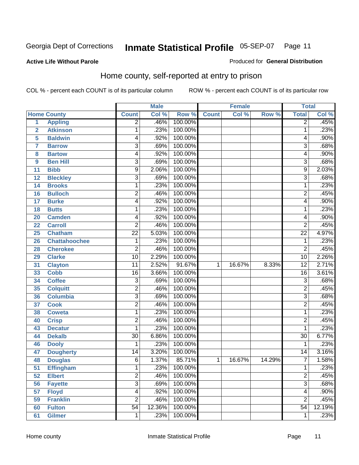#### **Active Life Without Parole**

#### Produced for **General Distribution**

### Home county, self-reported at entry to prison

|                |                      |                 | <b>Male</b> |         |              | <b>Female</b> |        | <b>Total</b>    |        |
|----------------|----------------------|-----------------|-------------|---------|--------------|---------------|--------|-----------------|--------|
|                | <b>Home County</b>   | <b>Count</b>    | Col %       | Row %   | <b>Count</b> | Col %         | Row %  | <b>Total</b>    | Col %  |
| $\overline{1}$ | <b>Appling</b>       | $\overline{2}$  | .46%        | 100.00% |              |               |        | $\overline{2}$  | .45%   |
| $\overline{2}$ | <b>Atkinson</b>      | 1               | .23%        | 100.00% |              |               |        | 1               | .23%   |
| 5              | <b>Baldwin</b>       | 4               | .92%        | 100.00% |              |               |        | 4               | .90%   |
| 7              | <b>Barrow</b>        | $\overline{3}$  | .69%        | 100.00% |              |               |        | 3               | .68%   |
| 8              | <b>Bartow</b>        | 4               | .92%        | 100.00% |              |               |        | 4               | .90%   |
| 9              | <b>Ben Hill</b>      | 3               | .69%        | 100.00% |              |               |        | $\overline{3}$  | .68%   |
| 11             | <b>Bibb</b>          | 9               | 2.06%       | 100.00% |              |               |        | 9               | 2.03%  |
| 12             | <b>Bleckley</b>      | 3               | .69%        | 100.00% |              |               |        | 3               | .68%   |
| 14             | <b>Brooks</b>        | 1               | .23%        | 100.00% |              |               |        | 1               | .23%   |
| 16             | <b>Bulloch</b>       | $\overline{2}$  | .46%        | 100.00% |              |               |        | $\overline{2}$  | .45%   |
| 17             | <b>Burke</b>         | 4               | .92%        | 100.00% |              |               |        | 4               | .90%   |
| 18             | <b>Butts</b>         | 1               | .23%        | 100.00% |              |               |        | 1               | .23%   |
| 20             | <b>Camden</b>        | 4               | .92%        | 100.00% |              |               |        | 4               | .90%   |
| 22             | <b>Carroll</b>       | $\overline{2}$  | .46%        | 100.00% |              |               |        | $\overline{2}$  | .45%   |
| 25             | <b>Chatham</b>       | $\overline{22}$ | 5.03%       | 100.00% |              |               |        | $\overline{22}$ | 4.97%  |
| 26             | <b>Chattahoochee</b> | 1               | .23%        | 100.00% |              |               |        | 1               | .23%   |
| 28             | <b>Cherokee</b>      | $\overline{2}$  | .46%        | 100.00% |              |               |        | $\overline{2}$  | .45%   |
| 29             | <b>Clarke</b>        | $\overline{10}$ | 2.29%       | 100.00% |              |               |        | $\overline{10}$ | 2.26%  |
| 31             | <b>Clayton</b>       | $\overline{11}$ | 2.52%       | 91.67%  | 1            | 16.67%        | 8.33%  | $\overline{12}$ | 2.71%  |
| 33             | <b>Cobb</b>          | $\overline{16}$ | 3.66%       | 100.00% |              |               |        | 16              | 3.61%  |
| 34             | <b>Coffee</b>        | $\overline{3}$  | .69%        | 100.00% |              |               |        | $\overline{3}$  | .68%   |
| 35             | <b>Colquitt</b>      | $\overline{2}$  | .46%        | 100.00% |              |               |        | $\overline{2}$  | .45%   |
| 36             | <b>Columbia</b>      | $\overline{3}$  | .69%        | 100.00% |              |               |        | $\overline{3}$  | .68%   |
| 37             | <b>Cook</b>          | 2               | .46%        | 100.00% |              |               |        | $\overline{2}$  | .45%   |
| 38             | <b>Coweta</b>        | 1               | .23%        | 100.00% |              |               |        | 1               | .23%   |
| 40             | <b>Crisp</b>         | $\overline{2}$  | .46%        | 100.00% |              |               |        | $\overline{2}$  | .45%   |
| 43             | <b>Decatur</b>       | 1               | .23%        | 100.00% |              |               |        | 1               | .23%   |
| 44             | <b>Dekalb</b>        | 30              | 6.86%       | 100.00% |              |               |        | $\overline{30}$ | 6.77%  |
| 46             | <b>Dooly</b>         | 1               | .23%        | 100.00% |              |               |        | 1               | .23%   |
| 47             | <b>Dougherty</b>     | 14              | 3.20%       | 100.00% |              |               |        | $\overline{14}$ | 3.16%  |
| 48             | <b>Douglas</b>       | 6               | 1.37%       | 85.71%  | 1            | 16.67%        | 14.29% | $\overline{7}$  | 1.58%  |
| 51             | <b>Effingham</b>     | 1               | .23%        | 100.00% |              |               |        | 1               | .23%   |
| 52             | <b>Elbert</b>        | $\overline{2}$  | .46%        | 100.00% |              |               |        | $\overline{2}$  | .45%   |
| 56             | <b>Fayette</b>       | $\overline{3}$  | .69%        | 100.00% |              |               |        | $\overline{3}$  | .68%   |
| 57             | <b>Floyd</b>         | $\overline{4}$  | .92%        | 100.00% |              |               |        | 4               | .90%   |
| 59             | <b>Franklin</b>      | $\overline{2}$  | .46%        | 100.00% |              |               |        | $\overline{2}$  | .45%   |
| 60             | <b>Fulton</b>        | $\overline{54}$ | 12.36%      | 100.00% |              |               |        | $\overline{54}$ | 12.19% |
| 61             | <b>Gilmer</b>        | 1               | .23%        | 100.00% |              |               |        | 1               | .23%   |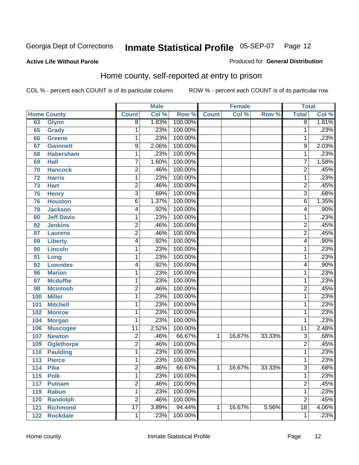Produced for **General Distribution**

#### **Active Life Without Parole**

### Home county, self-reported at entry to prison

|     |                    |                 | <b>Male</b> |         |              | <b>Female</b> |        | <b>Total</b>    |       |
|-----|--------------------|-----------------|-------------|---------|--------------|---------------|--------|-----------------|-------|
|     | <b>Home County</b> | <b>Count</b>    | Col %       | Row %   | <b>Count</b> | Col %         | Row %  | <b>Total</b>    | Col%  |
| 63  | <b>Glynn</b>       | $\overline{8}$  | 1.83%       | 100.00% |              |               |        | $\overline{8}$  | 1.81% |
| 65  | Grady              | 1               | .23%        | 100.00% |              |               |        | 1               | .23%  |
| 66  | <b>Greene</b>      | 1               | .23%        | 100.00% |              |               |        | 1               | .23%  |
| 67  | <b>Gwinnett</b>    | $\overline{9}$  | 2.06%       | 100.00% |              |               |        | 9               | 2.03% |
| 68  | <b>Habersham</b>   | 1               | .23%        | 100.00% |              |               |        | 1               | .23%  |
| 69  | <b>Hall</b>        | 7               | 1.60%       | 100.00% |              |               |        | 7               | 1.58% |
| 70  | <b>Hancock</b>     | $\overline{2}$  | .46%        | 100.00% |              |               |        | $\overline{2}$  | .45%  |
| 72  | <b>Harris</b>      | 1               | .23%        | 100.00% |              |               |        | 1               | .23%  |
| 73  | <b>Hart</b>        | $\overline{c}$  | .46%        | 100.00% |              |               |        | $\overline{2}$  | .45%  |
| 75  | <b>Henry</b>       | 3               | .69%        | 100.00% |              |               |        | $\overline{3}$  | .68%  |
| 76  | <b>Houston</b>     | 6               | 1.37%       | 100.00% |              |               |        | $\overline{6}$  | 1.35% |
| 78  | <b>Jackson</b>     | 4               | .92%        | 100.00% |              |               |        | 4               | .90%  |
| 80  | <b>Jeff Davis</b>  | 1               | .23%        | 100.00% |              |               |        | 1               | .23%  |
| 82  | <b>Jenkins</b>     | 2               | .46%        | 100.00% |              |               |        | $\overline{2}$  | .45%  |
| 87  | <b>Laurens</b>     | $\overline{2}$  | .46%        | 100.00% |              |               |        | $\overline{2}$  | .45%  |
| 89  | <b>Liberty</b>     | 4               | .92%        | 100.00% |              |               |        | 4               | .90%  |
| 90  | <b>Lincoln</b>     | 1               | .23%        | 100.00% |              |               |        | 1               | .23%  |
| 91  | Long               | 1               | .23%        | 100.00% |              |               |        | 1               | .23%  |
| 92  | <b>Lowndes</b>     | 4               | .92%        | 100.00% |              |               |        | 4               | .90%  |
| 96  | <b>Marion</b>      | $\mathbf{1}$    | .23%        | 100.00% |              |               |        | 1               | .23%  |
| 97  | <b>Mcduffie</b>    | 1               | .23%        | 100.00% |              |               |        | 1               | .23%  |
| 98  | <b>Mcintosh</b>    | $\overline{2}$  | .46%        | 100.00% |              |               |        | $\overline{2}$  | .45%  |
| 100 | <b>Miller</b>      | $\mathbf{1}$    | .23%        | 100.00% |              |               |        | 1               | .23%  |
| 101 | <b>Mitchell</b>    | 1               | .23%        | 100.00% |              |               |        | 1               | .23%  |
| 102 | <b>Monroe</b>      | 1               | .23%        | 100.00% |              |               |        | 1               | .23%  |
| 104 | <b>Morgan</b>      | 1               | .23%        | 100.00% |              |               |        | 1               | .23%  |
| 106 | <b>Muscogee</b>    | $\overline{11}$ | 2.52%       | 100.00% |              |               |        | 11              | 2.48% |
| 107 | <b>Newton</b>      | $\overline{2}$  | .46%        | 66.67%  | 1            | 16.67%        | 33.33% | $\overline{3}$  | .68%  |
| 109 | <b>Oglethorpe</b>  | $\overline{2}$  | .46%        | 100.00% |              |               |        | $\overline{c}$  | .45%  |
| 110 | <b>Paulding</b>    | $\mathbf{1}$    | .23%        | 100.00% |              |               |        | 1               | .23%  |
| 113 | <b>Pierce</b>      | 1               | .23%        | 100.00% |              |               |        | 1               | .23%  |
| 114 | <b>Pike</b>        | 2               | .46%        | 66.67%  | $\mathbf{1}$ | 16.67%        | 33.33% | 3               | .68%  |
| 115 | <b>Polk</b>        | $\mathbf{1}$    | .23%        | 100.00% |              |               |        | 1               | .23%  |
| 117 | <b>Putnam</b>      | $\overline{2}$  | .46%        | 100.00% |              |               |        | $\overline{2}$  | .45%  |
| 119 | <b>Rabun</b>       | 1               | .23%        | 100.00% |              |               |        | 1               | .23%  |
| 120 | <b>Randolph</b>    | $\overline{2}$  | .46%        | 100.00% |              |               |        | $\overline{2}$  | .45%  |
| 121 | <b>Richmond</b>    | $\overline{17}$ | 3.89%       | 94.44%  | 1            | 16.67%        | 5.56%  | $\overline{18}$ | 4.06% |
| 122 | <b>Rockdale</b>    | 1               | .23%        | 100.00% |              |               |        | 1               | .23%  |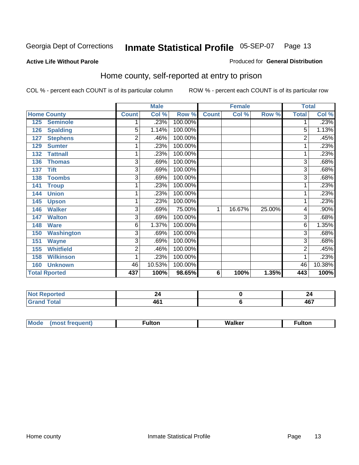#### **Active Life Without Parole**

#### Produced for **General Distribution**

### Home county, self-reported at entry to prison

|     |                      |                | <b>Male</b> |         |              | <b>Female</b> |        | <b>Total</b> |        |
|-----|----------------------|----------------|-------------|---------|--------------|---------------|--------|--------------|--------|
|     | <b>Home County</b>   | <b>Count</b>   | Col %       | Row %   | <b>Count</b> | Col %         | Row %  | <b>Total</b> | Col %  |
| 125 | <b>Seminole</b>      |                | .23%        | 100.00% |              |               |        |              | .23%   |
| 126 | <b>Spalding</b>      | $\overline{5}$ | 1.14%       | 100.00% |              |               |        | 5            | 1.13%  |
| 127 | <b>Stephens</b>      | $\overline{2}$ | .46%        | 100.00% |              |               |        | 2            | .45%   |
| 129 | <b>Sumter</b>        | 1              | .23%        | 100.00% |              |               |        |              | .23%   |
| 132 | <b>Tattnall</b>      | 1              | .23%        | 100.00% |              |               |        | 1            | .23%   |
| 136 | <b>Thomas</b>        | $\overline{3}$ | .69%        | 100.00% |              |               |        | 3            | .68%   |
| 137 | <b>Tift</b>          | 3              | .69%        | 100.00% |              |               |        | 3            | .68%   |
| 138 | <b>Toombs</b>        | 3              | .69%        | 100.00% |              |               |        | 3            | .68%   |
| 141 | <b>Troup</b>         | 1              | .23%        | 100.00% |              |               |        |              | .23%   |
| 144 | <b>Union</b>         | 1              | .23%        | 100.00% |              |               |        |              | .23%   |
| 145 | <b>Upson</b>         | 1              | .23%        | 100.00% |              |               |        |              | .23%   |
| 146 | <b>Walker</b>        | 3              | .69%        | 75.00%  | 1            | 16.67%        | 25.00% | 4            | .90%   |
| 147 | <b>Walton</b>        | 3              | .69%        | 100.00% |              |               |        | 3            | .68%   |
| 148 | <b>Ware</b>          | 6              | 1.37%       | 100.00% |              |               |        | 6            | 1.35%  |
| 150 | <b>Washington</b>    | 3              | .69%        | 100.00% |              |               |        | 3            | .68%   |
| 151 | <b>Wayne</b>         | $\overline{3}$ | .69%        | 100.00% |              |               |        | 3            | .68%   |
| 155 | <b>Whitfield</b>     | $\overline{2}$ | .46%        | 100.00% |              |               |        | 2            | .45%   |
| 158 | <b>Wilkinson</b>     | 1              | .23%        | 100.00% |              |               |        |              | .23%   |
| 160 | <b>Unknown</b>       | 46             | 10.53%      | 100.00% |              |               |        | 46           | 10.38% |
|     | <b>Total Rported</b> | 437            | 100%        | 98.65%  | 6            | 100%          | 1.35%  | 443          | 100%   |

| .<br>Reported     |                   | 44            |
|-------------------|-------------------|---------------|
| <b>otal</b><br>-- | .<br>ŧυ<br>$\sim$ | 467<br>$\sim$ |

| $^{\circ}$ M <sub>c</sub><br>w | __________ |
|--------------------------------|------------|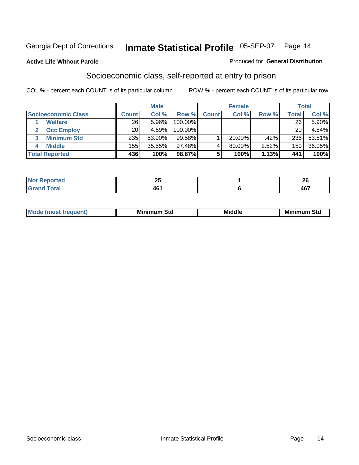#### **Active Life Without Parole**

#### Produced for **General Distribution**

### Socioeconomic class, self-reported at entry to prison

|                            |                | <b>Male</b> |            |         | <b>Female</b> |       |       | <b>Total</b> |
|----------------------------|----------------|-------------|------------|---------|---------------|-------|-------|--------------|
| <b>Socioeconomic Class</b> | <b>Count</b> l | Col %       | Row %      | Count l | Col %         | Row % | Total | Col %        |
| <b>Welfare</b>             | 26             | 5.96%       | 100.00%    |         |               |       | 26    | 5.90%        |
| <b>Occ Employ</b>          | 20             | 4.59%       | $100.00\%$ |         |               |       | 20    | 4.54%        |
| <b>Minimum Std</b>         | 235            | 53.90%      | $99.58\%$  |         | 20.00%        | .42%  | 236   | 53.51%       |
| <b>Middle</b>              | 155            | 35.55%      | 97.48%I    |         | 80.00%        | 2.52% | 159   | 36.05%       |
| <b>Total Reported</b>      | 436            | 100%        | 98.87%     |         | 100%          | 1.13% | 441   | 100%         |

| neo      | ሳር<br>ZJ | $\sim$<br>Δv |
|----------|----------|--------------|
| υιαι     | AC'      | 1C7          |
| $\sim$ . | TV L     | 40 I         |

| .<br>___ |
|----------|
|----------|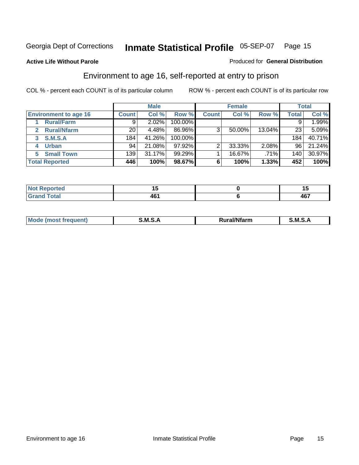**Active Life Without Parole** 

#### Produced for **General Distribution**

### Environment to age 16, self-reported at entry to prison

|                              |                  | <b>Male</b> |            |              | <b>Female</b> |        |              | <b>Total</b> |
|------------------------------|------------------|-------------|------------|--------------|---------------|--------|--------------|--------------|
| <b>Environment to age 16</b> | <b>Count</b>     | Col %       | Row %      | <b>Count</b> | Col %         | Row %  | <b>Total</b> | Col %        |
| <b>Rural/Farm</b>            | 9                | 2.02%       | 100.00%    |              |               |        |              | 1.99%        |
| <b>Rural/Nfarm</b><br>2      | 20               | 4.48%       | 86.96%     | 3            | 50.00%        | 13.04% | 23           | 5.09%        |
| S.M.S.A<br>3                 | 184 <sub>1</sub> | 41.26%      | $100.00\%$ |              |               |        | 184          | 40.71%       |
| <b>Urban</b>                 | 94               | 21.08%      | $97.92\%$  |              | 33.33%        | 2.08%  | 96           | 21.24%       |
| <b>Small Town</b>            | 139              | 31.17%      | $99.29\%$  |              | 16.67%        | .71%   | 140          | 30.97%       |
| <b>Total Reported</b>        | 446              | 100%        | 98.67%     | 6            | 100%          | 1.33%  | 452          | 100%         |

| <b>rted</b>  |                 | . .   |
|--------------|-----------------|-------|
| <b>Total</b> | AR <sup>.</sup> | 1 C 7 |
| Grand        | ו שד            | 407   |

| Mo<br>м s<br>M<br>---<br>.<br>□……<br>rarr |  |  |
|-------------------------------------------|--|--|
|                                           |  |  |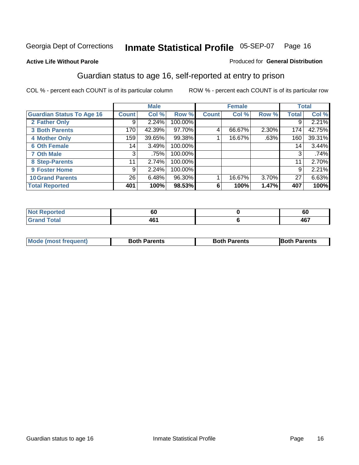Produced for **General Distribution**

#### **Active Life Without Parole**

### Guardian status to age 16, self-reported at entry to prison

|                                  |              | <b>Male</b> |         |              | <b>Female</b> |       |              | <b>Total</b> |
|----------------------------------|--------------|-------------|---------|--------------|---------------|-------|--------------|--------------|
| <b>Guardian Status To Age 16</b> | <b>Count</b> | Col %       | Row %   | <b>Count</b> | Col %         | Row % | <b>Total</b> | Col %        |
| 2 Father Only                    | 9            | 2.24%       | 100.00% |              |               |       | 9            | 2.21%        |
| <b>3 Both Parents</b>            | 170          | 42.39%      | 97.70%  | 4            | 66.67%        | 2.30% | 174          | 42.75%       |
| <b>4 Mother Only</b>             | 159          | 39.65%      | 99.38%  |              | 16.67%        | .63%  | 160          | 39.31%       |
| <b>6 Oth Female</b>              | 14           | 3.49%       | 100.00% |              |               |       | 14           | 3.44%        |
| <b>7 Oth Male</b>                | 3            | .75%        | 100.00% |              |               |       | 3            | .74%         |
| 8 Step-Parents                   | 11           | 2.74%       | 100.00% |              |               |       | 11           | 2.70%        |
| 9 Foster Home                    | 9            | 2.24%       | 100.00% |              |               |       | 9            | 2.21%        |
| <b>10 Grand Parents</b>          | 26           | 6.48%       | 96.30%  |              | 16.67%        | 3.70% | 27           | 6.63%        |
| <b>Total Reported</b>            | 401          | 100%        | 98.53%  | 6            | 100%          | 1.47% | 407          | 100%         |

| .      | งบ                | οu  |
|--------|-------------------|-----|
| i vlai | /I F<br>тv<br>___ | 467 |

| Mode (most frequent) | <b>Both Parents</b> | <b>Both Parents</b> | <b>IBoth Parents</b> |
|----------------------|---------------------|---------------------|----------------------|
|                      |                     |                     |                      |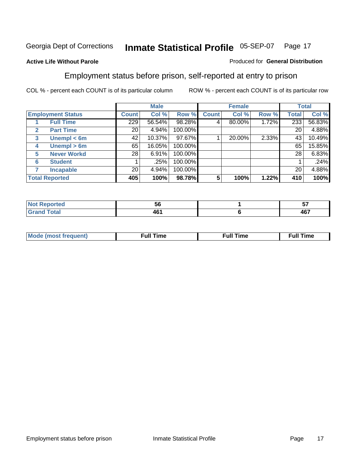#### **Active Life Without Parole**

#### Produced for **General Distribution**

### Employment status before prison, self-reported at entry to prison

|              |                          |       | <b>Male</b> |         |              | <b>Female</b> |       |              | <b>Total</b> |
|--------------|--------------------------|-------|-------------|---------|--------------|---------------|-------|--------------|--------------|
|              | <b>Employment Status</b> | Count | Col %       | Row %   | <b>Count</b> | Col %         | Row % | <b>Total</b> | Col %        |
|              | <b>Full Time</b>         | 229   | 56.54%      | 98.28%  |              | 80.00%        | 1.72% | 233          | 56.83%       |
| $\mathbf{2}$ | <b>Part Time</b>         | 20    | 4.94%       | 100.00% |              |               |       | 20           | 4.88%        |
| 3            | Unempl $<$ 6m            | 42    | 10.37%      | 97.67%  |              | 20.00%        | 2.33% | 43           | 10.49%       |
| 4            | Unempl $> 6m$            | 65    | 16.05%      | 100.00% |              |               |       | 65           | 15.85%       |
| 5            | <b>Never Workd</b>       | 28    | 6.91%       | 100.00% |              |               |       | 28           | 6.83%        |
| 6            | <b>Student</b>           |       | .25%        | 100.00% |              |               |       |              | .24%         |
|              | <b>Incapable</b>         | 20    | 4.94%       | 100.00% |              |               |       | 20           | 4.88%        |
|              | <b>Total Reported</b>    | 405   | 100%        | 98.78%  | 5            | 100%          | 1.22% | 410          | 100%         |

| -тес          | - -<br>ჂႩ | --<br>v. |
|---------------|-----------|----------|
| <b>Coto</b> " | $\sim$    | 107      |
|               | 7V I      | יש       |

| <b>M</b> ດ | the contract of the contract of the contract of the contract of the contract of the contract of the contract of | , ull i<br>ıme<br>the contract of the contract of the contract of the contract of the contract of the contract of the contract of | ïme<br>uı<br>$\sim$ $\sim$ $\sim$ $\sim$ $\sim$ |
|------------|-----------------------------------------------------------------------------------------------------------------|-----------------------------------------------------------------------------------------------------------------------------------|-------------------------------------------------|
|            |                                                                                                                 |                                                                                                                                   |                                                 |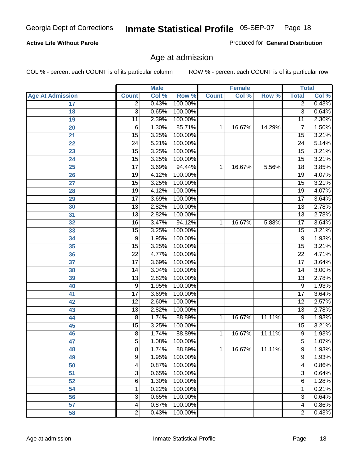#### **Active Life Without Parole**

Produced for **General Distribution**

### Age at admission

|                         |                 | <b>Male</b> |         | <b>Female</b> |        | <b>Total</b> |                 |       |
|-------------------------|-----------------|-------------|---------|---------------|--------|--------------|-----------------|-------|
| <b>Age At Admission</b> | <b>Count</b>    | Col %       | Row %   | <b>Count</b>  | Col %  | Row %        | <b>Total</b>    | Col % |
| 17                      | $\overline{2}$  | 0.43%       | 100.00% |               |        |              | 2               | 0.43% |
| 18                      | $\overline{3}$  | 0.65%       | 100.00% |               |        |              | $\overline{3}$  | 0.64% |
| 19                      | $\overline{11}$ | 2.39%       | 100.00% |               |        |              | $\overline{11}$ | 2.36% |
| 20                      | 6               | 1.30%       | 85.71%  | 1             | 16.67% | 14.29%       | 7               | 1.50% |
| 21                      | 15              | 3.25%       | 100.00% |               |        |              | 15              | 3.21% |
| 22                      | $\overline{24}$ | 5.21%       | 100.00% |               |        |              | $\overline{24}$ | 5.14% |
| 23                      | $\overline{15}$ | 3.25%       | 100.00% |               |        |              | $\overline{15}$ | 3.21% |
| 24                      | $\overline{15}$ | 3.25%       | 100.00% |               |        |              | 15              | 3.21% |
| 25                      | $\overline{17}$ | 3.69%       | 94.44%  | 1             | 16.67% | 5.56%        | $\overline{18}$ | 3.85% |
| 26                      | 19              | 4.12%       | 100.00% |               |        |              | 19              | 4.07% |
| 27                      | $\overline{15}$ | 3.25%       | 100.00% |               |        |              | $\overline{15}$ | 3.21% |
| 28                      | 19              | 4.12%       | 100.00% |               |        |              | 19              | 4.07% |
| 29                      | $\overline{17}$ | 3.69%       | 100.00% |               |        |              | $\overline{17}$ | 3.64% |
| 30                      | $\overline{13}$ | 2.82%       | 100.00% |               |        |              | $\overline{13}$ | 2.78% |
| 31                      | $\overline{13}$ | 2.82%       | 100.00% |               |        |              | $\overline{13}$ | 2.78% |
| 32                      | $\overline{16}$ | 3.47%       | 94.12%  | 1             | 16.67% | 5.88%        | 17              | 3.64% |
| 33                      | 15              | 3.25%       | 100.00% |               |        |              | 15              | 3.21% |
| 34                      | 9               | 1.95%       | 100.00% |               |        |              | 9               | 1.93% |
| 35                      | 15              | 3.25%       | 100.00% |               |        |              | $\overline{15}$ | 3.21% |
| 36                      | $\overline{22}$ | 4.77%       | 100.00% |               |        |              | $\overline{22}$ | 4.71% |
| 37                      | $\overline{17}$ | 3.69%       | 100.00% |               |        |              | $\overline{17}$ | 3.64% |
| 38                      | $\overline{14}$ | 3.04%       | 100.00% |               |        |              | 14              | 3.00% |
| 39                      | $\overline{13}$ | 2.82%       | 100.00% |               |        |              | $\overline{13}$ | 2.78% |
| 40                      | 9               | 1.95%       | 100.00% |               |        |              | 9               | 1.93% |
| 41                      | $\overline{17}$ | 3.69%       | 100.00% |               |        |              | $\overline{17}$ | 3.64% |
| 42                      | $\overline{12}$ | 2.60%       | 100.00% |               |        |              | 12              | 2.57% |
| 43                      | $\overline{13}$ | 2.82%       | 100.00% |               |        |              | $\overline{13}$ | 2.78% |
| 44                      | 8               | 1.74%       | 88.89%  | 1             | 16.67% | 11.11%       | 9               | 1.93% |
| 45                      | 15              | 3.25%       | 100.00% |               |        |              | $\overline{15}$ | 3.21% |
| 46                      | $\overline{8}$  | 1.74%       | 88.89%  | 1             | 16.67% | 11.11%       | $\overline{9}$  | 1.93% |
| 47                      | 5               | 1.08%       | 100.00% |               |        |              | $\overline{5}$  | 1.07% |
| 48                      | 8               | 1.74%       | 88.89%  | 1             | 16.67% | 11.11%       | 9               | 1.93% |
| 49                      | 9               | 1.95%       | 100.00% |               |        |              | 9               | 1.93% |
| 50                      | 4               | 0.87%       | 100.00% |               |        |              | 4               | 0.86% |
| 51                      | 3               | 0.65%       | 100.00% |               |        |              | $\overline{3}$  | 0.64% |
| 52                      | 6               | 1.30%       | 100.00% |               |        |              | 6               | 1.28% |
| 54                      | 1               | 0.22%       | 100.00% |               |        |              | 1               | 0.21% |
| 56                      | 3               | 0.65%       | 100.00% |               |        |              | $\overline{3}$  | 0.64% |
| 57                      | 4               | 0.87%       | 100.00% |               |        |              | $\overline{4}$  | 0.86% |
| 58                      | $\overline{2}$  | 0.43%       | 100.00% |               |        |              | $\overline{2}$  | 0.43% |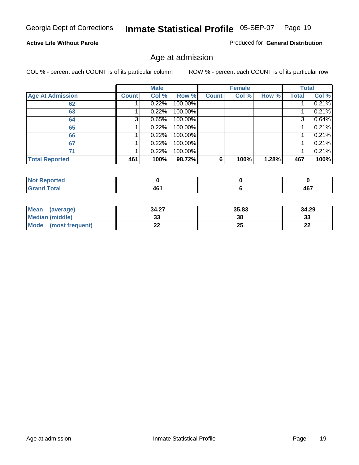#### **Active Life Without Parole**

Produced for **General Distribution**

### Age at admission

|                         |              | <b>Male</b> |         |              | <b>Female</b> |       |              | <b>Total</b> |
|-------------------------|--------------|-------------|---------|--------------|---------------|-------|--------------|--------------|
| <b>Age At Admission</b> | <b>Count</b> | Col %       | Row %   | <b>Count</b> | Col %         | Row % | <b>Total</b> | Col %        |
| 62                      |              | 0.22%       | 100.00% |              |               |       |              | 0.21%        |
| 63                      |              | 0.22%       | 100.00% |              |               |       |              | 0.21%        |
| 64                      | 3            | 0.65%       | 100.00% |              |               |       | 3            | 0.64%        |
| 65                      |              | 0.22%       | 100.00% |              |               |       |              | 0.21%        |
| 66                      |              | 0.22%       | 100.00% |              |               |       |              | 0.21%        |
| 67                      |              | 0.22%       | 100.00% |              |               |       |              | 0.21%        |
| 71                      |              | 0.22%       | 100.00% |              |               |       |              | 0.21%        |
| <b>Total Reported</b>   | 461          | 100%        | 98.72%  | 6            | 100%          | 1.28% | 467          | 100%         |

| AR'<br>$-$ | 107<br>. .<br>$-$ |
|------------|-------------------|

| Mean<br>(average)              | 34.27 | 35.83 | 34.29    |
|--------------------------------|-------|-------|----------|
| <b>Median (middle)</b>         | აა    | 38    | າາ<br>نە |
| <b>Mode</b><br>(most frequent) | LL    | 25    | n.<br>LL |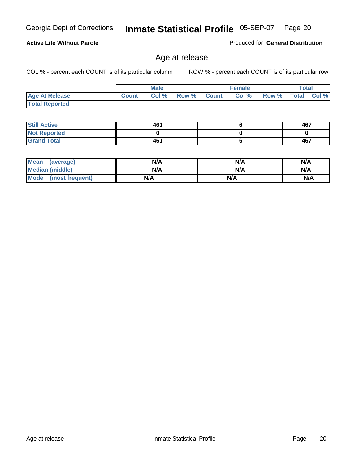**Active Life Without Parole** 

Georgia Dept of Corrections **Inmate Statistical Profile** 05-SEP-07 Page 20

### Produced for **General Distribution**

### Age at release

|                       |              | <b>Male</b> |       |              | <b>Female</b> |       |              | Total |
|-----------------------|--------------|-------------|-------|--------------|---------------|-------|--------------|-------|
| <b>Age At Release</b> | <b>Count</b> | Col %       | Row % | <b>Count</b> | Col %         | Row % | <b>Total</b> | Col % |
| <b>Total Reported</b> |              |             |       |              |               |       |              |       |

| <b>Still Active</b> | 461 | 467 |
|---------------------|-----|-----|
| <b>Not Reported</b> |     |     |
| <b>Grand Total</b>  | 461 | 467 |

| Mean (average)         | N/A | N/A | N/A |
|------------------------|-----|-----|-----|
| <b>Median (middle)</b> | N/A | N/A | N/A |
| Mode (most frequent)   | N/A | N/A | N/A |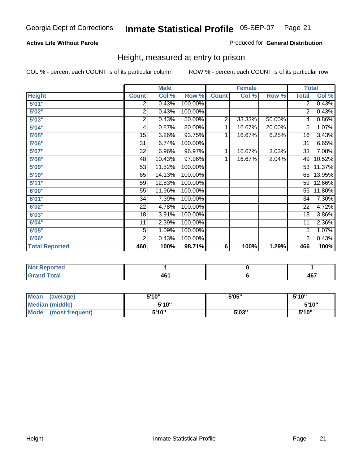#### **Active Life Without Parole**

#### Produced for **General Distribution**

### Height, measured at entry to prison

|                       |                | <b>Male</b> |         |                | <b>Female</b> |        |                 | <b>Total</b> |
|-----------------------|----------------|-------------|---------|----------------|---------------|--------|-----------------|--------------|
| <b>Height</b>         | <b>Count</b>   | Col %       | Row %   | <b>Count</b>   | Col %         | Row %  | <b>Total</b>    | Col %        |
| 5'01''                | 2              | 0.43%       | 100.00% |                |               |        | 2               | 0.43%        |
| 5'02"                 | $\overline{c}$ | 0.43%       | 100.00% |                |               |        | 2               | 0.43%        |
| 5'03"                 | 2              | 0.43%       | 50.00%  | $\overline{c}$ | 33.33%        | 50.00% | 4               | 0.86%        |
| 5'04"                 | 4              | 0.87%       | 80.00%  | 1              | 16.67%        | 20.00% | 5               | 1.07%        |
| 5'05"                 | 15             | 3.26%       | 93.75%  | 1              | 16.67%        | 6.25%  | 16              | 3.43%        |
| 5'06"                 | 31             | 6.74%       | 100.00% |                |               |        | $\overline{31}$ | 6.65%        |
| 5'07''                | 32             | 6.96%       | 96.97%  | 1              | 16.67%        | 3.03%  | 33              | 7.08%        |
| 5'08''                | 48             | 10.43%      | 97.96%  | 1              | 16.67%        | 2.04%  | 49              | 10.52%       |
| <b>5'09"</b>          | 53             | 11.52%      | 100.00% |                |               |        | 53              | 11.37%       |
| 5'10''                | 65             | 14.13%      | 100.00% |                |               |        | 65              | 13.95%       |
| 5'11''                | 59             | 12.83%      | 100.00% |                |               |        | 59              | 12.66%       |
| 6'00"                 | 55             | 11.96%      | 100.00% |                |               |        | 55              | 11.80%       |
| 6'01''                | 34             | 7.39%       | 100.00% |                |               |        | 34              | 7.30%        |
| 6'02''                | 22             | 4.78%       | 100.00% |                |               |        | 22              | 4.72%        |
| 6'03"                 | 18             | 3.91%       | 100.00% |                |               |        | 18              | 3.86%        |
| 6'04"                 | 11             | 2.39%       | 100.00% |                |               |        | 11              | 2.36%        |
| 6'05"                 | $\overline{5}$ | 1.09%       | 100.00% |                |               |        | 5               | 1.07%        |
| 6'06"                 | $\overline{2}$ | 0.43%       | 100.00% |                |               |        | $\overline{2}$  | 0.43%        |
| <b>Total Reported</b> | 460            | 100%        | 98.71%  | 6              | 100%          | 1.29%  | 466             | 100%         |

| oorted<br>TV 6<br>$\sim$         |     |            |
|----------------------------------|-----|------------|
| $int^{\bullet}$<br>---<br>______ | 461 | A67<br>TV. |

| Mean<br>(average)              | 5'10" | 5'05" | 5'10" |
|--------------------------------|-------|-------|-------|
| Median (middle)                | 5'10" |       | 5'10" |
| <b>Mode</b><br>(most frequent) | 5'10" | 5'03" | 5'10" |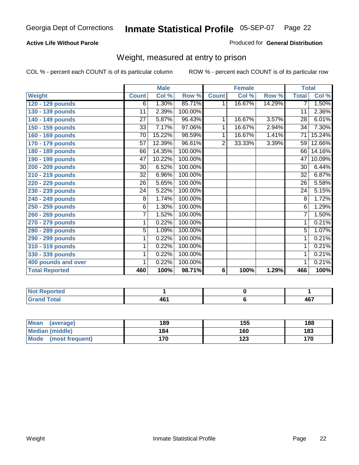#### **Active Life Without Parole**

#### Produced for **General Distribution**

### Weight, measured at entry to prison

|                       |                 | <b>Male</b> |         |                | <b>Female</b> |        |                 | <b>Total</b> |
|-----------------------|-----------------|-------------|---------|----------------|---------------|--------|-----------------|--------------|
| Weight                | <b>Count</b>    | Col %       | Row %   | <b>Count</b>   | Col %         | Row %  | <b>Total</b>    | Col %        |
| 120 - 129 pounds      | 6               | 1.30%       | 85.71%  | 1              | 16.67%        | 14.29% | $\overline{7}$  | 1.50%        |
| 130 - 139 pounds      | 11              | 2.39%       | 100.00% |                |               |        | 11              | 2.36%        |
| 140 - 149 pounds      | $\overline{27}$ | 5.87%       | 96.43%  | 1              | 16.67%        | 3.57%  | $\overline{28}$ | 6.01%        |
| 150 - 159 pounds      | $\overline{33}$ | 7.17%       | 97.06%  | 1              | 16.67%        | 2.94%  | $\overline{34}$ | 7.30%        |
| 160 - 169 pounds      | 70              | 15.22%      | 98.59%  | 1              | 16.67%        | 1.41%  | 71              | 15.24%       |
| 170 - 179 pounds      | 57              | 12.39%      | 96.61%  | $\overline{2}$ | 33.33%        | 3.39%  | 59              | 12.66%       |
| 180 - 189 pounds      | 66              | 14.35%      | 100.00% |                |               |        | 66              | 14.16%       |
| 190 - 199 pounds      | 47              | 10.22%      | 100.00% |                |               |        | 47              | 10.09%       |
| 200 - 209 pounds      | 30              | 6.52%       | 100.00% |                |               |        | 30              | 6.44%        |
| 210 - 219 pounds      | 32              | 6.96%       | 100.00% |                |               |        | 32              | 6.87%        |
| 220 - 229 pounds      | 26              | 5.65%       | 100.00% |                |               |        | 26              | 5.58%        |
| 230 - 239 pounds      | 24              | 5.22%       | 100.00% |                |               |        | $\overline{24}$ | 5.15%        |
| 240 - 249 pounds      | 8               | 1.74%       | 100.00% |                |               |        | 8               | 1.72%        |
| 250 - 259 pounds      | $\overline{6}$  | 1.30%       | 100.00% |                |               |        | $\overline{6}$  | 1.29%        |
| 260 - 269 pounds      | $\overline{7}$  | 1.52%       | 100.00% |                |               |        | 7               | 1.50%        |
| 270 - 279 pounds      | 1               | 0.22%       | 100.00% |                |               |        | 1               | 0.21%        |
| 280 - 289 pounds      | 5               | 1.09%       | 100.00% |                |               |        | $\overline{5}$  | 1.07%        |
| 290 - 299 pounds      | 1               | 0.22%       | 100.00% |                |               |        | 1               | 0.21%        |
| 310 - 319 pounds      | 1               | 0.22%       | 100.00% |                |               |        | 1               | 0.21%        |
| 330 - 339 pounds      | 1               | 0.22%       | 100.00% |                |               |        | 1               | 0.21%        |
| 400 pounds and over   | 1               | 0.22%       | 100.00% |                |               |        | 1               | 0.21%        |
| <b>Total Reported</b> | 460             | 100%        | 98.71%  | 6              | 100%          | 1.29%  | 466             | 100%         |

| <b>A 10</b><br>.<br><b>NO</b><br>™τeo |     |                  |
|---------------------------------------|-----|------------------|
| <b>Total</b>                          | ___ | A67<br>᠇៶<br>$-$ |

| <b>Mean</b><br>(average) | 189 | 155        | 188 |
|--------------------------|-----|------------|-----|
| Median (middle)          | 184 | 160        | 183 |
| Mode (most frequent)     | 170 | ィクク<br>د ۱ | 170 |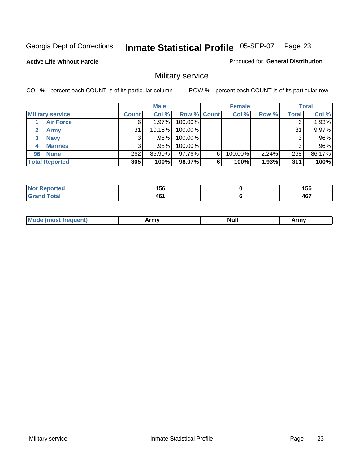**Active Life Without Parole** 

Produced for **General Distribution**

### Military service

|                         |              | <b>Male</b> |             |   | <b>Female</b> |       |              | <b>Total</b> |
|-------------------------|--------------|-------------|-------------|---|---------------|-------|--------------|--------------|
| <b>Military service</b> | <b>Count</b> | Col %       | Row % Count |   | Col %         | Row % | <b>Total</b> | Col %        |
| <b>Air Force</b>        | 6            | $1.97\%$    | 100.00%     |   |               |       | 6            | 1.93%        |
| <b>Army</b>             | 31           | $10.16\%$   | 100.00%     |   |               |       | 31           | 9.97%        |
| <b>Navy</b><br>3        |              | $.98\%$     | 100.00%     |   |               |       | 3            | .96%         |
| <b>Marines</b><br>4     | 3            | $.98\%$     | 100.00%     |   |               |       | 3            | .96%         |
| 96 None                 | 262          | 85.90%      | 97.76%      | 6 | 100.00%       | 2.24% | 268          | 86.17%       |
| <b>Total Reported</b>   | 305          | 100%        | 98.07%      | 6 | 100%          | 1.93% | 311          | 100%         |

| <b>\rted</b> | 1 E C<br>סכו<br>__ | 156<br>__         |
|--------------|--------------------|-------------------|
| $C = 4 - 1$  | 16'<br>70          | <b>AG7</b><br>Ήν. |

| M<br><b>INUIL</b><br>.<br>. |
|-----------------------------|
|-----------------------------|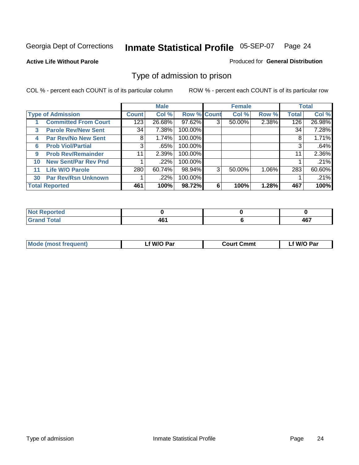#### **Active Life Without Parole**

#### Produced for **General Distribution**

### Type of admission to prison

|    |                             |              | <b>Male</b> |                    |   | <b>Female</b> |          |              | <b>Total</b> |
|----|-----------------------------|--------------|-------------|--------------------|---|---------------|----------|--------------|--------------|
|    | <b>Type of Admission</b>    | <b>Count</b> | Col %       | <b>Row % Count</b> |   | Col %         | Row %    | <b>Total</b> | Col %        |
|    | <b>Committed From Court</b> | 123          | 26.68%      | 97.62%             | 3 | 50.00%        | 2.38%    | 126          | 26.98%       |
| 3  | <b>Parole Rev/New Sent</b>  | 34           | 7.38%       | 100.00%            |   |               |          | 34           | 7.28%        |
| 4  | <b>Par Rev/No New Sent</b>  | 8            | 1.74%       | 100.00%            |   |               |          | 8            | 1.71%        |
| 6  | <b>Prob Viol/Partial</b>    | 3            | .65%        | 100.00%            |   |               |          |              | .64%         |
| 9  | <b>Prob Rev/Remainder</b>   | 11           | 2.39%       | 100.00%            |   |               |          | 11           | 2.36%        |
| 10 | <b>New Sent/Par Rev Pnd</b> |              | .22%        | 100.00%            |   |               |          |              | .21%         |
| 11 | <b>Life W/O Parole</b>      | 280          | 60.74%      | 98.94%             | 3 | 50.00%        | $1.06\%$ | 283          | 60.60%       |
| 30 | <b>Par Rev/Rsn Unknown</b>  |              | .22%        | 100.00%            |   |               |          |              | .21%         |
|    | <b>Total Reported</b>       | 461          | 100%        | 98.72%             | 6 | 100%          | 1.28%    | 467          | 100%         |

| <b>Reported</b><br>NOT<br>.      |           |            |
|----------------------------------|-----------|------------|
| <b>Total</b><br>Caro<br>$\sim$ . | $\bullet$ | AC7<br>וטד |

| <b>Mode (most frequent)</b> | <b>W/O Par</b> | <b>Court Cmmt</b> | M/O Par |  |
|-----------------------------|----------------|-------------------|---------|--|
|                             |                |                   |         |  |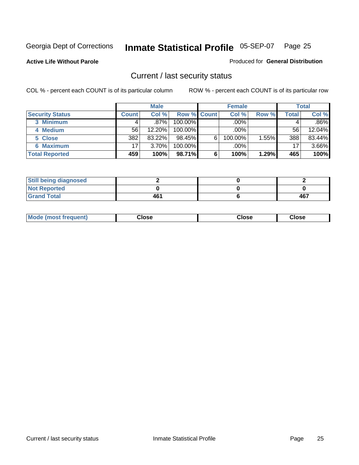**Active Life Without Parole** 

Produced for **General Distribution**

### Current / last security status

|                        |              | <b>Male</b> |                    |   | <b>Female</b> |       |       | <b>Total</b> |
|------------------------|--------------|-------------|--------------------|---|---------------|-------|-------|--------------|
| <b>Security Status</b> | <b>Count</b> | Col %       | <b>Row % Count</b> |   | Col %         | Row % | Total | Col %        |
| 3 Minimum              |              | $.87\%$     | $100.00\%$         |   | .00%          |       |       | $.86\%$      |
| 4 Medium               | 56           | 12.20%      | $100.00\%$         |   | $.00\%$       |       | 56    | 12.04%       |
| 5 Close                | 382          | 83.22%      | 98.45%             | 6 | 100.00%       | 1.55% | 388   | 83.44%       |
| 6 Maximum              | 17           | 3.70%       | 100.00%            |   | .00%          |       | 17    | 3.66%        |
| <b>Total Reported</b>  | 459          | 100%        | 98.71%             | 6 | 100%          | 1.29% | 465   | 100%         |

| <b>Still being diagnosed</b> |     |     |
|------------------------------|-----|-----|
| <b>Not Reported</b>          |     |     |
| <b>Grand Total</b>           | 461 | 467 |

| <b>Mode</b><br><b>OSE</b><br>∵lose<br>(most frequent)<br>oseث<br>- - - -<br>- - - -<br>- - - - |  |
|------------------------------------------------------------------------------------------------|--|
|------------------------------------------------------------------------------------------------|--|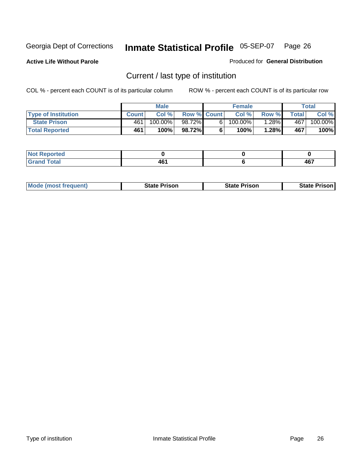**Active Life Without Parole** 

Produced for **General Distribution**

### Current / last type of institution

|                            |              | <b>Male</b> |                    |    | <b>Female</b> |          |              | Total                 |
|----------------------------|--------------|-------------|--------------------|----|---------------|----------|--------------|-----------------------|
| <b>Type of Institution</b> | <b>Count</b> | Col%        | <b>Row % Count</b> |    | Col %         | Row %    | <b>Total</b> | Col %                 |
| <b>State Prison</b>        | 461          | 100.00%     | 98.72%             | 61 | 100.00%       | $1.28\%$ | 467          | $100.\overline{00\%}$ |
| <b>Total Reported</b>      | 461          | 100%        | 98.72%             |    | $100\%$       | 1.28%    | 467          | 100%                  |

| <b>rted</b><br>. |                     |                      |
|------------------|---------------------|----------------------|
| $ -$             | AC<br>$\sim$ $\sim$ | AC7<br>TV.<br>$\sim$ |

|  | <b>Mode (most frequent)</b> | State Prison | <b>State Prison</b> | <b>State Prison</b> |
|--|-----------------------------|--------------|---------------------|---------------------|
|--|-----------------------------|--------------|---------------------|---------------------|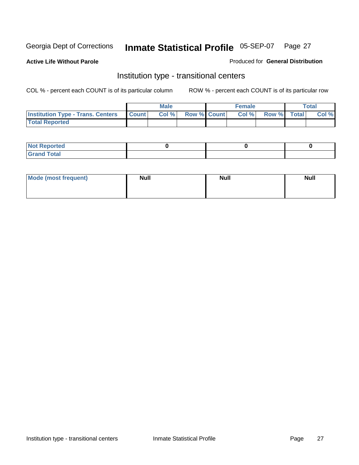**Active Life Without Parole** 

Produced for **General Distribution**

### Institution type - transitional centers

|                                          |              | <b>Male</b> |                    | <b>Female</b> |             | Total |
|------------------------------------------|--------------|-------------|--------------------|---------------|-------------|-------|
| <b>Institution Type - Trans. Centers</b> | <b>Count</b> | Col %       | <b>Row % Count</b> | Col %         | Row % Total | Col % |
| <b>Total Reported</b>                    |              |             |                    |               |             |       |

| <b>Not Reported</b>             |  |  |
|---------------------------------|--|--|
| Cotal<br>Cror<br>. <del>.</del> |  |  |

| Mode (most frequent) | <b>Null</b> | <b>Null</b> | <b>Null</b> |
|----------------------|-------------|-------------|-------------|
|                      |             |             |             |
|                      |             |             |             |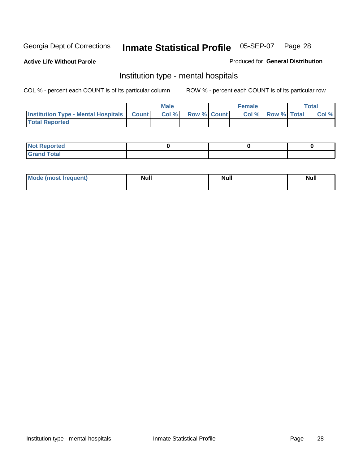**Active Life Without Parole** 

Produced for **General Distribution**

### Institution type - mental hospitals

|                                                  | <b>Male</b> |                    | <b>Female</b> |                   | <b>Total</b> |
|--------------------------------------------------|-------------|--------------------|---------------|-------------------|--------------|
| <b>Institution Type - Mental Hospitals Count</b> | Col%        | <b>Row % Count</b> |               | Col % Row % Total | Col %        |
| <b>Total Reported</b>                            |             |                    |               |                   |              |

| <b>Not Reported</b> |  |  |
|---------------------|--|--|
| <b>Fotal</b><br>Cro |  |  |

| Mode (most frequent) | <b>Null</b> | <b>Null</b> | <b>Null</b> |
|----------------------|-------------|-------------|-------------|
|                      |             |             |             |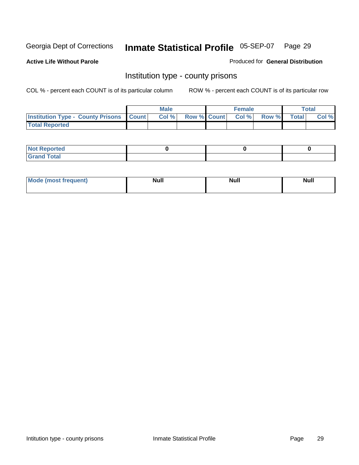**Active Life Without Parole** 

Produced for **General Distribution**

### Institution type - county prisons

|                                                    | <b>Male</b> |  | <b>Female</b>            |              |       | Total |
|----------------------------------------------------|-------------|--|--------------------------|--------------|-------|-------|
| <b>Institution Type - County Prisons   Count  </b> | Col %       |  | <b>Row % Count Col %</b> | <b>Row %</b> | Total | Col % |
| <b>Total Reported</b>                              |             |  |                          |              |       |       |

| <b>Not</b><br><b>Reported</b> |  |  |
|-------------------------------|--|--|
| <b>Grand Total</b>            |  |  |

| Mode (m<br>frequent):<br>nnst | Moll<br>чин.<br>_____ | <b>Moll</b> | <b>Null</b> |
|-------------------------------|-----------------------|-------------|-------------|
|                               |                       |             |             |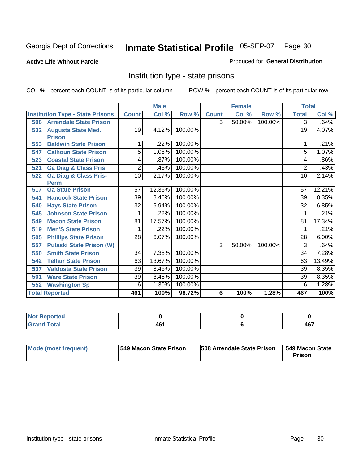**Active Life Without Parole** 

Produced for **General Distribution**

### Institution type - state prisons

|     |                                         |                | <b>Male</b> |         | <b>Female</b> |        | <b>Total</b> |              |          |
|-----|-----------------------------------------|----------------|-------------|---------|---------------|--------|--------------|--------------|----------|
|     | <b>Institution Type - State Prisons</b> | <b>Count</b>   | Col %       | Row %   | <b>Count</b>  | Col %  | Row %        | <b>Total</b> | Col %    |
| 508 | <b>Arrendale State Prison</b>           |                |             |         | 3             | 50.00% | 100.00%      | 3            | .64%     |
| 532 | <b>Augusta State Med.</b>               | 19             | 4.12%       | 100.00% |               |        |              | 19           | 4.07%    |
|     | <b>Prison</b>                           |                |             |         |               |        |              |              |          |
| 553 | <b>Baldwin State Prison</b>             | 1              | .22%        | 100.00% |               |        |              |              | .21%     |
| 547 | <b>Calhoun State Prison</b>             | 5              | 1.08%       | 100.00% |               |        |              | 5            | 1.07%    |
| 523 | <b>Coastal State Prison</b>             | 4              | .87%        | 100.00% |               |        |              | 4            | .86%     |
| 521 | <b>Ga Diag &amp; Class Pris</b>         | $\overline{2}$ | .43%        | 100.00% |               |        |              | 2            | .43%     |
| 522 | <b>Ga Diag &amp; Class Pris-</b>        | 10             | 2.17%       | 100.00% |               |        |              | 10           | 2.14%    |
|     | <b>Perm</b>                             |                |             |         |               |        |              |              |          |
| 517 | <b>Ga State Prison</b>                  | 57             | 12.36%      | 100.00% |               |        |              | 57           | 12.21%   |
| 541 | <b>Hancock State Prison</b>             | 39             | 8.46%       | 100.00% |               |        |              | 39           | 8.35%    |
| 540 | <b>Hays State Prison</b>                | 32             | 6.94%       | 100.00% |               |        |              | 32           | 6.85%    |
| 545 | <b>Johnson State Prison</b>             |                | .22%        | 100.00% |               |        |              |              | .21%     |
| 549 | <b>Macon State Prison</b>               | 81             | 17.57%      | 100.00% |               |        |              | 81           | 17.34%   |
| 519 | <b>Men'S State Prison</b>               |                | .22%        | 100.00% |               |        |              |              | .21%     |
| 505 | <b>Phillips State Prison</b>            | 28             | 6.07%       | 100.00% |               |        |              | 28           | $6.00\%$ |
| 557 | <b>Pulaski State Prison (W)</b>         |                |             |         | 3             | 50.00% | 100.00%      | 3            | .64%     |
| 550 | <b>Smith State Prison</b>               | 34             | 7.38%       | 100.00% |               |        |              | 34           | 7.28%    |
| 542 | <b>Telfair State Prison</b>             | 63             | 13.67%      | 100.00% |               |        |              | 63           | 13.49%   |
| 537 | <b>Valdosta State Prison</b>            | 39             | 8.46%       | 100.00% |               |        |              | 39           | 8.35%    |
| 501 | <b>Ware State Prison</b>                | 39             | 8.46%       | 100.00% |               |        |              | 39           | 8.35%    |
| 552 | <b>Washington Sp</b>                    | 6              | 1.30%       | 100.00% |               |        |              | 6            | 1.28%    |
|     | <b>Total Reported</b>                   | 461            | 100%        | 98.72%  | 6             | 100%   | 1.28%        | 467          | 100%     |

| <b>Reported</b>                 |      |           |
|---------------------------------|------|-----------|
| <b>Total</b><br>Cro<br>$\sim$ . | ∕ א∧ | 1C7<br>1υ |

| Mode (most frequent) | 1549 Macon State Prison | <b>508 Arrendale State Prison</b> | 549 Macon State  <br>Prison |
|----------------------|-------------------------|-----------------------------------|-----------------------------|
|----------------------|-------------------------|-----------------------------------|-----------------------------|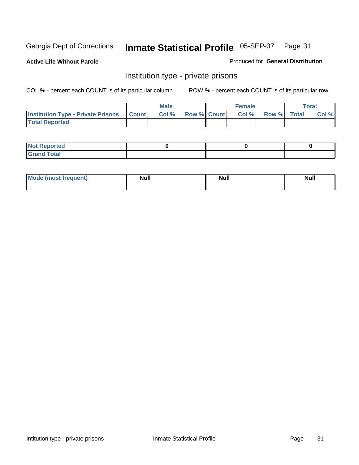**Active Life Without Parole** 

Produced for **General Distribution**

### Institution type - private prisons

|                                                     | <b>Male</b> |                    | <b>Female</b> |             | Total |
|-----------------------------------------------------|-------------|--------------------|---------------|-------------|-------|
| <b>Institution Type - Private Prisons   Count  </b> | Col %       | <b>Row % Count</b> | Col %         | Row % Total | Col % |
| <b>Total Reported</b>                               |             |                    |               |             |       |

| <b>Not Reported</b>        |  |  |
|----------------------------|--|--|
| <b>otal</b><br>. Gror<br>. |  |  |

| Mode (most frequent) | <b>Null</b> | <b>Null</b> | <b>Null</b> |
|----------------------|-------------|-------------|-------------|
|                      |             |             |             |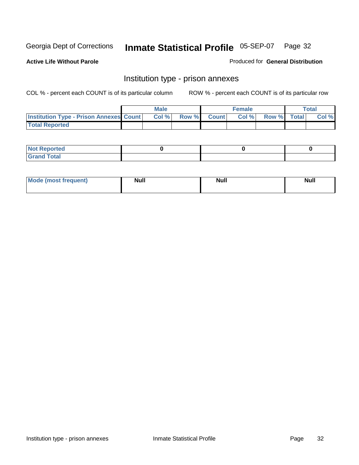**Active Life Without Parole** 

Produced for **General Distribution**

### Institution type - prison annexes

|                                                | <b>Male</b> |             | <b>Female</b> |             | <b>Total</b> |
|------------------------------------------------|-------------|-------------|---------------|-------------|--------------|
| <b>Institution Type - Prison Annexes Count</b> | Col %       | Row % Count | Col%          | Row % Total | Col %        |
| <b>Total Reported</b>                          |             |             |               |             |              |

| <b>Not Reported</b>            |  |  |
|--------------------------------|--|--|
| <b>Total</b><br>Croi<br>$\sim$ |  |  |

| Mode (most frequent) | <b>Null</b> | <b>Null</b> | <b>Null</b> |
|----------------------|-------------|-------------|-------------|
|                      |             |             |             |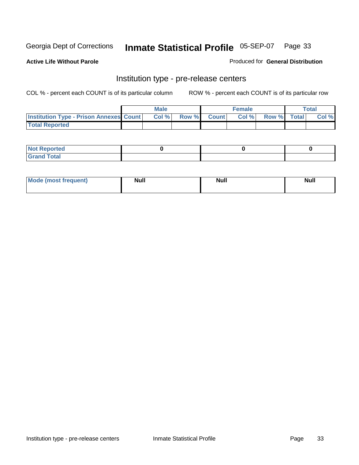**Active Life Without Parole** 

Produced for **General Distribution**

### Institution type - pre-release centers

|                                                | <b>Male</b> |                    | <b>Female</b> |             | <b>Total</b> |
|------------------------------------------------|-------------|--------------------|---------------|-------------|--------------|
| <b>Institution Type - Prison Annexes Count</b> | Col %       | <b>Row % Count</b> | Col %         | Row % Total | Col %        |
| <b>Total Reported</b>                          |             |                    |               |             |              |

| <b>Not Reported</b>            |  |  |
|--------------------------------|--|--|
| <b>Total</b><br>Croi<br>$\sim$ |  |  |

| Mode (most frequent) | <b>Null</b> | <b>Null</b> | <b>Null</b> |
|----------------------|-------------|-------------|-------------|
|                      |             |             |             |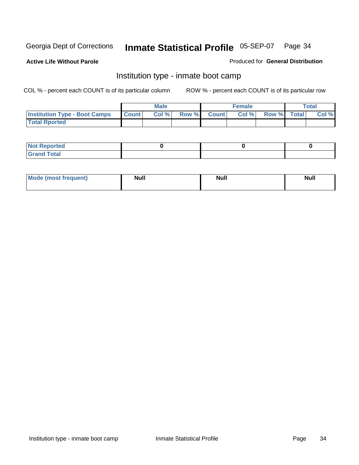**Active Life Without Parole** 

Produced for **General Distribution**

### Institution type - inmate boot camp

|                                      |              | <b>Male</b> |                    | <b>Female</b> |             | <b>Total</b> |
|--------------------------------------|--------------|-------------|--------------------|---------------|-------------|--------------|
| <b>Institution Type - Boot Camps</b> | <b>Count</b> | Col %       | <b>Row % Count</b> | Col%          | Row % Total | Col %        |
| <b>Total Rported</b>                 |              |             |                    |               |             |              |

| <b>Not Reported</b>  |  |  |
|----------------------|--|--|
| <b>Total</b><br>Croy |  |  |

| Mode (most frequent) | <b>Null</b> | <b>Null</b> | <b>Null</b> |
|----------------------|-------------|-------------|-------------|
|                      |             |             |             |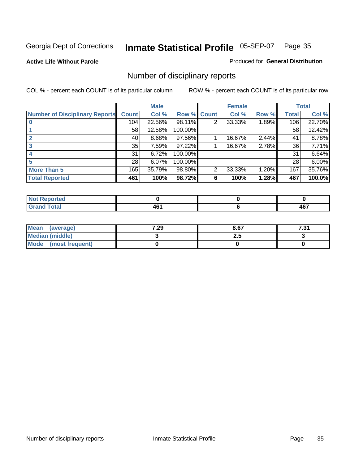**Active Life Without Parole** 

Produced for **General Distribution**

### Number of disciplinary reports

|                                       |              | <b>Male</b> |             |   | <b>Female</b> |       |              | <b>Total</b> |
|---------------------------------------|--------------|-------------|-------------|---|---------------|-------|--------------|--------------|
| <b>Number of Disciplinary Reports</b> | <b>Count</b> | Col %       | Row % Count |   | Col %         | Row % | <b>Total</b> | Col %        |
|                                       | 104          | 22.56%      | 98.11%      | 2 | 33.33%        | 1.89% | 106          | 22.70%       |
|                                       | 58           | 12.58%      | 100.00%     |   |               |       | 58           | 12.42%       |
| 2                                     | 40           | 8.68%       | 97.56%      |   | 16.67%        | 2.44% | 41           | 8.78%        |
| 3                                     | 35           | 7.59%       | 97.22%      |   | 16.67%        | 2.78% | 36           | 7.71%        |
|                                       | 31           | 6.72%       | 100.00%     |   |               |       | 31           | 6.64%        |
| 5                                     | 28           | 6.07%       | 100.00%     |   |               |       | 28           | $6.00\%$     |
| <b>More Than 5</b>                    | 165          | 35.79%      | 98.80%      | 2 | 33.33%        | 1.20% | 167          | 35.76%       |
| <b>Total Reported</b>                 | 461          | 100%        | 98.72%      | 6 | 100%          | 1.28% | 467          | 100.0%       |

| N<br>те. |                      |               |
|----------|----------------------|---------------|
| $T$ otor | . .<br>- -<br>$\sim$ | $\sim$<br>$-$ |

| Mean (average)       | 7.29 | 8.67 | 7 94<br>ا ب، ا |
|----------------------|------|------|----------------|
| Median (middle)      |      | 2.J  |                |
| Mode (most frequent) |      |      |                |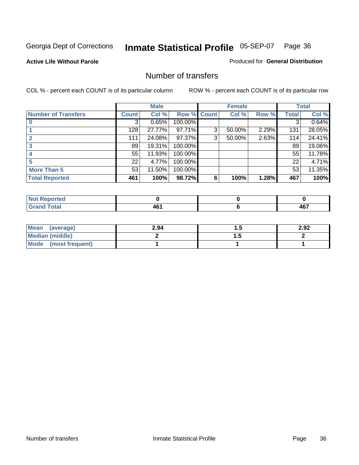**Active Life Without Parole** 

Produced for **General Distribution**

### Number of transfers

|                            |              | <b>Male</b> |                    |   | <b>Female</b> |       |              | <b>Total</b> |
|----------------------------|--------------|-------------|--------------------|---|---------------|-------|--------------|--------------|
| <b>Number of Transfers</b> | <b>Count</b> | Col %       | <b>Row % Count</b> |   | Col %         | Row % | <b>Total</b> | Col %        |
|                            | 3            | 0.65%       | 100.00%            |   |               |       | 3            | 0.64%        |
|                            | 128          | 27.77%      | 97.71%             | 3 | 50.00%        | 2.29% | 131          | 28.05%       |
|                            | 111          | 24.08%      | 97.37%             | 3 | 50.00%        | 2.63% | 114          | 24.41%       |
| 3                          | 89           | 19.31%      | 100.00%            |   |               |       | 89           | 19.06%       |
|                            | 55           | 11.93%      | 100.00%            |   |               |       | 55           | 11.78%       |
| 5                          | 22           | 4.77%       | 100.00%            |   |               |       | 22           | 4.71%        |
| <b>More Than 5</b>         | 53           | 11.50%      | 100.00%            |   |               |       | 53           | 11.35%       |
| <b>Total Reported</b>      | 461          | 100%        | 98.72%             | 6 | 100%          | 1.28% | 467          | 100%         |

| N<br>те. |                      |               |
|----------|----------------------|---------------|
| $T$ otor | . .<br>- -<br>$\sim$ | $\sim$<br>$-$ |

| Mean (average)       | 2.94 |          | 2.92 |
|----------------------|------|----------|------|
| Median (middle)      |      | $\cdots$ |      |
| Mode (most frequent) |      |          |      |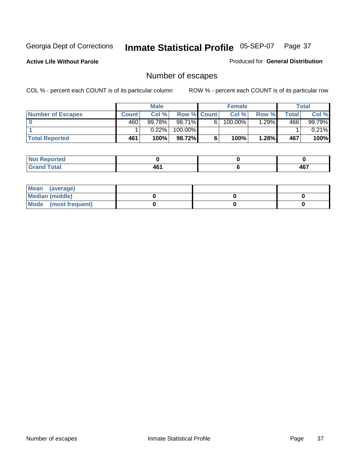**Active Life Without Parole** 

Produced for **General Distribution**

# Number of escapes

|                       |         | <b>Male</b> |                    |    | <b>Female</b> |       |                  | <b>Total</b> |
|-----------------------|---------|-------------|--------------------|----|---------------|-------|------------------|--------------|
| Number of Escapes     | Count l | Col %       | <b>Row % Count</b> |    | Col %         | Row % | Total            | Col %        |
|                       | 460     | $99.78\%$   | $98.71\%$          | 6' | 100.00%       | .29%  | 466 <sup>'</sup> | 99.79%       |
|                       |         | 0.22%       | 100.00%            |    |               |       |                  | 0.21%        |
| <b>Total Reported</b> | 461     | 100%        | 98.72%             |    | 100%          | 1.28% | 467              | 100%         |

| المتحافظ<br>neo                 |                          |            |
|---------------------------------|--------------------------|------------|
| <b>otal</b><br>$\mathbf{v}$ and | $\overline{\phantom{a}}$ | 167<br>40. |

| Mean (average)       |  |  |
|----------------------|--|--|
| Median (middle)      |  |  |
| Mode (most frequent) |  |  |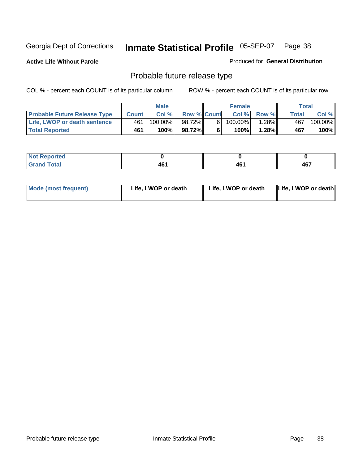**Active Life Without Parole** 

Produced for **General Distribution**

# Probable future release type

|                                     |              | <b>Male</b> |                    |   | <b>Female</b> |          |       | Total   |
|-------------------------------------|--------------|-------------|--------------------|---|---------------|----------|-------|---------|
| <b>Probable Future Release Type</b> | <b>Count</b> | Col%        | <b>Row % Count</b> |   | Col %         | Row %    | Total | Col %   |
| Life, LWOP or death sentence        | 461          | 100.00%     | 98.72%             | 6 | 100.00%       | $1.28\%$ | 467   | 100.00% |
| <b>Total Reported</b>               | 461          | 100%        | 98.72%             | 6 | 100%          | $1.28\%$ | 467   | 100%    |

| rted         |    |       |     |
|--------------|----|-------|-----|
| <b>Total</b> | "  | 8 C 4 | 467 |
| ------       | 70 | rw    |     |

| <b>Mode (most frequent)</b> | Life, LWOP or death | Life, LWOP or death | Life, LWOP or death |
|-----------------------------|---------------------|---------------------|---------------------|
|-----------------------------|---------------------|---------------------|---------------------|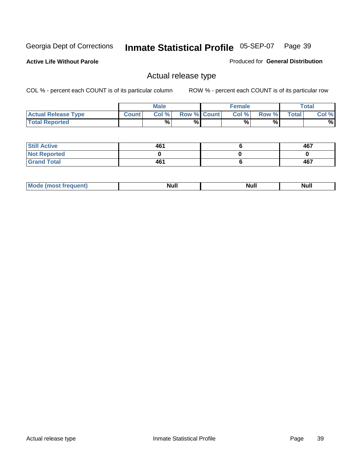**Active Life Without Parole** 

Produced for **General Distribution**

### Actual release type

|                            |              | <b>Male</b> |                    | <b>Female</b> |       |              | $\tau$ otal |
|----------------------------|--------------|-------------|--------------------|---------------|-------|--------------|-------------|
| <b>Actual Release Type</b> | <b>Count</b> | Col %       | <b>Row % Count</b> | Col %         | Row % | <b>Total</b> | Col %       |
| <b>Total Reported</b>      |              | $\%$        | %                  | %             | %     |              | %           |

| <b>Still Active</b> | 461 | 467 |
|---------------------|-----|-----|
| <b>Not Reported</b> |     |     |
| <b>Grand Total</b>  | 461 | 467 |

| M<br>_____<br>_____ | NI | Null | $\cdots$ |
|---------------------|----|------|----------|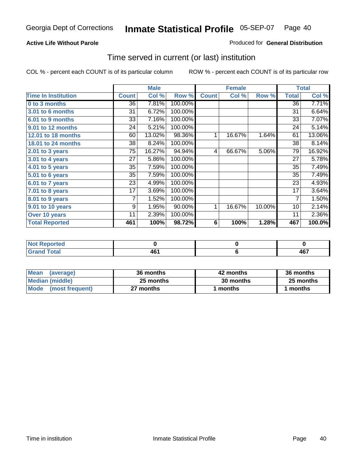### **Active Life Without Parole**

#### Produced for **General Distribution**

### Time served in current (or last) institution

|                            |              | <b>Male</b> |         |              | <b>Female</b> |        |                | <b>Total</b> |
|----------------------------|--------------|-------------|---------|--------------|---------------|--------|----------------|--------------|
| <b>Time In Institution</b> | <b>Count</b> | Col %       | Row %   | <b>Count</b> | Col %         | Row %  | <b>Total</b>   | Col %        |
| 0 to 3 months              | 36           | 7.81%       | 100.00% |              |               |        | 36             | 7.71%        |
| 3.01 to 6 months           | 31           | 6.72%       | 100.00% |              |               |        | 31             | 6.64%        |
| 6.01 to 9 months           | 33           | 7.16%       | 100.00% |              |               |        | 33             | 7.07%        |
| 9.01 to 12 months          | 24           | 5.21%       | 100.00% |              |               |        | 24             | 5.14%        |
| 12.01 to 18 months         | 60           | 13.02%      | 98.36%  | 1            | 16.67%        | 1.64%  | 61             | 13.06%       |
| 18.01 to 24 months         | 38           | 8.24%       | 100.00% |              |               |        | 38             | 8.14%        |
| $2.01$ to 3 years          | 75           | 16.27%      | 94.94%  | 4            | 66.67%        | 5.06%  | 79             | 16.92%       |
| 3.01 to 4 years            | 27           | 5.86%       | 100.00% |              |               |        | 27             | 5.78%        |
| 4.01 to 5 years            | 35           | 7.59%       | 100.00% |              |               |        | 35             | 7.49%        |
| 5.01 to 6 years            | 35           | 7.59%       | 100.00% |              |               |        | 35             | 7.49%        |
| 6.01 to 7 years            | 23           | 4.99%       | 100.00% |              |               |        | 23             | 4.93%        |
| 7.01 to 8 years            | 17           | 3.69%       | 100.00% |              |               |        | 17             | 3.64%        |
| 8.01 to 9 years            | 7            | 1.52%       | 100.00% |              |               |        | $\overline{7}$ | 1.50%        |
| 9.01 to 10 years           | 9            | 1.95%       | 90.00%  | 1            | 16.67%        | 10.00% | 10             | 2.14%        |
| Over 10 years              | 11           | 2.39%       | 100.00% |              |               |        | 11             | 2.36%        |
| <b>Total Reported</b>      | 461          | 100%        | 98.72%  | 6            | 100%          | 1.28%  | 467            | 100.0%       |

| <b>Not Reported</b> |  |             |
|---------------------|--|-------------|
| <b>Total</b>        |  | 1 C 7<br>rv |

| <b>Mean</b><br>(average) | 36 months | 42 months | 36 months |  |
|--------------------------|-----------|-----------|-----------|--|
| Median (middle)          | 25 months | 30 months | 25 months |  |
| Mode (most frequent)     | 27 months | ∣ months  | months    |  |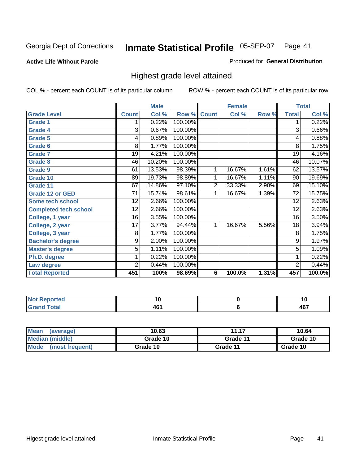#### **Active Life Without Parole**

#### Produced for **General Distribution**

### Highest grade level attained

|                              |                | <b>Male</b> |         |                | <b>Female</b> |       |                 | <b>Total</b> |
|------------------------------|----------------|-------------|---------|----------------|---------------|-------|-----------------|--------------|
| <b>Grade Level</b>           | <b>Count</b>   | Col %       | Row %   | <b>Count</b>   | Col %         | Row % | <b>Total</b>    | Col %        |
| <b>Grade 1</b>               | 1              | 0.22%       | 100.00% |                |               |       | 1               | 0.22%        |
| <b>Grade 4</b>               | 3              | 0.67%       | 100.00% |                |               |       | $\overline{3}$  | 0.66%        |
| Grade 5                      | 4              | 0.89%       | 100.00% |                |               |       | 4               | 0.88%        |
| Grade 6                      | 8              | 1.77%       | 100.00% |                |               |       | 8               | 1.75%        |
| <b>Grade 7</b>               | 19             | 4.21%       | 100.00% |                |               |       | $\overline{19}$ | 4.16%        |
| <b>Grade 8</b>               | 46             | 10.20%      | 100.00% |                |               |       | 46              | 10.07%       |
| <b>Grade 9</b>               | 61             | 13.53%      | 98.39%  | 1              | 16.67%        | 1.61% | 62              | 13.57%       |
| Grade 10                     | 89             | 19.73%      | 98.89%  | 1              | 16.67%        | 1.11% | 90              | 19.69%       |
| Grade 11                     | 67             | 14.86%      | 97.10%  | $\overline{2}$ | 33.33%        | 2.90% | 69              | 15.10%       |
| <b>Grade 12 or GED</b>       | 71             | 15.74%      | 98.61%  | 1              | 16.67%        | 1.39% | 72              | 15.75%       |
| <b>Some tech school</b>      | 12             | 2.66%       | 100.00% |                |               |       | 12              | 2.63%        |
| <b>Completed tech school</b> | 12             | 2.66%       | 100.00% |                |               |       | 12              | 2.63%        |
| College, 1 year              | 16             | 3.55%       | 100.00% |                |               |       | 16              | 3.50%        |
| College, 2 year              | 17             | 3.77%       | 94.44%  | 1              | 16.67%        | 5.56% | 18              | 3.94%        |
| College, 3 year              | 8              | 1.77%       | 100.00% |                |               |       | 8               | 1.75%        |
| <b>Bachelor's degree</b>     | 9              | 2.00%       | 100.00% |                |               |       | 9               | 1.97%        |
| <b>Master's degree</b>       | 5              | 1.11%       | 100.00% |                |               |       | $\overline{5}$  | 1.09%        |
| Ph.D. degree                 | 1              | 0.22%       | 100.00% |                |               |       | 1               | 0.22%        |
| Law degree                   | $\overline{2}$ | 0.44%       | 100.00% |                |               |       | $\overline{2}$  | 0.44%        |
| <b>Total Reported</b>        | 451            | 100%        | 98.69%  | 6              | 100.0%        | 1.31% | 457             | 100.0%       |

| n eo                            | . .<br>ט ו | w            |
|---------------------------------|------------|--------------|
| $f \wedge f \wedge f$<br>$\sim$ | .          | $\sim$<br>-- |

| <b>Mean</b><br>(average)       | 10.63    | 11.17    | 10.64    |
|--------------------------------|----------|----------|----------|
| Median (middle)                | Grade 10 | Grade 11 | Grade 10 |
| <b>Mode</b><br>(most frequent) | Grade 10 | Grade 11 | Grade 10 |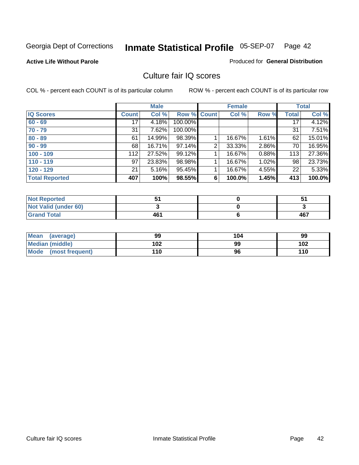**Active Life Without Parole** 

Produced for **General Distribution**

### Culture fair IQ scores

|                       |              | <b>Male</b> |                    |   | <b>Female</b> |          |              | <b>Total</b> |
|-----------------------|--------------|-------------|--------------------|---|---------------|----------|--------------|--------------|
| <b>IQ Scores</b>      | <b>Count</b> | Col %       | <b>Row % Count</b> |   | Col %         | Row %    | <b>Total</b> | Col %        |
| $60 - 69$             | 17           | 4.18%       | 100.00%            |   |               |          | 17           | 4.12%        |
| $70 - 79$             | 31           | 7.62%       | 100.00%            |   |               |          | 31           | 7.51%        |
| $80 - 89$             | 61           | 14.99%      | 98.39%             |   | 16.67%        | $1.61\%$ | 62           | 15.01%       |
| $90 - 99$             | 68           | 16.71%      | 97.14%             | 2 | 33.33%        | 2.86%    | 70           | 16.95%       |
| $100 - 109$           | 112          | 27.52%      | 99.12%             |   | 16.67%        | 0.88%    | 113          | 27.36%       |
| $110 - 119$           | 97           | 23.83%      | 98.98%             |   | 16.67%        | 1.02%    | 98           | 23.73%       |
| $120 - 129$           | 21           | 5.16%       | 95.45%             |   | 16.67%        | 4.55%    | 22           | 5.33%        |
| <b>Total Reported</b> | 407          | 100%        | 98.55%             | 6 | 100.0%        | 1.45%    | 413          | 100.0%       |

| <b>Not Reported</b>         |     |     |
|-----------------------------|-----|-----|
| <b>Not Valid (under 60)</b> |     |     |
| <b>Grand Total</b>          | 461 | 467 |

| <b>Mean</b><br>(average)       | 99  | 104 | 99  |
|--------------------------------|-----|-----|-----|
| <b>Median (middle)</b>         | 102 | 99  | 102 |
| <b>Mode</b><br>(most frequent) | 110 | 96  | 110 |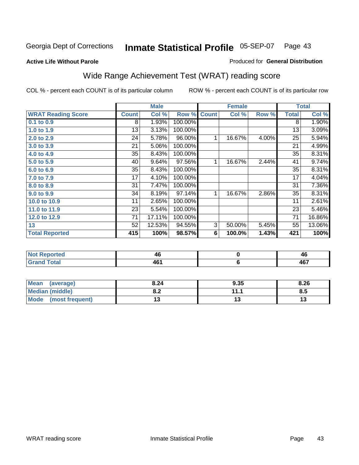#### **Active Life Without Parole**

#### Produced for **General Distribution**

### Wide Range Achievement Test (WRAT) reading score

|                           |              | <b>Male</b> |         |                | <b>Female</b> |       | <b>Total</b> |        |
|---------------------------|--------------|-------------|---------|----------------|---------------|-------|--------------|--------|
| <b>WRAT Reading Score</b> | <b>Count</b> | Col %       | Row %   | <b>Count</b>   | Col %         | Row % | <b>Total</b> | Col %  |
| 0.1 to 0.9                | 8            | 1.93%       | 100.00% |                |               |       | 8            | 1.90%  |
| 1.0 to 1.9                | 13           | 3.13%       | 100.00% |                |               |       | 13           | 3.09%  |
| 2.0 to 2.9                | 24           | 5.78%       | 96.00%  | 1              | 16.67%        | 4.00% | 25           | 5.94%  |
| 3.0 to 3.9                | 21           | 5.06%       | 100.00% |                |               |       | 21           | 4.99%  |
| 4.0 to 4.9                | 35           | 8.43%       | 100.00% |                |               |       | 35           | 8.31%  |
| 5.0 to 5.9                | 40           | 9.64%       | 97.56%  | 1              | 16.67%        | 2.44% | 41           | 9.74%  |
| 6.0 to 6.9                | 35           | 8.43%       | 100.00% |                |               |       | 35           | 8.31%  |
| 7.0 to 7.9                | 17           | 4.10%       | 100.00% |                |               |       | 17           | 4.04%  |
| 8.0 to 8.9                | 31           | 7.47%       | 100.00% |                |               |       | 31           | 7.36%  |
| 9.0 to 9.9                | 34           | 8.19%       | 97.14%  | 1              | 16.67%        | 2.86% | 35           | 8.31%  |
| 10.0 to 10.9              | 11           | 2.65%       | 100.00% |                |               |       | 11           | 2.61%  |
| 11.0 to 11.9              | 23           | 5.54%       | 100.00% |                |               |       | 23           | 5.46%  |
| 12.0 to 12.9              | 71           | 17.11%      | 100.00% |                |               |       | 71           | 16.86% |
| 13                        | 52           | 12.53%      | 94.55%  | $\overline{3}$ | 50.00%        | 5.45% | 55           | 13.06% |
| <b>Total Reported</b>     | 415          | 100%        | 98.57%  | 6              | 100.0%        | 1.43% | 421          | 100%   |
|                           |              |             |         |                |               |       |              |        |
| <b>Not Reported</b>       |              | 46          |         |                | $\pmb{0}$     |       |              | 46     |
| <b>Grand Total</b>        |              | 461         |         |                | 6             |       |              | 467    |

| <b>Mean</b><br>(average)       | 8.24       | 9.35    | 8.26 |
|--------------------------------|------------|---------|------|
| <b>Median (middle)</b>         | י ה<br>0.Z | 144     | ຽ.ວ  |
| <b>Mode</b><br>(most frequent) |            | $\cdot$ | IJ   |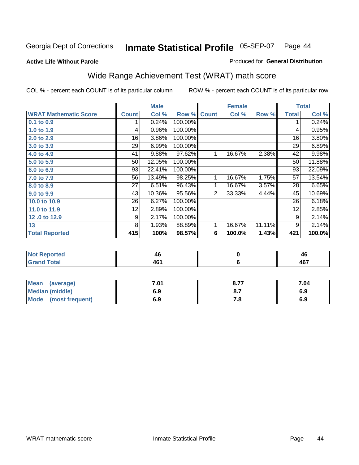#### **Active Life Without Parole**

#### Produced for **General Distribution**

### Wide Range Achievement Test (WRAT) math score

COL % - percent each COUNT is of its particular column ROW % - percent each COUNT is of its particular row

 **Mode (most frequent) 6.9**

 **6**

**7.8**

|                              |              | <b>Male</b> |         |                | <b>Female</b> |        |              | <b>Total</b> |
|------------------------------|--------------|-------------|---------|----------------|---------------|--------|--------------|--------------|
| <b>WRAT Mathematic Score</b> | <b>Count</b> | Col %       | Row %   | <b>Count</b>   | Col %         | Row %  | <b>Total</b> | Col %        |
| 0.1 to 0.9                   |              | 0.24%       | 100.00% |                |               |        | 1            | 0.24%        |
| 1.0 to 1.9                   | 4            | 0.96%       | 100.00% |                |               |        | 4            | 0.95%        |
| 2.0 to 2.9                   | 16           | 3.86%       | 100.00% |                |               |        | 16           | 3.80%        |
| 3.0 to 3.9                   | 29           | 6.99%       | 100.00% |                |               |        | 29           | 6.89%        |
| 4.0 to 4.9                   | 41           | 9.88%       | 97.62%  | $\mathbf{1}$   | 16.67%        | 2.38%  | 42           | 9.98%        |
| 5.0 to 5.9                   | 50           | 12.05%      | 100.00% |                |               |        | 50           | 11.88%       |
| 6.0 to 6.9                   | 93           | 22.41%      | 100.00% |                |               |        | 93           | 22.09%       |
| 7.0 to 7.9                   | 56           | 13.49%      | 98.25%  | $\mathbf{1}$   | 16.67%        | 1.75%  | 57           | 13.54%       |
| 8.0 to 8.9                   | 27           | 6.51%       | 96.43%  | $\mathbf{1}$   | 16.67%        | 3.57%  | 28           | 6.65%        |
| 9.0 to 9.9                   | 43           | 10.36%      | 95.56%  | $\overline{2}$ | 33.33%        | 4.44%  | 45           | 10.69%       |
| 10.0 to 10.9                 | 26           | 6.27%       | 100.00% |                |               |        | 26           | 6.18%        |
| 11.0 to 11.9                 | 12           | 2.89%       | 100.00% |                |               |        | 12           | 2.85%        |
| 12.0 to 12.9                 | 9            | 2.17%       | 100.00% |                |               |        | 9            | 2.14%        |
| 13                           | 8            | 1.93%       | 88.89%  | 1              | 16.67%        | 11.11% | 9            | 2.14%        |
| <b>Total Reported</b>        | 415          | 100%        | 98.57%  | 6              | 100.0%        | 1.43%  | 421          | 100.0%       |
|                              |              |             |         |                |               |        |              |              |
| <b>Not Reported</b>          |              | 46          |         |                | $\mathbf 0$   |        |              | 46           |

| <b>Grand Total</b> | 461  | 467  |      |
|--------------------|------|------|------|
|                    |      |      |      |
| Mean (average)     | 7.01 | 8.77 | 7.04 |
| Median (middle)    | 6.9  |      | 6.9  |

 **461**

 **467**

**6.9**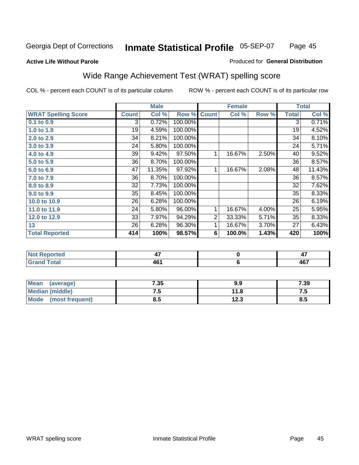#### **Active Life Without Parole**

#### Produced for **General Distribution**

# Wide Range Achievement Test (WRAT) spelling score

|                            |              | <b>Male</b> |         |                | <b>Female</b> |       |                | <b>Total</b> |  |
|----------------------------|--------------|-------------|---------|----------------|---------------|-------|----------------|--------------|--|
| <b>WRAT Spelling Score</b> | <b>Count</b> | Col %       | Row %   | <b>Count</b>   | Col %         | Row % | <b>Total</b>   | Col %        |  |
| 0.1 to 0.9                 | 3            | 0.72%       | 100.00% |                |               |       | $\overline{3}$ | 0.71%        |  |
| 1.0 to 1.9                 | 19           | 4.59%       | 100.00% |                |               |       | 19             | 4.52%        |  |
| 2.0 to 2.9                 | 34           | 8.21%       | 100.00% |                |               |       | 34             | 8.10%        |  |
| 3.0 to 3.9                 | 24           | 5.80%       | 100.00% |                |               |       | 24             | 5.71%        |  |
| 4.0 to 4.9                 | 39           | 9.42%       | 97.50%  | 1              | 16.67%        | 2.50% | 40             | 9.52%        |  |
| 5.0 to 5.9                 | 36           | 8.70%       | 100.00% |                |               |       | 36             | 8.57%        |  |
| 6.0 to 6.9                 | 47           | 11.35%      | 97.92%  | 1              | 16.67%        | 2.08% | 48             | 11.43%       |  |
| 7.0 to 7.9                 | 36           | 8.70%       | 100.00% |                |               |       | 36             | 8.57%        |  |
| 8.0 to 8.9                 | 32           | 7.73%       | 100.00% |                |               |       | 32             | 7.62%        |  |
| 9.0 to 9.9                 | 35           | 8.45%       | 100.00% |                |               |       | 35             | 8.33%        |  |
| 10.0 to 10.9               | 26           | 6.28%       | 100.00% |                |               |       | 26             | 6.19%        |  |
| 11.0 to 11.9               | 24           | 5.80%       | 96.00%  | 1              | 16.67%        | 4.00% | 25             | 5.95%        |  |
| 12.0 to 12.9               | 33           | 7.97%       | 94.29%  | $\overline{2}$ | 33.33%        | 5.71% | 35             | 8.33%        |  |
| 13                         | 26           | 6.28%       | 96.30%  | 1              | 16.67%        | 3.70% | 27             | 6.43%        |  |
| <b>Total Reported</b>      | 414          | 100%        | 98.57%  | 6              | 100.0%        | 1.43% | 420            | 100%         |  |
|                            |              |             |         |                |               |       |                |              |  |
| <b>Not Reported</b>        |              | 47          |         |                | $\pmb{0}$     |       |                | 47           |  |
| <b>Grand Total</b>         | 461          |             | $\bf 6$ |                |               | 467   |                |              |  |

| Mean<br>(average)              | 7.35 | 9.9  | 7.39 |
|--------------------------------|------|------|------|
| <b>Median (middle)</b>         | ں ،  | 11.8 | .    |
| <b>Mode</b><br>(most frequent) | ช.ว  | 12.3 | ၓ.ͻ  |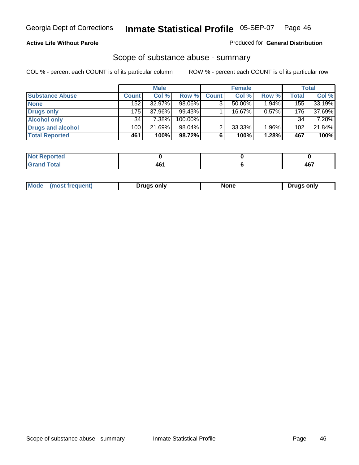### **Active Life Without Parole**

#### Produced for **General Distribution**

### Scope of substance abuse - summary

|                        |              | <b>Male</b> |           |              | <b>Female</b> |          |              | <b>Total</b> |
|------------------------|--------------|-------------|-----------|--------------|---------------|----------|--------------|--------------|
| <b>Substance Abuse</b> | <b>Count</b> | Col %       | Row %     | <b>Count</b> | Col %         | Row %    | <b>Total</b> | Col %        |
| <b>None</b>            | 152          | 32.97%      | 98.06%    | 3            | 50.00%        | 1.94%    | 155          | 33.19%       |
| Drugs only             | 175          | 37.96%      | $99.43\%$ |              | 16.67%        | $0.57\%$ | 176          | 37.69%       |
| <b>Alcohol only</b>    | 34           | 7.38%       | 100.00%   |              |               |          | 34           | 7.28%        |
| Drugs and alcohol      | 100          | 21.69%      | $98.04\%$ | າ            | 33.33%        | 1.96%    | 102          | 21.84%       |
| <b>Total Reported</b>  | 461          | 100%        | 98.72%    |              | 100%          | 1.28%    | 467          | 100%         |

| <b>Not</b><br>Reported   |             |                      |
|--------------------------|-------------|----------------------|
| <b>Total</b><br>' Gran⊾i | AF.<br>$ -$ | 1C7<br>r w<br>$\sim$ |

| ruas onlv<br>one<br>only<br>Pruas .<br>онеш. | Mode |  |  |  |
|----------------------------------------------|------|--|--|--|
|----------------------------------------------|------|--|--|--|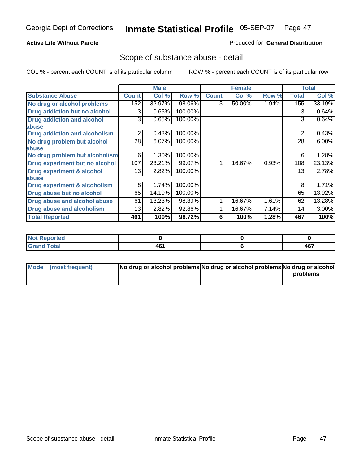### **Active Life Without Parole**

### Produced for **General Distribution**

### Scope of substance abuse - detail

|                                      |              | <b>Male</b> |         |              | <b>Female</b> |       |                | <b>Total</b> |
|--------------------------------------|--------------|-------------|---------|--------------|---------------|-------|----------------|--------------|
| <b>Substance Abuse</b>               | <b>Count</b> | Col %       | Row %   | <b>Count</b> | Col %         | Row % | <b>Total</b>   | Col %        |
| No drug or alcohol problems          | 152          | 32.97%      | 98.06%  | 3            | 50.00%        | 1.94% | 155            | 33.19%       |
| Drug addiction but no alcohol        | 3            | 0.65%       | 100.00% |              |               |       | 3              | 0.64%        |
| <b>Drug addiction and alcohol</b>    | 3            | 0.65%       | 100.00% |              |               |       | 3              | 0.64%        |
| abuse                                |              |             |         |              |               |       |                |              |
| <b>Drug addiction and alcoholism</b> | 2            | 0.43%       | 100.00% |              |               |       | $\overline{2}$ | 0.43%        |
| No drug problem but alcohol          | 28           | 6.07%       | 100.00% |              |               |       | 28             | $6.00\%$     |
| abuse                                |              |             |         |              |               |       |                |              |
| No drug problem but alcoholism       | 6            | 1.30%       | 100.00% |              |               |       | 6              | 1.28%        |
| Drug experiment but no alcohol       | 107          | 23.21%      | 99.07%  | 4            | 16.67%        | 0.93% | 108            | 23.13%       |
| <b>Drug experiment &amp; alcohol</b> | 13           | 2.82%       | 100.00% |              |               |       | 13             | 2.78%        |
| abuse                                |              |             |         |              |               |       |                |              |
| Drug experiment & alcoholism         | 8            | 1.74%       | 100.00% |              |               |       | 8              | 1.71%        |
| Drug abuse but no alcohol            | 65           | 14.10%      | 100.00% |              |               |       | 65             | 13.92%       |
| Drug abuse and alcohol abuse         | 61           | 13.23%      | 98.39%  |              | 16.67%        | 1.61% | 62             | 13.28%       |
| Drug abuse and alcoholism            | 13           | 2.82%       | 92.86%  |              | 16.67%        | 7.14% | 14             | $3.00\%$     |
| <b>Total Reported</b>                | 461          | 100%        | 98.72%  | 6            | 100%          | 1.28% | 467            | 100%         |

| Not Reported  |     |           |
|---------------|-----|-----------|
| <b>c</b> otal | 461 | 167<br>т. |

| Mode (most frequent) | No drug or alcohol problems No drug or alcohol problems No drug or alcohol |          |
|----------------------|----------------------------------------------------------------------------|----------|
|                      |                                                                            | problems |
|                      |                                                                            |          |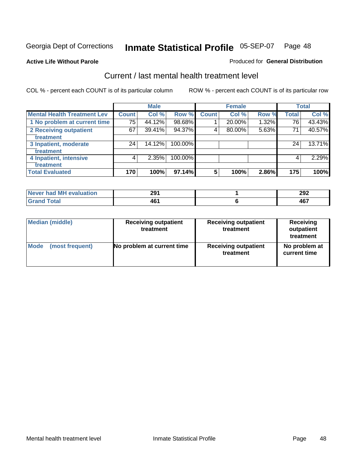#### **Active Life Without Parole**

#### Produced for **General Distribution**

### Current / last mental health treatment level

|                                    |              | <b>Male</b> |         |              | <b>Female</b> |       |              | <b>Total</b> |
|------------------------------------|--------------|-------------|---------|--------------|---------------|-------|--------------|--------------|
| <b>Mental Health Treatment Lev</b> | <b>Count</b> | Col %       | Row %   | <b>Count</b> | Col %         | Row % | <b>Total</b> | Col %        |
| 1 No problem at current time       | 75           | 44.12%      | 98.68%  |              | 20.00%        | 1.32% | 76           | 43.43%       |
| 2 Receiving outpatient             | 67           | 39.41%      | 94.37%  | 4            | 80.00%        | 5.63% | 71           | 40.57%       |
| treatment                          |              |             |         |              |               |       |              |              |
| 3 Inpatient, moderate              | 24           | 14.12%      | 100.00% |              |               |       | 24           | 13.71%       |
| treatment                          |              |             |         |              |               |       |              |              |
| 4 Inpatient, intensive             | 4            | 2.35%       | 100.00% |              |               |       | 4            | 2.29%        |
| treatment                          |              |             |         |              |               |       |              |              |
| <b>Total Evaluated</b>             | 170          | 100%        | 97.14%  | 5            | 100%          | 2.86% | 175          | 100%         |

| Never had MH evaluation | 291       | 292          |
|-------------------------|-----------|--------------|
| <b>Total</b>            | 46'<br>TV | $AC^-$<br>1υ |

| <b>Median (middle)</b> | <b>Receiving outpatient</b><br>treatment | <b>Receiving outpatient</b><br>treatment | <b>Receiving</b><br>outpatient<br>treatment |  |  |
|------------------------|------------------------------------------|------------------------------------------|---------------------------------------------|--|--|
| <b>Mode</b>            | No problem at current time               | <b>Receiving outpatient</b>              | No problem at                               |  |  |
| (most frequent)        |                                          | treatment                                | current time                                |  |  |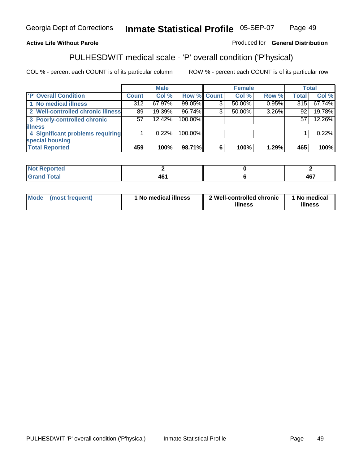### **Active Life Without Parole**

Produced for **General Distribution**

# PULHESDWIT medical scale - 'P' overall condition ('P'hysical)

|                                   |         | <b>Male</b> |             |   | <b>Female</b> |          |              | <b>Total</b> |
|-----------------------------------|---------|-------------|-------------|---|---------------|----------|--------------|--------------|
| 'P' Overall Condition             | Count l | Col %       | Row % Count |   | Col %         | Row %    | <b>Total</b> | Col %        |
| 1 No medical illness              | 312     | 67.97%      | 99.05%      |   | 50.00%        | $0.95\%$ | 315          | 67.74%       |
| 2 Well-controlled chronic illness | 89      | 19.39%      | 96.74%      | ◠ | 50.00%        | 3.26%    | 92           | 19.78%       |
| 3 Poorly-controlled chronic       | 57      | 12.42%      | 100.00%     |   |               |          | 57           | 12.26%       |
| <b>lillness</b>                   |         |             |             |   |               |          |              |              |
| 4 Significant problems requiring  |         | 0.22%       | 100.00%     |   |               |          |              | 0.22%        |
| special housing                   |         |             |             |   |               |          |              |              |
| <b>Total Reported</b>             | 459     | 100%        | 98.71%      |   | 100%          | 1.29%    | 465          | 100%         |

| Not Reported |                             |            |
|--------------|-----------------------------|------------|
| <b>otal</b>  | AC'<br>40.<br>$\sim$ $\sim$ | 107<br>ישר |

| Mode            | ' No medical illness | 2 Well-controlled chronic | 1 No medical |
|-----------------|----------------------|---------------------------|--------------|
| (most frequent) |                      | illness                   | illness      |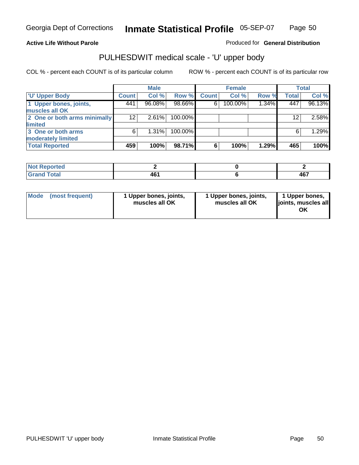### **Active Life Without Parole**

Produced for **General Distribution**

# PULHESDWIT medical scale - 'U' upper body

|                              |              | <b>Male</b> |         |              | <b>Female</b> |          |              | <b>Total</b> |
|------------------------------|--------------|-------------|---------|--------------|---------------|----------|--------------|--------------|
| <b>TU' Upper Body</b>        | <b>Count</b> | Col %       | Row %   | <b>Count</b> | Col %         | Row %    | <b>Total</b> | Col %        |
| 1 Upper bones, joints,       | 441          | 96.08%      | 98.66%  | 6            | 100.00%       | $1.34\%$ | 447          | 96.13%       |
| muscles all OK               |              |             |         |              |               |          |              |              |
| 2 One or both arms minimally | 12           | 2.61%       | 100.00% |              |               |          | 12           | 2.58%        |
| limited                      |              |             |         |              |               |          |              |              |
| 3 One or both arms           | 6            | $1.31\%$    | 100.00% |              |               |          | 6            | 1.29%        |
| moderately limited           |              |             |         |              |               |          |              |              |
| <b>Total Reported</b>        | 459          | 100%        | 98.71%  | 6            | 100%          | 1.29%    | 465          | 100%         |

| المتحدقين<br>orreol |                      |                   |
|---------------------|----------------------|-------------------|
| int                 | 1 C 1<br>TV.<br>$ -$ | <b>467</b><br>ישר |

| Mode | (most frequent) | 1 Upper bones, joints,<br>muscles all OK | 1 Upper bones, joints,<br>muscles all OK | 1 Upper bones,<br>joints, muscles all |
|------|-----------------|------------------------------------------|------------------------------------------|---------------------------------------|
|------|-----------------|------------------------------------------|------------------------------------------|---------------------------------------|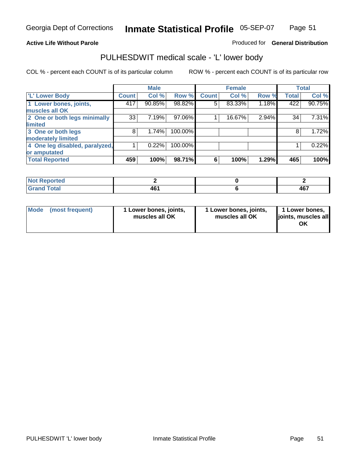#### **Active Life Without Parole**

#### Produced for **General Distribution**

### PULHESDWIT medical scale - 'L' lower body

|                                |              | <b>Male</b> |           |              | <b>Female</b> |       |              | <b>Total</b> |
|--------------------------------|--------------|-------------|-----------|--------------|---------------|-------|--------------|--------------|
| 'L' Lower Body                 | <b>Count</b> | Col %       | Row %     | <b>Count</b> | Col %         | Row % | <b>Total</b> | Col %        |
| 1 Lower bones, joints,         | 417          | 90.85%      | 98.82%    | 5            | 83.33%        | 1.18% | 422          | 90.75%       |
| muscles all OK                 |              |             |           |              |               |       |              |              |
| 2 One or both legs minimally   | 33           | 7.19%       | $97.06\%$ |              | 16.67%        | 2.94% | 34           | 7.31%        |
| limited                        |              |             |           |              |               |       |              |              |
| 3 One or both legs             | 8            | 1.74%       | 100.00%   |              |               |       | 8            | 1.72%        |
| moderately limited             |              |             |           |              |               |       |              |              |
| 4 One leg disabled, paralyzed, |              | 0.22%       | 100.00%   |              |               |       |              | 0.22%        |
| or amputated                   |              |             |           |              |               |       |              |              |
| <b>Total Reported</b>          | 459          | 100%        | 98.71%    | 6            | 100%          | 1.29% | 465          | 100%         |

| <b>rted</b><br>w     |           |           |
|----------------------|-----------|-----------|
| $C0+0$<br>TOldi<br>. | AF.<br>᠇៴ | "~<br>40. |

|  | Mode (most frequent) | 1 Lower bones, joints,<br>muscles all OK | 1 Lower bones, joints,<br>muscles all OK | 1 Lower bones,<br>joints, muscles all<br>OK |
|--|----------------------|------------------------------------------|------------------------------------------|---------------------------------------------|
|--|----------------------|------------------------------------------|------------------------------------------|---------------------------------------------|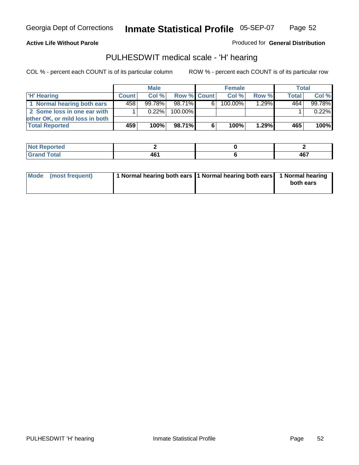#### **Active Life Without Parole**

Produced for **General Distribution**

### PULHESDWIT medical scale - 'H' hearing

|                                |              | <b>Male</b> |             |    | <b>Female</b> |       | Total        |        |
|--------------------------------|--------------|-------------|-------------|----|---------------|-------|--------------|--------|
| 'H' Hearing                    | <b>Count</b> | Col%        | Row % Count |    | Col%          | Row % | <b>Total</b> | Col %  |
| 1 Normal hearing both ears     | 4581         | 99.78%      | 98.71%      | 61 | 100.00%       | 1.29% | 464          | 99.78% |
| 2 Some loss in one ear with    |              | $0.22\%$    | 100.00%     |    |               |       |              | 0.22%  |
| other OK, or mild loss in both |              |             |             |    |               |       |              |        |
| <b>Total Reported</b>          | 459          | 100%        | 98.71%I     | 6  | 100%          | 1.29% | 465          | 100%   |

| тео                                                     |       |            |
|---------------------------------------------------------|-------|------------|
| ---<br>$\sim$ $\sim$ $\sim$ $\sim$ $\sim$ $\sim$ $\sim$ | $  -$ | 167<br>יט+ |

| Mode (most frequent) | 1 Normal hearing both ears 1 Normal hearing both ears 1 Normal hearing | both ears |
|----------------------|------------------------------------------------------------------------|-----------|
|                      |                                                                        |           |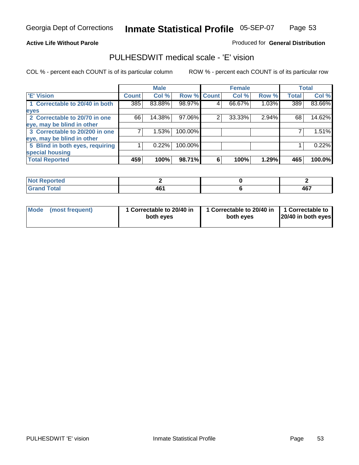### **Active Life Without Parole**

### Produced for **General Distribution**

### PULHESDWIT medical scale - 'E' vision

|                                 |              | <b>Male</b> |                    |   | <b>Female</b> |       |              | <b>Total</b> |
|---------------------------------|--------------|-------------|--------------------|---|---------------|-------|--------------|--------------|
| 'E' Vision                      | <b>Count</b> | Col %       | <b>Row % Count</b> |   | Col %         | Row % | <b>Total</b> | Col %        |
| 1 Correctable to 20/40 in both  | 385          | 83.88%      | 98.97%             | 4 | 66.67%        | 1.03% | 389          | 83.66%       |
| eyes                            |              |             |                    |   |               |       |              |              |
| 2 Correctable to 20/70 in one   | 66           | 14.38%      | 97.06%             | 2 | 33.33%        | 2.94% | 68           | 14.62%       |
| eye, may be blind in other      |              |             |                    |   |               |       |              |              |
| 3 Correctable to 20/200 in one  |              | 1.53%       | 100.00%            |   |               |       |              | 1.51%        |
| eye, may be blind in other      |              |             |                    |   |               |       |              |              |
| 5 Blind in both eyes, requiring |              | 0.22%       | 100.00%            |   |               |       |              | 0.22%        |
| special housing                 |              |             |                    |   |               |       |              |              |
| <b>Total Reported</b>           | 459          | 100%        | 98.71%             | 6 | 100%          | 1.29% | 465          | 100.0%       |

| <b>Reported</b><br>' NOT |          |                   |
|--------------------------|----------|-------------------|
| <b>Total</b>             | .<br>TV. | <b>AG7</b><br>TV. |

| Mode (most frequent) | 1 Correctable to 20/40 in<br>both eves | 1 Correctable to 20/40 in   1 Correctable to  <br>both eves | 20/40 in both eyes |
|----------------------|----------------------------------------|-------------------------------------------------------------|--------------------|
|----------------------|----------------------------------------|-------------------------------------------------------------|--------------------|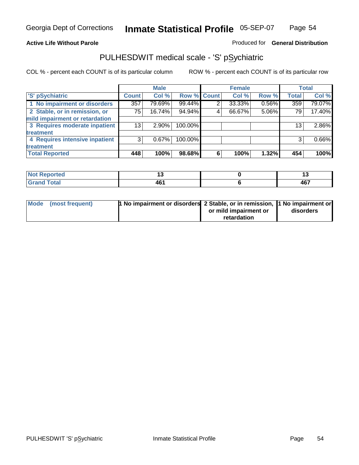#### **Active Life Without Parole**

#### Produced for **General Distribution**

### PULHESDWIT medical scale - 'S' pSychiatric

|                                |              | <b>Male</b> |             |   | <b>Female</b> |       |              | <b>Total</b> |
|--------------------------------|--------------|-------------|-------------|---|---------------|-------|--------------|--------------|
| 'S' pSychiatric                | <b>Count</b> | Col %       | Row % Count |   | Col %         | Row % | <b>Total</b> | Col %        |
| 1 No impairment or disorders   | 357          | 79.69%      | 99.44%      | 2 | 33.33%        | 0.56% | 359          | 79.07%       |
| 2 Stable, or in remission, or  | 75           | 16.74%      | 94.94%      | 4 | 66.67%        | 5.06% | 79           | 17.40%       |
| mild impairment or retardation |              |             |             |   |               |       |              |              |
| 3 Requires moderate inpatient  | 13           | $2.90\%$    | 100.00%     |   |               |       | 13           | 2.86%        |
| treatment                      |              |             |             |   |               |       |              |              |
| 4 Requires intensive inpatient | 3            | 0.67%       | 100.00%     |   |               |       | 3            | 0.66%        |
| treatment                      |              |             |             |   |               |       |              |              |
| <b>Total Reported</b>          | 448          | 100%        | 98.68%      | 6 | 100%          | 1.32% | 454          | 100%         |

| prtea        |         | w         |
|--------------|---------|-----------|
| <b>Total</b> | .<br>тv | A67<br>тv |

| Mode (most frequent) | 1 No impairment or disorders 2 Stable, or in remission, 11 No impairment or |                       |           |
|----------------------|-----------------------------------------------------------------------------|-----------------------|-----------|
|                      |                                                                             | or mild impairment or | disorders |
|                      |                                                                             | retardation           |           |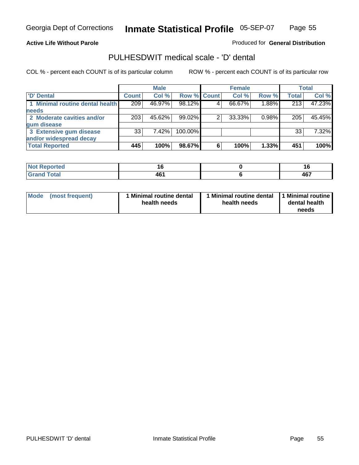### **Active Life Without Parole**

Produced for **General Distribution**

### PULHESDWIT medical scale - 'D' dental

|                                 |                 | <b>Male</b> |             |   | <b>Female</b> |       |              | <b>Total</b> |
|---------------------------------|-----------------|-------------|-------------|---|---------------|-------|--------------|--------------|
| <b>D'</b> Dental                | <b>Count</b>    | Col %       | Row % Count |   | Col %         | Row % | <b>Total</b> | Col %        |
| 1 Minimal routine dental health | 209             | 46.97%      | 98.12%      |   | 66.67%        | 1.88% | 213          | 47.23%       |
| <b>needs</b>                    |                 |             |             |   |               |       |              |              |
| 2 Moderate cavities and/or      | 203             | 45.62%      | 99.02%      |   | 33.33%        | 0.98% | 205          | 45.45%       |
| gum disease                     |                 |             |             |   |               |       |              |              |
| 3 Extensive gum disease         | 33 <sup>1</sup> | 7.42%       | 100.00%     |   |               |       | 33           | 7.32%        |
| and/or widespread decay         |                 |             |             |   |               |       |              |              |
| <b>Total Reported</b>           | 445             | 100%        | 98.67%      | 6 | 100%          | 1.33% | 451          | 100%         |

| <b><i>College Allen</i></b><br>тео | $\sim$         |            |
|------------------------------------|----------------|------------|
| <b>Total</b>                       | .<br>. .<br>70 | 167<br>ישד |

| Mode (most frequent) | <b>Minimal routine dental</b><br>health needs | 1 Minimal routine dental<br>health needs | 1 Minimal routine<br>dental health<br>needs |
|----------------------|-----------------------------------------------|------------------------------------------|---------------------------------------------|
|----------------------|-----------------------------------------------|------------------------------------------|---------------------------------------------|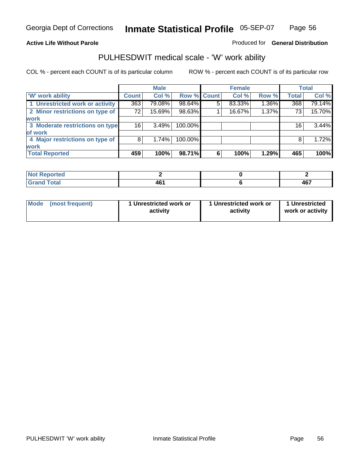### **Active Life Without Parole**

### Produced for **General Distribution**

### PULHESDWIT medical scale - 'W' work ability

|                                 |              | <b>Male</b> |             |   | <b>Female</b> |       |              | <b>Total</b> |
|---------------------------------|--------------|-------------|-------------|---|---------------|-------|--------------|--------------|
| <b>W' work ability</b>          | <b>Count</b> | Col %       | Row % Count |   | Col %         | Row % | <b>Total</b> | Col %        |
| 1 Unrestricted work or activity | 363          | 79.08%      | 98.64%      | 5 | 83.33%        | 1.36% | 368          | 79.14%       |
| 2 Minor restrictions on type of | 72           | 15.69%      | 98.63%      |   | 16.67%        | 1.37% | 73           | 15.70%       |
| <b>work</b>                     |              |             |             |   |               |       |              |              |
| 3 Moderate restrictions on type | 16           | 3.49%       | 100.00%     |   |               |       | 16           | 3.44%        |
| of work                         |              |             |             |   |               |       |              |              |
| 4 Major restrictions on type of | 8            | 1.74%       | 100.00%     |   |               |       | 8            | 1.72%        |
| <b>work</b>                     |              |             |             |   |               |       |              |              |
| <b>Total Reported</b>           | 459          | 100%        | 98.71%      | 6 | 100%          | 1.29% | 465          | 100%         |

| <b>Reported</b><br>. |         |     |
|----------------------|---------|-----|
| <b>Total</b><br>r.,  | <br>TV. | 467 |

| Mode            | 1 Unrestricted work or | 1 Unrestricted work or | 1 Unrestricted   |
|-----------------|------------------------|------------------------|------------------|
| (most frequent) | activity               | activity               | work or activity |
|                 |                        |                        |                  |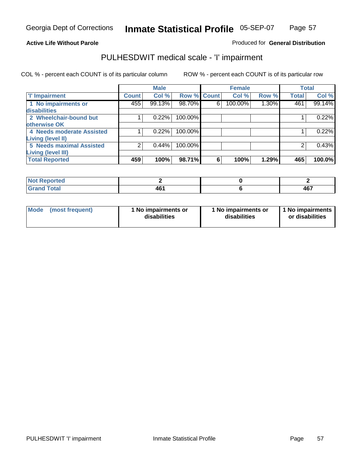### **Active Life Without Parole**

### Produced for **General Distribution**

### PULHESDWIT medical scale - 'I' impairment

|                                                       |              | <b>Male</b> |             |   | <b>Female</b> |       |              | <b>Total</b> |
|-------------------------------------------------------|--------------|-------------|-------------|---|---------------|-------|--------------|--------------|
| <b>T' Impairment</b>                                  | <b>Count</b> | Col %       | Row % Count |   | Col %         | Row % | <b>Total</b> | Col %        |
| 1 No impairments or<br><b>disabilities</b>            | 455          | 99.13%      | 98.70%      | 6 | 100.00%       | 1.30% | 461          | 99.14%       |
| 2 Wheelchair-bound but<br>otherwise OK                |              | 0.22%       | 100.00%     |   |               |       |              | 0.22%        |
| 4 Needs moderate Assisted<br><b>Living (level II)</b> |              | 0.22%       | 100.00%     |   |               |       |              | 0.22%        |
| 5 Needs maximal Assisted<br><b>Living (level III)</b> |              | $0.44\%$    | 100.00%     |   |               |       |              | 0.43%        |
| <b>Total Reported</b>                                 | 459          | 100%        | 98.71%      | 6 | 100%          | 1.29% | 465          | 100.0%       |

| Reported<br><b>NOT</b><br>. |     |                  |
|-----------------------------|-----|------------------|
| <b>Total</b><br>. Grar      | 461 | <b>AG7</b><br>TV |

| Mode | (most frequent) | 1 No impairments or<br>disabilities | 1 No impairments or<br>disabilities | 1 No impairments<br>or disabilities |
|------|-----------------|-------------------------------------|-------------------------------------|-------------------------------------|
|------|-----------------|-------------------------------------|-------------------------------------|-------------------------------------|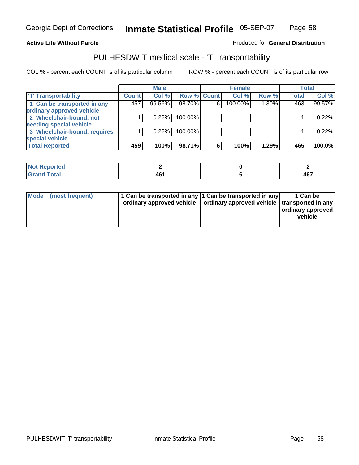#### **Inmate Statistical Profile** 05-SEP-07 Page Page 58

### **Active Life Without Parole Produced fo Seneral Distribution**

### PULHESDWIT medical scale - 'T' transportability

|                              |              | <b>Male</b> |         |             | <b>Female</b> |       |              | <b>Total</b> |
|------------------------------|--------------|-------------|---------|-------------|---------------|-------|--------------|--------------|
| <b>T' Transportability</b>   | <b>Count</b> | Col %       |         | Row % Count | Col %         | Row % | <b>Total</b> | Col %        |
| 1 Can be transported in any  | 457          | 99.56%      | 98.70%  | 6           | 100.00%       | 1.30% | 463          | 99.57%       |
| ordinary approved vehicle    |              |             |         |             |               |       |              |              |
| 2 Wheelchair-bound, not      |              | 0.22%       | 100.00% |             |               |       |              | 0.22%        |
| needing special vehicle      |              |             |         |             |               |       |              |              |
| 3 Wheelchair-bound, requires |              | 0.22%       | 100.00% |             |               |       |              | 0.22%        |
| special vehicle              |              |             |         |             |               |       |              |              |
| <b>Total Reported</b>        | 459          | 100%        | 98.71%  | 6           | 100%          | 1.29% | 465          | 100.0%       |

| <b>Reported</b><br><b>NOT</b><br>19V L |                      |     |
|----------------------------------------|----------------------|-----|
| <b>Cotal</b><br>$\sim$ 0.000 $\sim$    | . A F<br>- 16<br>$-$ | 167 |

| Mode (most frequent) | 1 Can be transported in any 1 Can be transported in any | ordinary approved vehicle   ordinary approved vehicle   transported in any | 1 Can be<br>  ordinary approved  <br>vehicle |
|----------------------|---------------------------------------------------------|----------------------------------------------------------------------------|----------------------------------------------|
|----------------------|---------------------------------------------------------|----------------------------------------------------------------------------|----------------------------------------------|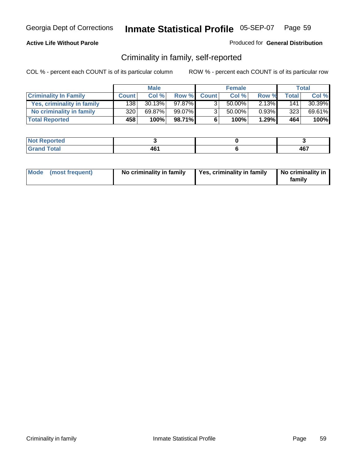### **Active Life Without Parole**

#### Produced for **General Distribution**

### Criminality in family, self-reported

|                              |                  | <b>Male</b> |              |                | <b>Female</b> |       |       | Total  |
|------------------------------|------------------|-------------|--------------|----------------|---------------|-------|-------|--------|
| <b>Criminality In Family</b> | <b>Count</b>     | Col %       | <b>Row %</b> | <b>Count</b>   | Col %         | Row % | Total | Col %  |
| Yes, criminality in family   | 1381             | 30.13%      | 97.87%       |                | 50.00%        | 2.13% | 141   | 30.39% |
| No criminality in family     | 320 <sub>1</sub> | 69.87%      | 99.07%       | 3 <sub>1</sub> | 50.00%        | 0.93% | 323   | 69.61% |
| <b>Total Reported</b>        | 458              | 100%        | 98.71%       | 6              | 100%          | 1.29% | 464   | 100%   |

| ported<br><b>NOT</b><br><b>IJCI</b> |                 |              |
|-------------------------------------|-----------------|--------------|
| $\sim$<br>Gran<br>---               | 46<br>тv<br>___ | $10-$<br>ישר |

| Mode (most frequent) | No criminality in family | Yes, criminality in family | No criminality in<br>family |
|----------------------|--------------------------|----------------------------|-----------------------------|
|----------------------|--------------------------|----------------------------|-----------------------------|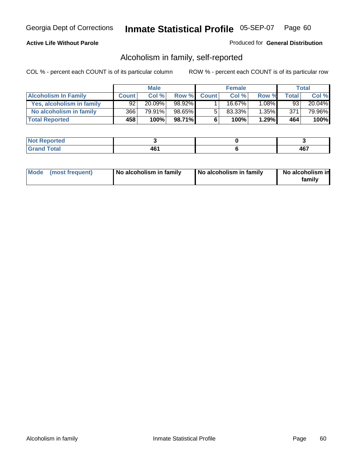### **Active Life Without Parole**

#### Produced for **General Distribution**

### Alcoholism in family, self-reported

|                             |              | <b>Male</b> |        |              | <b>Female</b> |          |       | Total     |
|-----------------------------|--------------|-------------|--------|--------------|---------------|----------|-------|-----------|
| <b>Alcoholism In Family</b> | <b>Count</b> | Col %       | Row %  | <b>Count</b> | Col %         | Row %    | Total | Col %     |
| Yes, alcoholism in family   | 92           | 20.09%      | 98.92% |              | $16.67\%$     | $1.08\%$ | 93    | $20.04\%$ |
| No alcoholism in family     | 366          | 79.91%      | 98.65% | 5            | 83.33%        | $1.35\%$ | 371   | 79.96%    |
| <b>Total Reported</b>       | 458          | 100%        | 98.71% | 6            | 100%          | 1.29%    | 464   | 100%      |

| oorted<br><b>NOT</b><br><b>IJCI</b>           |           |             |
|-----------------------------------------------|-----------|-------------|
| <b>c</b> otal<br>Gran<br>$\sim$ $\sim$ $\sim$ | 70<br>___ | A67<br>TV 1 |

|  | Mode (most frequent) | No alcoholism in family | No alcoholism in family | No alcoholism in<br>familv |
|--|----------------------|-------------------------|-------------------------|----------------------------|
|--|----------------------|-------------------------|-------------------------|----------------------------|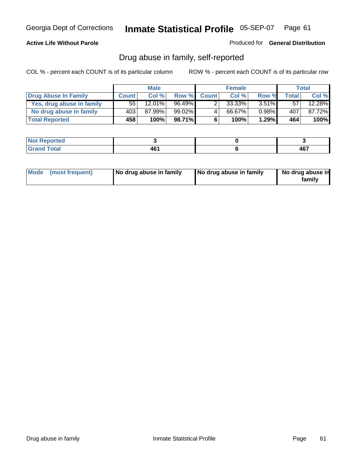### **Active Life Without Parole**

Produced for **General Distribution**

### Drug abuse in family, self-reported

|                           |              | <b>Male</b>          |           |              | <b>Female</b> |          |              | Total     |
|---------------------------|--------------|----------------------|-----------|--------------|---------------|----------|--------------|-----------|
| Drug Abuse In Family      | <b>Count</b> | Col %                | Row %     | <b>Count</b> | Col %         | Row %    | <b>Total</b> | Col %     |
| Yes, drug abuse in family | 55 I         | $12.\overline{01\%}$ | 96.49%    |              | $33.33\%$     | $3.51\%$ | 57           | $12.28\%$ |
| No drug abuse in family   | 4031         | 87.99%               | $99.02\%$ | 4            | 66.67%        | $0.98\%$ | 407          | 87.72%    |
| <b>Total Reported</b>     | 458          | 100%                 | 98.71%    | 6            | 100%          | 1.29%    | 464          | 100%      |

| <b>Not</b><br>oorted<br><b>IVGI</b> |                 |                |
|-------------------------------------|-----------------|----------------|
| $\sim$<br>Gran<br>---               | ໍ່<br>TV<br>___ | $\sim$<br>י טד |

|  | Mode (most frequent) | No drug abuse in family | No drug abuse in family | No drug abuse in<br>family |
|--|----------------------|-------------------------|-------------------------|----------------------------|
|--|----------------------|-------------------------|-------------------------|----------------------------|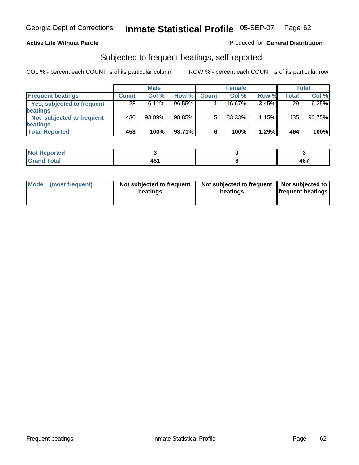### **Active Life Without Parole**

#### Produced for **General Distribution**

### Subjected to frequent beatings, self-reported

|                            |              | <b>Male</b> |           |              | <b>Female</b> |       |       | <b>Total</b> |
|----------------------------|--------------|-------------|-----------|--------------|---------------|-------|-------|--------------|
| <b>Frequent beatings</b>   | <b>Count</b> | Col%        | Row %     | <b>Count</b> | Col%          | Row % | Total | Col %        |
| Yes, subjected to frequent | 28           | $6.11\%$    | $96.55\%$ |              | 16.67%        | 3.45% | 29    | 6.25%        |
| <b>beatings</b>            |              |             |           |              |               |       |       |              |
| Not subjected to frequent  | 430          | $93.89\%$   | 98.85%    | 5            | 83.33%        | 1.15% | 435   | 93.75%       |
| <b>beatings</b>            |              |             |           |              |               |       |       |              |
| <b>Total Reported</b>      | 458          | 100%        | 98.71%    | 6            | 100%          | 1.29% | 464   | 100%         |

| Not Reported |   |            |
|--------------|---|------------|
| <b>Total</b> |   | <b>AG7</b> |
| Cron         | w | TV.        |

| Mode (most frequent) | Not subjected to frequent<br>beatings | Not subjected to frequent<br>beatings | Not subjected to<br><b>frequent beatings</b> |  |
|----------------------|---------------------------------------|---------------------------------------|----------------------------------------------|--|
|                      |                                       |                                       |                                              |  |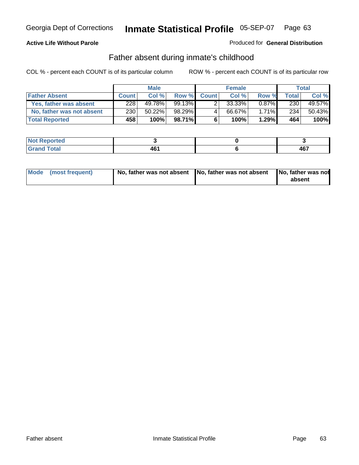### **Active Life Without Parole**

#### Produced for **General Distribution**

### Father absent during inmate's childhood

|                           |              | <b>Male</b> |          |              | <b>Female</b> |          |       | Total  |
|---------------------------|--------------|-------------|----------|--------------|---------------|----------|-------|--------|
| <b>Father Absent</b>      | <b>Count</b> | Col %       | Row %    | <b>Count</b> | Col %         | Row %    | Total | Col %  |
| Yes, father was absent    | 228          | 49.78%      | 99.13% Ⅰ |              | 33.33%        | $0.87\%$ | 230   | 49.57% |
| No, father was not absent | 230          | 50.22%      | 98.29%   |              | 66.67%        | $1.71\%$ | 234   | 50.43% |
| <b>Total Reported</b>     | 458          | 100%        | 98.71%   | 6            | 100%          | 1.29%    | 464   | 100%   |

| ported<br><b>NOT</b><br><b>IJCI</b> |                 |              |
|-------------------------------------|-----------------|--------------|
| $\sim$<br>Gran<br>---               | 46<br>тv<br>___ | $10-$<br>ישר |

| Mode (most frequent) |  | 「No, father was not absent ┃No, father was not absent ┃No, father was not | absent |
|----------------------|--|---------------------------------------------------------------------------|--------|
|----------------------|--|---------------------------------------------------------------------------|--------|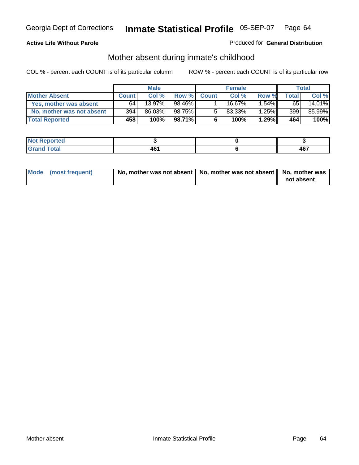### **Active Life Without Parole**

#### Produced for **General Distribution**

# Mother absent during inmate's childhood

|                           |              | <b>Male</b> |           |              | <b>Female</b> |          |       | Total  |
|---------------------------|--------------|-------------|-----------|--------------|---------------|----------|-------|--------|
| <b>Mother Absent</b>      | <b>Count</b> | Col %       | Row %     | <b>Count</b> | Col %         | Row %    | Total | Col %  |
| Yes, mother was absent    | 64           | 13.97%      | 98.46%    |              | 16.67%        | $.54\%$  | 65    | 14.01% |
| No, mother was not absent | 394          | 86.03%      | 98.75%    | 5            | 83.33%        | $1.25\%$ | 399   | 85.99% |
| <b>Total Reported</b>     | 458          | 100%        | $98.71\%$ | 6            | 100%          | 1.29%    | 464   | 100%   |

| <b>Not Reported</b>     |                  |     |
|-------------------------|------------------|-----|
| <b>Fotal</b><br>l Grani | AR'<br>тv<br>___ | 467 |

| Mode (most frequent) | No, mother was not absent $\vert$ No, mother was not absent $\vert$ No, mother was | not absent |
|----------------------|------------------------------------------------------------------------------------|------------|
|                      |                                                                                    |            |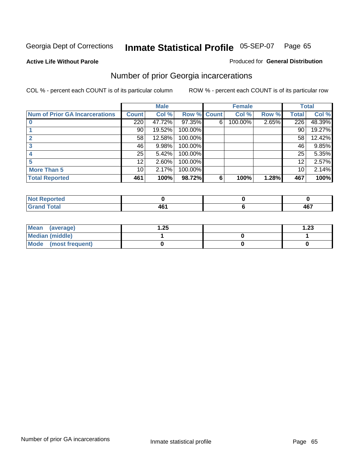**Active Life Without Parole** 

#### Produced for **General Distribution**

### Number of prior Georgia incarcerations

|                                       |                  | <b>Male</b> |                    |   | <b>Female</b> |       |       | <b>Total</b> |
|---------------------------------------|------------------|-------------|--------------------|---|---------------|-------|-------|--------------|
| <b>Num of Prior GA Incarcerations</b> | <b>Count</b>     | Col %       | <b>Row % Count</b> |   | Col %         | Row % | Total | Col %        |
|                                       | $\overline{220}$ | 47.72%      | 97.35%             | 6 | 100.00%       | 2.65% | 226   | 48.39%       |
|                                       | 90               | 19.52%      | 100.00%            |   |               |       | 90    | 19.27%       |
|                                       | 58               | 12.58%      | 100.00%            |   |               |       | 58    | 12.42%       |
|                                       | 46               | 9.98%       | 100.00%            |   |               |       | 46    | 9.85%        |
|                                       | 25               | 5.42%       | 100.00%            |   |               |       | 25    | 5.35%        |
|                                       | 12               | 2.60%       | 100.00%            |   |               |       | 12    | 2.57%        |
| <b>More Than 5</b>                    | 10 <sup>1</sup>  | 2.17%       | 100.00%            |   |               |       | 10    | 2.14%        |
| <b>Total Reported</b>                 | 461              | 100%        | 98.72%             | 6 | 100%          | 1.28% | 467   | 100%         |

| 4 - 1<br><b>Reported</b><br>NI. |  |             |
|---------------------------------|--|-------------|
| <b>otal</b><br>$\sim$ .         |  | 107<br>ו ט+ |

| Mean (average)       | 1.25 | 1.23 |
|----------------------|------|------|
| Median (middle)      |      |      |
| Mode (most frequent) |      |      |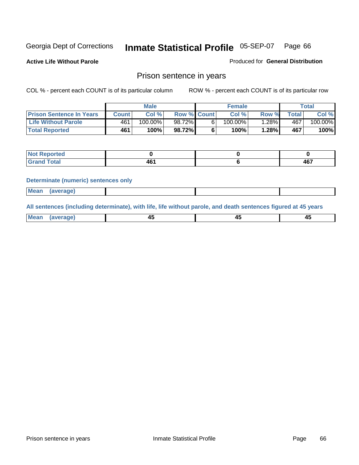**Active Life Without Parole** 

Produced for **General Distribution**

### Prison sentence in years

COL % - percent each COUNT is of its particular column ROW % - percent each COUNT is of its particular row

|                                 | Male    |            |                    | <b>Female</b> |            |       | Total       |         |
|---------------------------------|---------|------------|--------------------|---------------|------------|-------|-------------|---------|
| <b>Prison Sentence In Years</b> | Count l | Col %      | <b>Row % Count</b> |               | Col %      | Row % | $\tau$ otal | Col %   |
| <b>Life Without Parole</b>      | 461     | $100.00\%$ | 98.72%             |               | $100.00\%$ | .28%  | 467         | 100.00% |
| <b>Total Reported</b>           | 461     | 100%       | 98.72%             |               | 100%       | 1.28% | 467         | 100%    |

| <b>eported</b>                   |                    |          |
|----------------------------------|--------------------|----------|
| <b>Total</b><br>$\mathbf{v}$ and | .<br>$\sim$<br>TV. | AC7<br>┱ |

#### **Determinate (numeric) sentences only**

| <b>Mean</b> | (average) |  |  |
|-------------|-----------|--|--|

**All sentences (including determinate), with life, life without parole, and death sentences figured at 45 years**

| <b>Mean</b><br><b>AVARANA</b><br>- 1<br>$\cdots$<br>$\sim$ | -- | т. |
|------------------------------------------------------------|----|----|
|------------------------------------------------------------|----|----|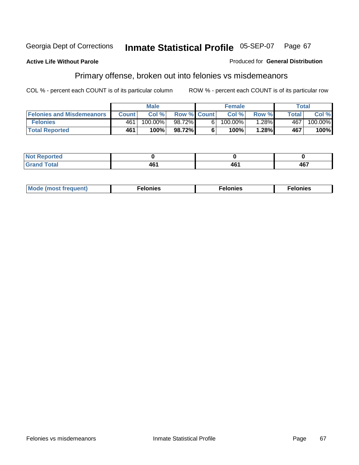### **Active Life Without Parole**

#### Produced for **General Distribution**

# Primary offense, broken out into felonies vs misdemeanors

|                                  | <b>Male</b>  |            |                    | <b>Female</b> |            |          | Total        |            |
|----------------------------------|--------------|------------|--------------------|---------------|------------|----------|--------------|------------|
| <b>Felonies and Misdemeanors</b> | <b>Count</b> | Col%       | <b>Row % Count</b> |               | Col%       | Row %    | <b>Total</b> | Col %      |
| <b>Felonies</b>                  | 461          | $100.00\%$ | 98.72%             | 61            | $100.00\%$ | $1.28\%$ | 467          | $100.00\%$ |
| <b>Total Reported</b>            | 461          | 100%       | 98.72%             |               | 100%       | .28%     | 467          | 100%       |

| rted<br>NO:<br>$\sim$ |     |             |     |
|-----------------------|-----|-------------|-----|
| $\sim$                | --- | AR'<br>. TV | 467 |

| M <sub>0</sub><br>. | צאור<br>. | . |
|---------------------|-----------|---|
|---------------------|-----------|---|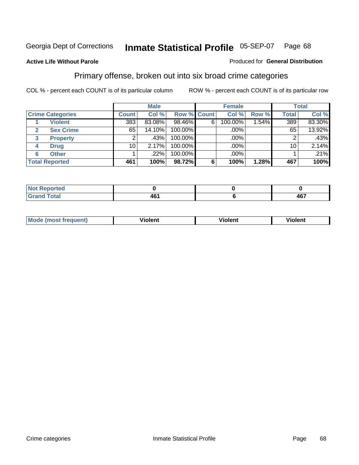#### **Active Life Without Parole**

#### Produced for **General Distribution**

### Primary offense, broken out into six broad crime categories

|                         |              | <b>Male</b> |                    |   | <b>Female</b> |       |                 | <b>Total</b> |  |
|-------------------------|--------------|-------------|--------------------|---|---------------|-------|-----------------|--------------|--|
| <b>Crime Categories</b> | <b>Count</b> | Col %       | <b>Row % Count</b> |   | Col %         | Row % | <b>Total</b>    | Col %        |  |
| <b>Violent</b>          | 383          | 83.08%      | 98.46%             | 6 | 100.00%       | ا54%. | 389             | 83.30%       |  |
| <b>Sex Crime</b>        | 65           | 14.10%      | 100.00%            |   | .00%          |       | 65              | 13.92%       |  |
| 3<br><b>Property</b>    | 2            | .43%        | 100.00%            |   | .00%          |       |                 | .43%         |  |
| <b>Drug</b><br>4        | 10           | 2.17%       | 100.00%            |   | .00%          |       | 10 <sub>1</sub> | 2.14%        |  |
| <b>Other</b><br>6       |              | .22%        | 100.00%            |   | .00%          |       |                 | .21%         |  |
| <b>Total Reported</b>   | 461          | 100%        | 98.72%             | 6 | 100%          | 1.28% | 467             | 100%         |  |

| <b>Reported</b><br>NOT<br>$\sim$ |                  |     |
|----------------------------------|------------------|-----|
| <b>Total</b><br>Grand            | <b>AG</b><br>TV. | 467 |

| Mc | - - | 'חםור |  |
|----|-----|-------|--|
|    |     |       |  |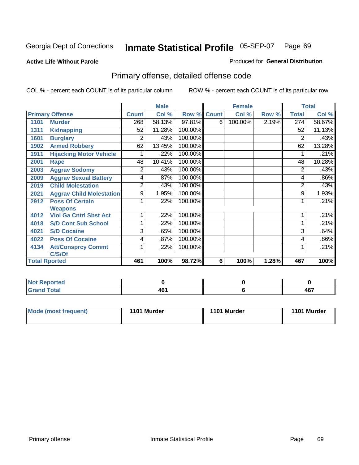#### **Active Life Without Parole**

#### Produced for **General Distribution**

# Primary offense, detailed offense code

|      |                                 |                | <b>Male</b> |             |   | <b>Female</b> |       |              | <b>Total</b> |
|------|---------------------------------|----------------|-------------|-------------|---|---------------|-------|--------------|--------------|
|      | <b>Primary Offense</b>          | <b>Count</b>   | Col %       | Row % Count |   | Col %         | Row % | <b>Total</b> | Col %        |
| 1101 | <b>Murder</b>                   | 268            | 58.13%      | 97.81%      | 6 | 100.00%       | 2.19% | 274          | 58.67%       |
| 1311 | <b>Kidnapping</b>               | 52             | 11.28%      | 100.00%     |   |               |       | 52           | 11.13%       |
| 1601 | <b>Burglary</b>                 | 2              | .43%        | 100.00%     |   |               |       | 2            | .43%         |
| 1902 | <b>Armed Robbery</b>            | 62             | 13.45%      | 100.00%     |   |               |       | 62           | 13.28%       |
| 1911 | <b>Hijacking Motor Vehicle</b>  |                | .22%        | 100.00%     |   |               |       |              | .21%         |
| 2001 | Rape                            | 48             | 10.41%      | 100.00%     |   |               |       | 48           | 10.28%       |
| 2003 | <b>Aggrav Sodomy</b>            | 2              | .43%        | 100.00%     |   |               |       | 2            | .43%         |
| 2009 | <b>Aggrav Sexual Battery</b>    | 4              | .87%        | 100.00%     |   |               |       | 4            | .86%         |
| 2019 | <b>Child Molestation</b>        | $\overline{2}$ | .43%        | 100.00%     |   |               |       | 2            | .43%         |
| 2021 | <b>Aggrav Child Molestation</b> | 9              | 1.95%       | 100.00%     |   |               |       | 9            | 1.93%        |
| 2912 | <b>Poss Of Certain</b>          |                | .22%        | 100.00%     |   |               |       |              | .21%         |
|      | <b>Weapons</b>                  |                |             |             |   |               |       |              |              |
| 4012 | <b>Viol Ga Cntrl Sbst Act</b>   |                | .22%        | 100.00%     |   |               |       |              | .21%         |
| 4018 | <b>S/D Cont Sub School</b>      | 1              | .22%        | 100.00%     |   |               |       |              | .21%         |
| 4021 | <b>S/D Cocaine</b>              | 3              | .65%        | 100.00%     |   |               |       | 3            | .64%         |
| 4022 | <b>Poss Of Cocaine</b>          | 4              | .87%        | 100.00%     |   |               |       | 4            | .86%         |
| 4134 | <b>Att/Consprcy Commt</b>       | 1              | .22%        | 100.00%     |   |               |       | 1            | .21%         |
|      | C/S/Of                          |                |             |             |   |               |       |              |              |
|      | <b>Total Rported</b>            | 461            | 100%        | 98.72%      | 6 | 100%          | 1.28% | 467          | 100%         |

| Reported<br>NOT  |        |        |
|------------------|--------|--------|
| <b>Total</b>     | $AB^c$ | $\sim$ |
| $\mathbf{v}$ and | 40     | י ט    |

| Mode (most frequent) | 1101 Murder | 1101 Murder | 1101 Murder |
|----------------------|-------------|-------------|-------------|
|----------------------|-------------|-------------|-------------|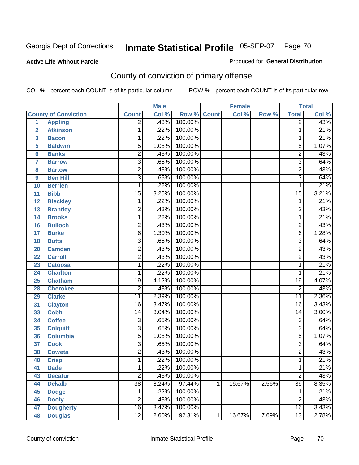### **Active Life Without Parole**

### Produced for **General Distribution**

# County of conviction of primary offense

|                         |                             |                 | <b>Male</b> |              | <b>Female</b> |        | <b>Total</b> |                 |       |
|-------------------------|-----------------------------|-----------------|-------------|--------------|---------------|--------|--------------|-----------------|-------|
|                         | <b>County of Conviction</b> | <b>Count</b>    | Col %       | Row %        | <b>Count</b>  | Col %  | Row %        | <b>Total</b>    | Col % |
| 1                       | <b>Appling</b>              | 2               | .43%        | 100.00%      |               |        |              | 2               | .43%  |
| $\overline{2}$          | <b>Atkinson</b>             | 1               | .22%        | 100.00%      |               |        |              | 1               | .21%  |
| $\overline{\mathbf{3}}$ | <b>Bacon</b>                | 1               | .22%        | 100.00%      |               |        |              | 1               | .21%  |
| 5                       | <b>Baldwin</b>              | $\overline{5}$  | 1.08%       | 100.00%      |               |        |              | $\overline{5}$  | 1.07% |
| 6                       | <b>Banks</b>                | $\overline{2}$  | .43%        | 100.00%      |               |        |              | $\overline{2}$  | .43%  |
| $\overline{7}$          | <b>Barrow</b>               | $\overline{3}$  | .65%        | 100.00%      |               |        |              | $\overline{3}$  | .64%  |
| 8                       | <b>Bartow</b>               | $\overline{2}$  | .43%        | 100.00%      |               |        |              | $\overline{2}$  | .43%  |
| 9                       | <b>Ben Hill</b>             | $\overline{3}$  | .65%        | 100.00%      |               |        |              | $\overline{3}$  | .64%  |
| 10                      | <b>Berrien</b>              | 1               | .22%        | 100.00%      |               |        |              | 1               | .21%  |
| 11                      | <b>Bibb</b>                 | $\overline{15}$ | 3.25%       | 100.00%      |               |        |              | $\overline{15}$ | 3.21% |
| 12                      | <b>Bleckley</b>             | 1               | .22%        | 100.00%      |               |        |              | 1               | .21%  |
| 13                      | <b>Brantley</b>             | $\overline{2}$  | .43%        | 100.00%      |               |        |              | $\overline{2}$  | .43%  |
| 14                      | <b>Brooks</b>               | 1               | .22%        | 100.00%      |               |        |              | 1               | .21%  |
| 16                      | <b>Bulloch</b>              | $\overline{2}$  | .43%        | 100.00%      |               |        |              | $\overline{2}$  | .43%  |
| 17                      | <b>Burke</b>                | $\overline{6}$  | 1.30%       | 100.00%      |               |        |              | 6               | 1.28% |
| 18                      | <b>Butts</b>                | $\overline{3}$  | .65%        | 100.00%      |               |        |              | $\overline{3}$  | .64%  |
| 20                      | <b>Camden</b>               | $\overline{2}$  | .43%        | 100.00%      |               |        |              | 2               | .43%  |
| 22                      | <b>Carroll</b>              | $\overline{2}$  | .43%        | 100.00%      |               |        |              | $\overline{2}$  | .43%  |
| 23                      | <b>Catoosa</b>              | 1               | .22%        | 100.00%      |               |        |              | 1               | .21%  |
| 24                      | <b>Charlton</b>             | 1               | .22%        | 100.00%      |               |        |              | 1               | .21%  |
| 25                      | <b>Chatham</b>              | 19              | 4.12%       | 100.00%      |               |        |              | 19              | 4.07% |
| 28                      | <b>Cherokee</b>             | $\overline{2}$  | .43%        | 100.00%      |               |        |              | $\overline{2}$  | .43%  |
| 29                      | <b>Clarke</b>               | $\overline{11}$ | 2.39%       | 100.00%      |               |        |              | $\overline{11}$ | 2.36% |
| 31                      | <b>Clayton</b>              | $\overline{16}$ | 3.47%       | 100.00%      |               |        |              | $\overline{16}$ | 3.43% |
| 33                      | <b>Cobb</b>                 | 14              | 3.04%       | 100.00%      |               |        |              | 14              | 3.00% |
| 34                      | <b>Coffee</b>               | 3               | .65%        | 100.00%      |               |        |              | $\overline{3}$  | .64%  |
| 35                      | <b>Colquitt</b>             | $\overline{3}$  | .65%        | 100.00%      |               |        |              | $\overline{3}$  | .64%  |
| 36                      | <b>Columbia</b>             | $\overline{5}$  | 1.08%       | 100.00%      |               |        |              | $\overline{5}$  | 1.07% |
| 37                      | <b>Cook</b>                 | 3               | .65%        | 100.00%      |               |        |              | $\overline{3}$  | .64%  |
| 38                      | <b>Coweta</b>               | $\overline{2}$  | .43%        | 100.00%      |               |        |              | $\overline{2}$  | .43%  |
| 40                      | <b>Crisp</b>                | 1               | .22%        | 100.00%      |               |        |              | 1               | .21%  |
| 41                      | <b>Dade</b>                 | 1               |             | .22% 100.00% |               |        |              | 1               | .21%  |
| 43                      | <b>Decatur</b>              | $\overline{2}$  | .43%        | 100.00%      |               |        |              | $\overline{2}$  | .43%  |
| 44                      | <b>Dekalb</b>               | $\overline{38}$ | 8.24%       | 97.44%       | 1             | 16.67% | 2.56%        | $\overline{39}$ | 8.35% |
| 45                      | <b>Dodge</b>                | 1               | .22%        | 100.00%      |               |        |              | 1               | .21%  |
| 46                      | <b>Dooly</b>                | $\overline{2}$  | .43%        | 100.00%      |               |        |              | $\overline{2}$  | .43%  |
| 47                      | <b>Dougherty</b>            | $\overline{16}$ | 3.47%       | 100.00%      |               |        |              | 16              | 3.43% |
| 48                      | <b>Douglas</b>              | $\overline{12}$ | 2.60%       | 92.31%       | 1             | 16.67% | 7.69%        | $\overline{13}$ | 2.78% |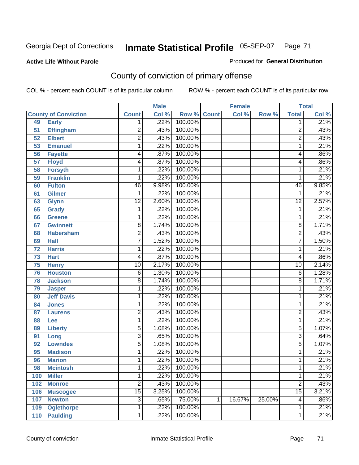Produced for **General Distribution**

#### **Active Life Without Parole**

# County of conviction of primary offense

|     |                             |                 | <b>Male</b> |                    |   | <b>Female</b> |        |                 | <b>Total</b> |
|-----|-----------------------------|-----------------|-------------|--------------------|---|---------------|--------|-----------------|--------------|
|     | <b>County of Conviction</b> | <b>Count</b>    | Col %       | <b>Row % Count</b> |   | Col %         | Row %  | <b>Total</b>    | Col %        |
| 49  | <b>Early</b>                | 1               | .22%        | 100.00%            |   |               |        | 1               | .21%         |
| 51  | <b>Effingham</b>            | $\overline{c}$  | .43%        | 100.00%            |   |               |        | $\overline{2}$  | .43%         |
| 52  | <b>Elbert</b>               | $\overline{2}$  | .43%        | 100.00%            |   |               |        | $\overline{2}$  | .43%         |
| 53  | <b>Emanuel</b>              | 1               | .22%        | 100.00%            |   |               |        | 1               | .21%         |
| 56  | <b>Fayette</b>              | 4               | .87%        | 100.00%            |   |               |        | 4               | .86%         |
| 57  | <b>Floyd</b>                | 4               | .87%        | 100.00%            |   |               |        | 4               | .86%         |
| 58  | <b>Forsyth</b>              | 1               | .22%        | 100.00%            |   |               |        | 1               | .21%         |
| 59  | <b>Franklin</b>             | 1               | .22%        | 100.00%            |   |               |        | 1               | .21%         |
| 60  | <b>Fulton</b>               | 46              | 9.98%       | 100.00%            |   |               |        | 46              | 9.85%        |
| 61  | <b>Gilmer</b>               | 1               | .22%        | 100.00%            |   |               |        | 1               | .21%         |
| 63  | <b>Glynn</b>                | $\overline{12}$ | 2.60%       | 100.00%            |   |               |        | $\overline{12}$ | 2.57%        |
| 65  | <b>Grady</b>                | 1               | .22%        | 100.00%            |   |               |        | 1               | .21%         |
| 66  | <b>Greene</b>               | 1               | .22%        | 100.00%            |   |               |        | 1               | .21%         |
| 67  | <b>Gwinnett</b>             | 8               | 1.74%       | 100.00%            |   |               |        | 8               | 1.71%        |
| 68  | <b>Habersham</b>            | $\overline{2}$  | .43%        | 100.00%            |   |               |        | $\overline{2}$  | .43%         |
| 69  | <b>Hall</b>                 | $\overline{7}$  | 1.52%       | 100.00%            |   |               |        | 7               | 1.50%        |
| 72  | <b>Harris</b>               | 1               | .22%        | 100.00%            |   |               |        | 1               | .21%         |
| 73  | <b>Hart</b>                 | 4               | .87%        | 100.00%            |   |               |        | 4               | .86%         |
| 75  | <b>Henry</b>                | $\overline{10}$ | 2.17%       | 100.00%            |   |               |        | $\overline{10}$ | 2.14%        |
| 76  | <b>Houston</b>              | 6               | 1.30%       | 100.00%            |   |               |        | 6               | 1.28%        |
| 78  | <b>Jackson</b>              | 8               | 1.74%       | 100.00%            |   |               |        | 8               | 1.71%        |
| 79  | <b>Jasper</b>               | 1               | .22%        | 100.00%            |   |               |        | 1               | .21%         |
| 80  | <b>Jeff Davis</b>           | 1               | .22%        | 100.00%            |   |               |        | 1               | .21%         |
| 84  | <b>Jones</b>                | 1               | .22%        | 100.00%            |   |               |        | 1               | .21%         |
| 87  | <b>Laurens</b>              | $\overline{c}$  | .43%        | 100.00%            |   |               |        | $\overline{2}$  | .43%         |
| 88  | Lee                         | 1               | .22%        | 100.00%            |   |               |        | 1               | .21%         |
| 89  | <b>Liberty</b>              | $\overline{5}$  | 1.08%       | 100.00%            |   |               |        | 5               | 1.07%        |
| 91  | Long                        | $\overline{3}$  | .65%        | 100.00%            |   |               |        | $\overline{3}$  | .64%         |
| 92  | <b>Lowndes</b>              | $\overline{5}$  | 1.08%       | 100.00%            |   |               |        | 5               | 1.07%        |
| 95  | <b>Madison</b>              | 1               | .22%        | 100.00%            |   |               |        | 1               | .21%         |
| 96  | <b>Marion</b>               | 1               | .22%        | 100.00%            |   |               |        | 1               | .21%         |
| 98  | <b>Mcintosh</b>             | 1               | .22%        | 100.00%            |   |               |        | 1               | .21%         |
| 100 | <b>Miller</b>               | 1               | .22%        | 100.00%            |   |               |        | 1               | .21%         |
| 102 | <b>Monroe</b>               | $\overline{2}$  | .43%        | 100.00%            |   |               |        | $\overline{2}$  | .43%         |
| 106 | <b>Muscogee</b>             | $\overline{15}$ | 3.25%       | 100.00%            |   |               |        | $\overline{15}$ | 3.21%        |
| 107 | <b>Newton</b>               | $\overline{3}$  | .65%        | 75.00%             | 1 | 16.67%        | 25.00% | 4               | .86%         |
| 109 | <b>Oglethorpe</b>           | 1               | .22%        | 100.00%            |   |               |        | 1               | .21%         |
| 110 | <b>Paulding</b>             | 1               | .22%        | 100.00%            |   |               |        | 1               | .21%         |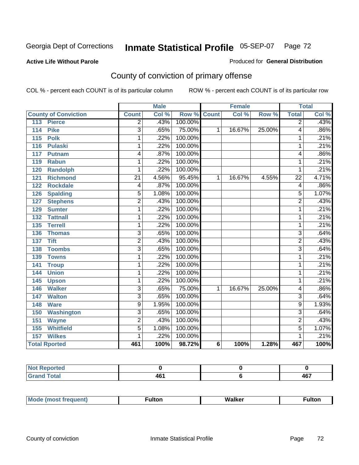### **Active Life Without Parole**

#### Produced for **General Distribution**

# County of conviction of primary offense

|                                 |                 | <b>Male</b> |                    |   | <b>Female</b> |        |                 | <b>Total</b> |
|---------------------------------|-----------------|-------------|--------------------|---|---------------|--------|-----------------|--------------|
| <b>County of Conviction</b>     | <b>Count</b>    | Col %       | <b>Row % Count</b> |   | Col %         | Row %  | <b>Total</b>    | Col %        |
| 113<br><b>Pierce</b>            | $\overline{2}$  | .43%        | 100.00%            |   |               |        | $\overline{2}$  | .43%         |
| <b>Pike</b><br>114              | $\overline{3}$  | .65%        | 75.00%             | 1 | 16.67%        | 25.00% | 4               | .86%         |
| $\overline{115}$<br><b>Polk</b> | 1               | .22%        | 100.00%            |   |               |        | 1               | .21%         |
| <b>Pulaski</b><br>116           | 1               | .22%        | 100.00%            |   |               |        | 1               | .21%         |
| 117<br>Putnam                   | 4               | .87%        | 100.00%            |   |               |        | 4               | .86%         |
| <b>Rabun</b><br>119             | 1               | .22%        | 100.00%            |   |               |        | 1               | .21%         |
| 120<br><b>Randolph</b>          | 1               | .22%        | 100.00%            |   |               |        | 1               | .21%         |
| <b>Richmond</b><br>121          | $\overline{21}$ | 4.56%       | 95.45%             | 1 | 16.67%        | 4.55%  | $\overline{22}$ | 4.71%        |
| <b>Rockdale</b><br>122          | 4               | .87%        | 100.00%            |   |               |        | 4               | .86%         |
| <b>Spalding</b><br>126          | 5               | 1.08%       | 100.00%            |   |               |        | 5               | 1.07%        |
| <b>Stephens</b><br>127          | $\overline{2}$  | .43%        | 100.00%            |   |               |        | $\overline{2}$  | .43%         |
| <b>Sumter</b><br>129            | 1               | .22%        | 100.00%            |   |               |        | 1               | .21%         |
| 132<br><b>Tattnall</b>          | 1               | .22%        | 100.00%            |   |               |        | 1               | .21%         |
| <b>Terrell</b><br>135           | 1               | .22%        | 100.00%            |   |               |        | 1               | .21%         |
| 136<br><b>Thomas</b>            | 3               | .65%        | 100.00%            |   |               |        | 3               | .64%         |
| <b>Tift</b><br>137              | $\overline{2}$  | .43%        | 100.00%            |   |               |        | $\overline{2}$  | .43%         |
| 138<br><b>Toombs</b>            | 3               | .65%        | 100.00%            |   |               |        | $\overline{3}$  | .64%         |
| 139<br><b>Towns</b>             | 1               | .22%        | 100.00%            |   |               |        | 1               | .21%         |
| 141<br><b>Troup</b>             | 1               | .22%        | 100.00%            |   |               |        | 1               | .21%         |
| <b>Union</b><br>144             | 1               | .22%        | 100.00%            |   |               |        | 1               | .21%         |
| 145<br><b>Upson</b>             | 1               | .22%        | 100.00%            |   |               |        | 1               | .21%         |
| <b>Walker</b><br>146            | $\overline{3}$  | .65%        | 75.00%             | 1 | 16.67%        | 25.00% | 4               | .86%         |
| <b>Walton</b><br>147            | $\overline{3}$  | .65%        | 100.00%            |   |               |        | $\overline{3}$  | .64%         |
| 148<br><b>Ware</b>              | $\overline{9}$  | 1.95%       | 100.00%            |   |               |        | $\overline{9}$  | 1.93%        |
| 150<br><b>Washington</b>        | $\overline{3}$  | .65%        | 100.00%            |   |               |        | $\overline{3}$  | .64%         |
| 151<br><b>Wayne</b>             | $\overline{2}$  | .43%        | 100.00%            |   |               |        | $\overline{2}$  | .43%         |
| <b>Whitfield</b><br>155         | $\overline{5}$  | 1.08%       | 100.00%            |   |               |        | $\overline{5}$  | 1.07%        |
| <b>Wilkes</b><br>157            | 1               | .22%        | 100.00%            |   |               |        | 1               | .21%         |
| <b>Total Rported</b>            | 461             | 100%        | 98.72%             | 6 | 100%          | 1.28%  | 467             | 100%         |

| <b>Reported</b><br>N. |     |     |
|-----------------------|-----|-----|
| int                   | AR. | 1C7 |
| _____                 | וטד | ישר |

| M. | MI- | 1ltr |
|----|-----|------|
|    |     |      |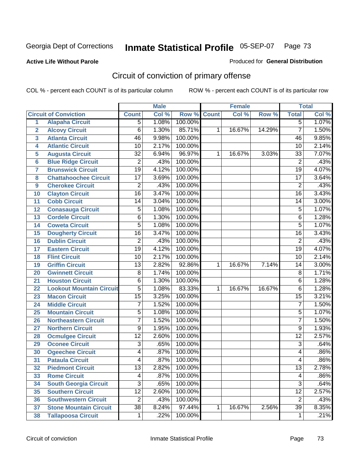#### **Active Life Without Parole**

#### Produced for **General Distribution**

# Circuit of conviction of primary offense

|                         |                                 |                 | <b>Male</b> |                    |   | <b>Female</b> |        |                 | <b>Total</b> |
|-------------------------|---------------------------------|-----------------|-------------|--------------------|---|---------------|--------|-----------------|--------------|
|                         | <b>Circuit of Conviction</b>    | <b>Count</b>    | Col %       | <b>Row % Count</b> |   | Col %         | Row %  | <b>Total</b>    | Col %        |
| 1                       | <b>Alapaha Circuit</b>          | 5               | 1.08%       | 100.00%            |   |               |        | $\overline{5}$  | 1.07%        |
| $\overline{2}$          | <b>Alcovy Circuit</b>           | $\overline{6}$  | 1.30%       | 85.71%             | 1 | 16.67%        | 14.29% | $\overline{7}$  | 1.50%        |
| $\overline{\mathbf{3}}$ | <b>Atlanta Circuit</b>          | $\overline{46}$ | 9.98%       | 100.00%            |   |               |        | 46              | 9.85%        |
| 4                       | <b>Atlantic Circuit</b>         | $\overline{10}$ | 2.17%       | 100.00%            |   |               |        | 10              | 2.14%        |
| 5                       | <b>Augusta Circuit</b>          | $\overline{32}$ | 6.94%       | 96.97%             | 1 | 16.67%        | 3.03%  | $\overline{33}$ | 7.07%        |
| $6\phantom{a}$          | <b>Blue Ridge Circuit</b>       | $\overline{2}$  | .43%        | 100.00%            |   |               |        | $\overline{2}$  | .43%         |
| $\overline{\mathbf{7}}$ | <b>Brunswick Circuit</b>        | $\overline{19}$ | 4.12%       | 100.00%            |   |               |        | $\overline{19}$ | 4.07%        |
| 8                       | <b>Chattahoochee Circuit</b>    | 17              | 3.69%       | 100.00%            |   |               |        | $\overline{17}$ | 3.64%        |
| 9                       | <b>Cherokee Circuit</b>         | $\overline{2}$  | .43%        | 100.00%            |   |               |        | $\overline{2}$  | .43%         |
| 10                      | <b>Clayton Circuit</b>          | $\overline{16}$ | 3.47%       | 100.00%            |   |               |        | $\overline{16}$ | 3.43%        |
| 11                      | <b>Cobb Circuit</b>             | 14              | 3.04%       | 100.00%            |   |               |        | 14              | 3.00%        |
| 12                      | <b>Conasauga Circuit</b>        | $\overline{5}$  | 1.08%       | 100.00%            |   |               |        | $\overline{5}$  | 1.07%        |
| 13                      | <b>Cordele Circuit</b>          | $\overline{6}$  | 1.30%       | 100.00%            |   |               |        | 6               | 1.28%        |
| 14                      | <b>Coweta Circuit</b>           | $\overline{5}$  | 1.08%       | 100.00%            |   |               |        | $\overline{5}$  | 1.07%        |
| 15                      | <b>Dougherty Circuit</b>        | $\overline{16}$ | 3.47%       | 100.00%            |   |               |        | $\overline{16}$ | 3.43%        |
| 16                      | <b>Dublin Circuit</b>           | $\overline{2}$  | .43%        | 100.00%            |   |               |        | $\overline{2}$  | .43%         |
| 17                      | <b>Eastern Circuit</b>          | $\overline{19}$ | 4.12%       | 100.00%            |   |               |        | 19              | 4.07%        |
| 18                      | <b>Flint Circuit</b>            | $\overline{10}$ | 2.17%       | 100.00%            |   |               |        | $\overline{10}$ | 2.14%        |
| 19                      | <b>Griffin Circuit</b>          | $\overline{13}$ | 2.82%       | 92.86%             | 1 | 16.67%        | 7.14%  | 14              | 3.00%        |
| 20                      | <b>Gwinnett Circuit</b>         | $\overline{8}$  | 1.74%       | 100.00%            |   |               |        | 8               | 1.71%        |
| 21                      | <b>Houston Circuit</b>          | $\overline{6}$  | 1.30%       | 100.00%            |   |               |        | 6               | 1.28%        |
| 22                      | <b>Lookout Mountain Circuit</b> | $\overline{5}$  | 1.08%       | 83.33%             | 1 | 16.67%        | 16.67% | 6               | 1.28%        |
| 23                      | <b>Macon Circuit</b>            | $\overline{15}$ | 3.25%       | 100.00%            |   |               |        | $\overline{15}$ | 3.21%        |
| 24                      | <b>Middle Circuit</b>           | $\overline{7}$  | 1.52%       | 100.00%            |   |               |        | $\overline{7}$  | 1.50%        |
| 25                      | <b>Mountain Circuit</b>         | $\overline{5}$  | 1.08%       | 100.00%            |   |               |        | 5               | 1.07%        |
| 26                      | <b>Northeastern Circuit</b>     | $\overline{7}$  | 1.52%       | 100.00%            |   |               |        | $\overline{7}$  | 1.50%        |
| 27                      | <b>Northern Circuit</b>         | $\overline{9}$  | 1.95%       | 100.00%            |   |               |        | $\overline{9}$  | 1.93%        |
| 28                      | <b>Ocmulgee Circuit</b>         | $\overline{12}$ | 2.60%       | 100.00%            |   |               |        | $\overline{12}$ | 2.57%        |
| 29                      | <b>Oconee Circuit</b>           | $\overline{3}$  | .65%        | 100.00%            |   |               |        | $\overline{3}$  | .64%         |
| 30                      | <b>Ogeechee Circuit</b>         | 4               | .87%        | 100.00%            |   |               |        | 4               | .86%         |
| $\overline{31}$         | <b>Pataula Circuit</b>          | 4               | .87%        | 100.00%            |   |               |        | 4               | .86%         |
| 32                      | <b>Piedmont Circuit</b>         | 13              | 2.82%       | 100.00%            |   |               |        | 13              | 2.78%        |
| 33                      | <b>Rome Circuit</b>             | $\overline{4}$  | .87%        | 100.00%            |   |               |        | 4               | $.86\%$      |
| 34                      | <b>South Georgia Circuit</b>    | $\overline{3}$  | .65%        | 100.00%            |   |               |        | $\overline{3}$  | .64%         |
| 35                      | <b>Southern Circuit</b>         | $\overline{12}$ | 2.60%       | 100.00%            |   |               |        | $\overline{12}$ | 2.57%        |
| 36                      | <b>Southwestern Circuit</b>     | $\overline{2}$  | .43%        | 100.00%            |   |               |        | $\overline{2}$  | .43%         |
| 37                      | <b>Stone Mountain Circuit</b>   | $\overline{38}$ | 8.24%       | 97.44%             | 1 | 16.67%        | 2.56%  | $\overline{39}$ | 8.35%        |
| 38                      | <b>Tallapoosa Circuit</b>       | $\mathbf 1$     | .22%        | 100.00%            |   |               |        | $\mathbf{1}$    | .21%         |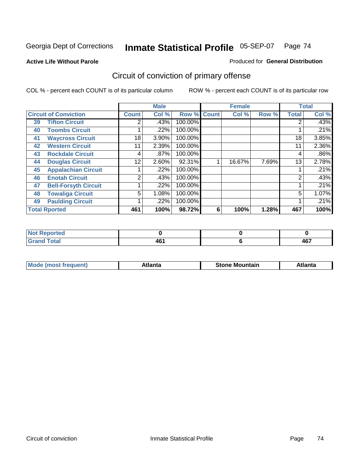**Active Life Without Parole** 

Produced for **General Distribution**

# Circuit of conviction of primary offense

|    |                              |              | <b>Male</b> |             |   | <b>Female</b> |       |              | <b>Total</b> |
|----|------------------------------|--------------|-------------|-------------|---|---------------|-------|--------------|--------------|
|    | <b>Circuit of Conviction</b> | <b>Count</b> | Col %       | Row % Count |   | Col %         | Row % | <b>Total</b> | Col %        |
| 39 | <b>Tifton Circuit</b>        | 2            | $.43\%$     | 100.00%     |   |               |       | 2            | .43%         |
| 40 | <b>Toombs Circuit</b>        |              | .22%        | 100.00%     |   |               |       |              | .21%         |
| 41 | <b>Waycross Circuit</b>      | 18           | 3.90%       | 100.00%     |   |               |       | 18           | 3.85%        |
| 42 | <b>Western Circuit</b>       | 11           | 2.39%       | 100.00%     |   |               |       | 11           | 2.36%        |
| 43 | <b>Rockdale Circuit</b>      | 4            | .87%        | 100.00%     |   |               |       | 4            | .86%         |
| 44 | <b>Douglas Circuit</b>       | 12           | 2.60%       | 92.31%      |   | 16.67%        | 7.69% | 13           | 2.78%        |
| 45 | <b>Appalachian Circuit</b>   |              | .22%        | 100.00%     |   |               |       |              | .21%         |
| 46 | <b>Enotah Circuit</b>        | 2            | .43%        | 100.00%     |   |               |       | 2            | .43%         |
| 47 | <b>Bell-Forsyth Circuit</b>  |              | .22%        | 100.00%     |   |               |       |              | .21%         |
| 48 | <b>Towaliga Circuit</b>      | 5            | 1.08%       | 100.00%     |   |               |       | 5            | 1.07%        |
| 49 | <b>Paulding Circuit</b>      |              | .22%        | 100.00%     |   |               |       |              | .21%         |
|    | <b>Total Rported</b>         | 461          | 100%        | 98.72%      | 6 | 100%          | 1.28% | 467          | 100%         |

| المستخلص والمنابذ<br>orted<br>. |     |          |
|---------------------------------|-----|----------|
| <b>Total</b><br><b></b><br>-    | 461 | 1C7<br>™ |

| īМ<br>----<br>taın<br>----<br>514<br>MOL<br>нс |
|------------------------------------------------|
|------------------------------------------------|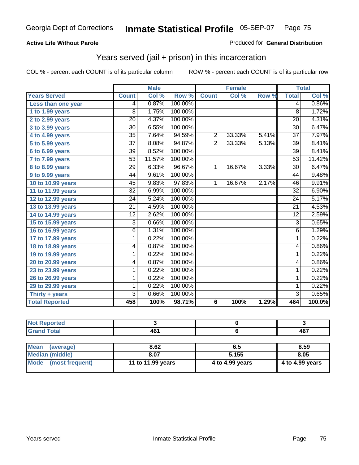#### **Active Life Without Parole**

#### Produced for **General Distribution**

## Years served (jail + prison) in this incarceration

|                       |                 | <b>Male</b> |         |                | <b>Female</b> |       |                 | <b>Total</b> |
|-----------------------|-----------------|-------------|---------|----------------|---------------|-------|-----------------|--------------|
| <b>Years Served</b>   | <b>Count</b>    | Col %       | Row %   | <b>Count</b>   | Col %         | Row % | <b>Total</b>    | Col %        |
| Less than one year    | 4               | 0.87%       | 100.00% |                |               |       | 4               | 0.86%        |
| 1 to 1.99 years       | 8               | 1.75%       | 100.00% |                |               |       | 8               | 1.72%        |
| 2 to 2.99 years       | $\overline{20}$ | 4.37%       | 100.00% |                |               |       | $\overline{20}$ | 4.31%        |
| 3 to 3.99 years       | 30              | 6.55%       | 100.00% |                |               |       | 30              | 6.47%        |
| 4 to 4.99 years       | 35              | 7.64%       | 94.59%  | $\overline{c}$ | 33.33%        | 5.41% | $\overline{37}$ | 7.97%        |
| 5 to 5.99 years       | $\overline{37}$ | 8.08%       | 94.87%  | $\overline{2}$ | 33.33%        | 5.13% | $\overline{39}$ | 8.41%        |
| 6 to 6.99 years       | 39              | 8.52%       | 100.00% |                |               |       | 39              | 8.41%        |
| 7 to 7.99 years       | 53              | 11.57%      | 100.00% |                |               |       | 53              | 11.42%       |
| 8 to 8.99 years       | $\overline{29}$ | 6.33%       | 96.67%  | $\mathbf{1}$   | 16.67%        | 3.33% | $\overline{30}$ | 6.47%        |
| 9 to 9.99 years       | 44              | 9.61%       | 100.00% |                |               |       | 44              | 9.48%        |
| 10 to 10.99 years     | 45              | 9.83%       | 97.83%  | 1              | 16.67%        | 2.17% | 46              | 9.91%        |
| 11 to 11.99 years     | $\overline{32}$ | 6.99%       | 100.00% |                |               |       | $\overline{32}$ | 6.90%        |
| 12 to 12.99 years     | 24              | 5.24%       | 100.00% |                |               |       | 24              | 5.17%        |
| 13 to 13.99 years     | $\overline{21}$ | 4.59%       | 100.00% |                |               |       | $\overline{21}$ | 4.53%        |
| 14 to 14.99 years     | $\overline{12}$ | 2.62%       | 100.00% |                |               |       | $\overline{12}$ | 2.59%        |
| 15 to 15.99 years     | 3               | 0.66%       | 100.00% |                |               |       | 3               | 0.65%        |
| 16 to 16.99 years     | 6               | 1.31%       | 100.00% |                |               |       | $\overline{6}$  | 1.29%        |
| 17 to 17.99 years     | 1               | 0.22%       | 100.00% |                |               |       | $\overline{1}$  | 0.22%        |
| 18 to 18.99 years     | 4               | 0.87%       | 100.00% |                |               |       | 4               | 0.86%        |
| 19 to 19.99 years     | 1               | 0.22%       | 100.00% |                |               |       | 1               | 0.22%        |
| 20 to 20.99 years     | 4               | 0.87%       | 100.00% |                |               |       | 4               | 0.86%        |
| 23 to 23.99 years     | 1               | 0.22%       | 100.00% |                |               |       | 1               | 0.22%        |
| 26 to 26.99 years     | 1               | 0.22%       | 100.00% |                |               |       | 1               | 0.22%        |
| 29 to 29.99 years     | 1               | 0.22%       | 100.00% |                |               |       | 1               | 0.22%        |
| Thirty + years        | $\overline{3}$  | 0.66%       | 100.00% |                |               |       | $\overline{3}$  | 0.65%        |
| <b>Total Reported</b> | 458             | 100%        | 98.71%  | 6              | 100%          | 1.29% | 464             | 100.0%       |

| <b>Not Reported</b> |       |      |      |
|---------------------|-------|------|------|
| <b>Grand Total</b>  | 461   |      | 467  |
|                     |       |      |      |
| Mean (average)      | 8.62  | 6.5  | 8.59 |
| Median (middle)     | 8 0 7 | 5155 | 805  |

| Iwean (average)        | 8.0Z              | ხ.ე             | ช.วษ            |
|------------------------|-------------------|-----------------|-----------------|
| <b>Median (middle)</b> | 8.07              | 5.155           | 8.05            |
| Mode (most frequent)   | 11 to 11.99 years | 4 to 4.99 years | 4 to 4.99 years |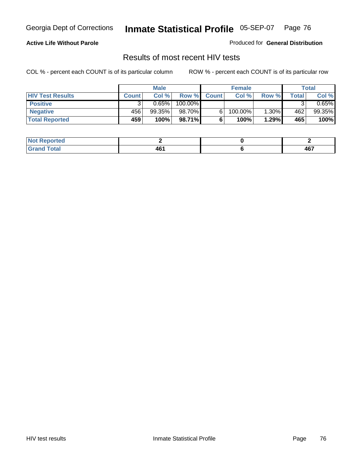### **Active Life Without Parole**

Produced for **General Distribution**

### Results of most recent HIV tests

|                         |              | <b>Male</b> |         |              | <b>Female</b> |       |       | Total      |
|-------------------------|--------------|-------------|---------|--------------|---------------|-------|-------|------------|
| <b>HIV Test Results</b> | <b>Count</b> | Col %       | Row %   | <b>Count</b> | Col %         | Row % | Total | Col %      |
| <b>Positive</b>         |              | 0.65%       | 100.00% |              |               |       |       | $0.65\%$ i |
| <b>Negative</b>         | 456          | 99.35%      | 98.70%  |              | 100.00%       | 1.30% | 462   | 99.35%     |
| <b>Total Reported</b>   | 459          | 100%        | 98.71%  |              | 100%          | 1.29% | 465   | 100%       |

| Not <b>R</b><br>Reported |      |     |
|--------------------------|------|-----|
| <b>Cotal</b>             | AC'  | A67 |
| Gerer                    | 70 L | ישד |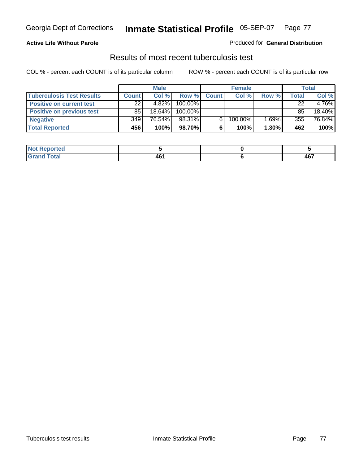#### **Active Life Without Parole**

#### Produced for **General Distribution**

### Results of most recent tuberculosis test

|                                  |              | <b>Male</b> |         |              | <b>Female</b> |       |       | Total  |
|----------------------------------|--------------|-------------|---------|--------------|---------------|-------|-------|--------|
| <b>Tuberculosis Test Results</b> | <b>Count</b> | Col%        | Row %   | <b>Count</b> | Col%          | Row % | Total | Col %  |
| <b>Positive on current test</b>  | 22           | 4.82%       | 100.00% |              |               |       | 22    | 4.76%  |
| <b>Positive on previous test</b> | 85           | 18.64%      | 100.00% |              |               |       | 85    | 18.40% |
| <b>Negative</b>                  | 349          | 76.54%      | 98.31%  | 6.           | 100.00%       | 1.69% | 355   | 76.84% |
| <b>Total Reported</b>            | 456          | 100%        | 98.70%I | 6            | 100%          | 1.30% | 462   | 100%   |

| <b>Not</b><br>. Reported |            |     |
|--------------------------|------------|-----|
| <b>Total</b>             | AC'<br>TVI | 467 |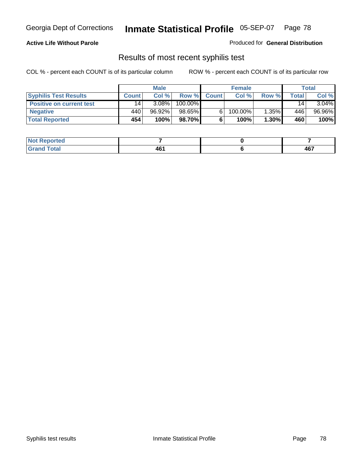### **Active Life Without Parole**

Produced for **General Distribution**

### Results of most recent syphilis test

|                                 | <b>Male</b>     |          | <b>Female</b> |              |            | Total |       |          |
|---------------------------------|-----------------|----------|---------------|--------------|------------|-------|-------|----------|
| <b>Syphilis Test Results</b>    | <b>Count</b>    | Col%     | Row %         | <b>Count</b> | Col%       | Row % | Total | Col %    |
| <b>Positive on current test</b> | 14 <sub>1</sub> | $3.08\%$ | 100.00%       |              |            |       | 14    | $3.04\%$ |
| <b>Negative</b>                 | 440             | 96.92%   | 98.65%        |              | $100.00\%$ | 1.35% | 446   | 96.96%   |
| <b>Total Reported</b>           | 454             | 100%     | 98.70%I       |              | 100%       | 1.30% | 460   | 100%     |

| <b>Not Reported</b> |             |     |
|---------------------|-------------|-----|
| <b>Grand Total</b>  | 46<br>$  -$ | 467 |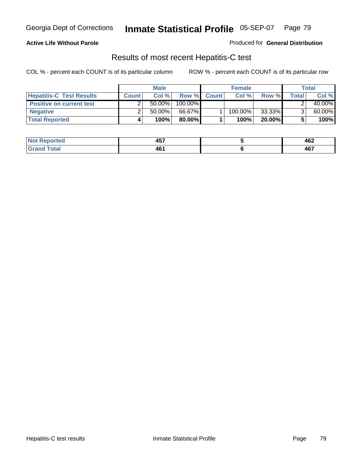### **Active Life Without Parole**

Produced for **General Distribution**

## Results of most recent Hepatitis-C test

|                                 | <b>Male</b>  |           |         | <b>Female</b> |         |           | Total |        |
|---------------------------------|--------------|-----------|---------|---------------|---------|-----------|-------|--------|
| <b>Hepatitis-C Test Results</b> | <b>Count</b> | Col %     | Row %   | <b>Count</b>  | Col %   | Row %     | Total | Col %  |
| <b>Positive on current test</b> |              | $50.00\%$ | 100.00% |               |         |           |       | 40.00% |
| <b>Negative</b>                 |              | $50.00\%$ | 66.67%  |               | 100.00% | 33.33%    |       | 60.00% |
| <b>Total Reported</b>           |              | 100%      | 80.00%I |               | 100%    | $20.00\%$ |       | 100%   |

| $Not$ F<br>Reported  | ---<br>л н<br>TV. | 462 |
|----------------------|-------------------|-----|
| <b>Cotal</b><br>cdot | AB'<br>TVI        | 467 |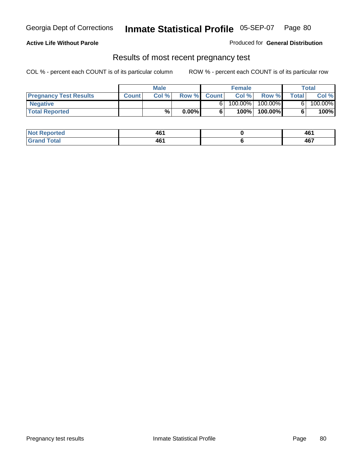**Active Life Without Parole** 

Produced for **General Distribution**

### Results of most recent pregnancy test

|                               | Male         |       |          | <b>Female</b> |         |            | Total        |         |
|-------------------------------|--------------|-------|----------|---------------|---------|------------|--------------|---------|
| <b>Pregnancy Test Results</b> | <b>Count</b> | Col % | Row %    | <b>Count</b>  | Col %   | Row %      | <b>Total</b> | Col %   |
| <b>Negative</b>               |              |       |          |               | 100.00% | $100.00\%$ |              | 100.00% |
| <b>Total Reported</b>         |              | %     | $0.00\%$ |               | 100%    | 100.00%    |              | 100%    |

| eported?     | 461<br>___  | AB'<br>90.<br>____ |
|--------------|-------------|--------------------|
| <b>Total</b> | AG.<br>40 L | 467                |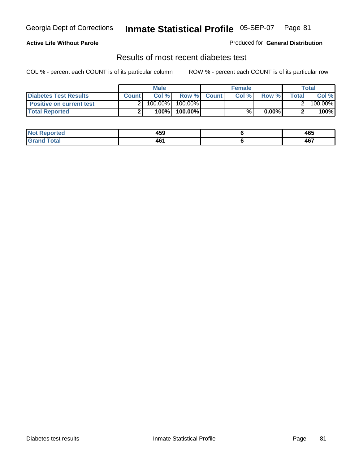### **Active Life Without Parole**

#### Produced for **General Distribution**

## Results of most recent diabetes test

|                                 |              | <b>Male</b> |            |             | <b>Female</b> |          |        | Total   |
|---------------------------------|--------------|-------------|------------|-------------|---------------|----------|--------|---------|
| <b>Diabetes Test Results</b>    | <b>Count</b> | Col %       |            | Row % Count | Col%          | Row %    | Totall | Col %   |
| <b>Positive on current test</b> |              | 100.00%     | $100.00\%$ |             |               |          |        | 100.00% |
| <b>Total Reported</b>           |              | 100%        | 100.00%    |             | %.            | $0.00\%$ |        | 100%    |

| orted        | 459           | 465 |
|--------------|---------------|-----|
| <b>Total</b> | ЛF.<br>$-0.1$ | 467 |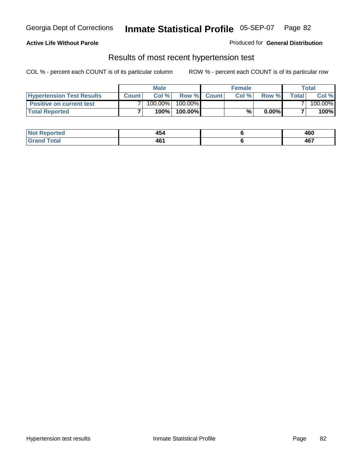### **Active Life Without Parole**

#### Produced for **General Distribution**

### Results of most recent hypertension test

|                                  |              | <b>Male</b> |            |             | <b>Female</b> |          |        | Total   |
|----------------------------------|--------------|-------------|------------|-------------|---------------|----------|--------|---------|
| <b>Hypertension Test Results</b> | <b>Count</b> | Col %       |            | Row % Count | Col%          | Row %    | Totall | Col %   |
| <b>Positive on current test</b>  |              | 100.00%     | $100.00\%$ |             |               |          |        | 100.00% |
| <b>Total Reported</b>            |              | 100%        | 100.00%    |             | %,            | $0.00\%$ |        | 100%    |

| Reported<br><b>NOT</b> | . .<br>454                                       | 460 |
|------------------------|--------------------------------------------------|-----|
| <b>otal</b><br>.       | 461<br>$\sim$ $\sim$ $\sim$ $\sim$ $\sim$ $\sim$ | 467 |